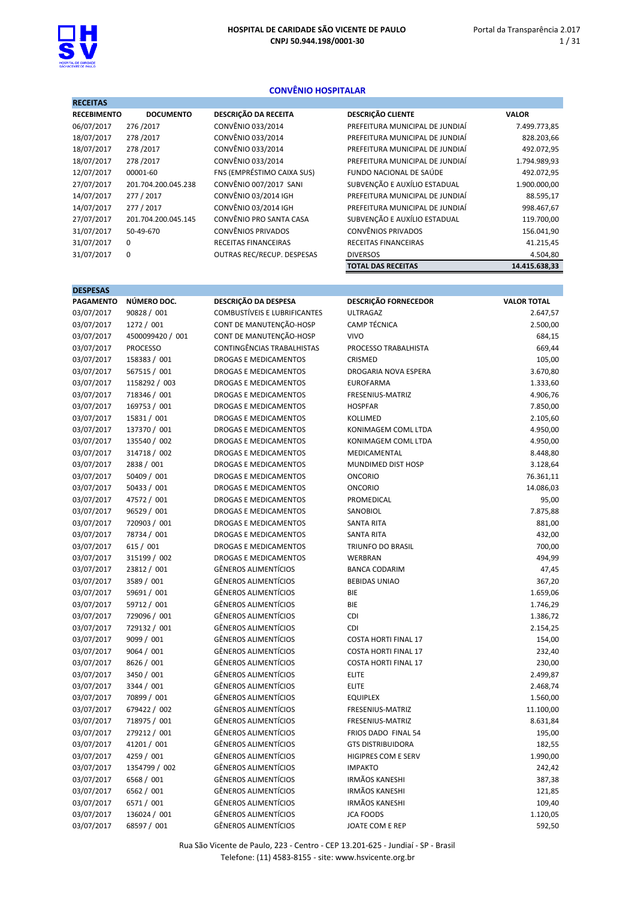**DECEITAS** 

# CONVÊNIO HOSPITALAR

| MEGHTAD            |                     |                                   |                                 |               |
|--------------------|---------------------|-----------------------------------|---------------------------------|---------------|
| <b>RECEBIMENTO</b> | <b>DOCUMENTO</b>    | <b>DESCRIÇÃO DA RECEITA</b>       | <b>DESCRIÇÃO CLIENTE</b>        | <b>VALOR</b>  |
| 06/07/2017         | 276/2017            | CONVÊNIO 033/2014                 | PREFEITURA MUNICIPAL DE JUNDIAÍ | 7.499.773,85  |
| 18/07/2017         | 278/2017            | CONVÊNIO 033/2014                 | PREFEITURA MUNICIPAL DE JUNDIAÍ | 828.203,66    |
| 18/07/2017         | 278/2017            | CONVÊNIO 033/2014                 | PREFEITURA MUNICIPAL DE JUNDIAÍ | 492.072,95    |
| 18/07/2017         | 278/2017            | CONVÊNIO 033/2014                 | PREFEITURA MUNICIPAL DE JUNDIAÍ | 1.794.989,93  |
| 12/07/2017         | 00001-60            | FNS (EMPRÉSTIMO CAIXA SUS)        | FUNDO NACIONAL DE SAÚDE         | 492.072,95    |
| 27/07/2017         | 201.704.200.045.238 | CONVÊNIO 007/2017 SANI            | SUBVENÇÃO E AUXÍLIO ESTADUAL    | 1.900.000,00  |
| 14/07/2017         | 277 / 2017          | <b>CONVÊNIO 03/2014 IGH</b>       | PREFEITURA MUNICIPAL DE JUNDIAÍ | 88.595,17     |
| 14/07/2017         | 277 / 2017          | CONVÊNIO 03/2014 IGH              | PREFEITURA MUNICIPAL DE JUNDIAÍ | 998.467,67    |
| 27/07/2017         | 201.704.200.045.145 | CONVÊNIO PRO SANTA CASA           | SUBVENÇÃO E AUXÍLIO ESTADUAL    | 119.700,00    |
| 31/07/2017         | 50-49-670           | CONVÊNIOS PRIVADOS                | <b>CONVÊNIOS PRIVADOS</b>       | 156.041,90    |
| 31/07/2017         | 0                   | RECEITAS FINANCEIRAS              | RECEITAS FINANCEIRAS            | 41.215,45     |
| 31/07/2017         | 0                   | <b>OUTRAS REC/RECUP. DESPESAS</b> | <b>DIVERSOS</b>                 | 4.504,80      |
|                    |                     |                                   | <b>TOTAL DAS RECEITAS</b>       | 14.415.638,33 |
|                    |                     |                                   |                                 |               |
| <b>DESPESAS</b>    |                     |                                   |                                 |               |

| <b>PAGAMENTO</b> | NÚMERO DOC.      | DESCRIÇÃO DA DESPESA                | <b>DESCRIÇÃO FORNECEDOR</b> | <b>VALOR TOTAL</b> |
|------------------|------------------|-------------------------------------|-----------------------------|--------------------|
| 03/07/2017       | 90828 / 001      | <b>COMBUSTÍVEIS E LUBRIFICANTES</b> | <b>ULTRAGAZ</b>             | 2.647,57           |
| 03/07/2017       | 1272 / 001       | CONT DE MANUTENÇÃO-HOSP             | <b>CAMP TÉCNICA</b>         | 2.500,00           |
| 03/07/2017       | 4500099420 / 001 | CONT DE MANUTENÇÃO-HOSP             | <b>VIVO</b>                 | 684,15             |
| 03/07/2017       | <b>PROCESSO</b>  | CONTINGÊNCIAS TRABALHISTAS          | PROCESSO TRABALHISTA        | 669,44             |
| 03/07/2017       | 158383 / 001     | <b>DROGAS E MEDICAMENTOS</b>        | <b>CRISMED</b>              | 105,00             |
| 03/07/2017       | 567515 / 001     | DROGAS E MEDICAMENTOS               | DROGARIA NOVA ESPERA        | 3.670,80           |
| 03/07/2017       | 1158292 / 003    | DROGAS E MEDICAMENTOS               | <b>EUROFARMA</b>            | 1.333,60           |
| 03/07/2017       | 718346 / 001     | DROGAS E MEDICAMENTOS               | FRESENIUS-MATRIZ            | 4.906,76           |
| 03/07/2017       | 169753 / 001     | DROGAS E MEDICAMENTOS               | <b>HOSPFAR</b>              | 7.850,00           |
| 03/07/2017       | 15831 / 001      | DROGAS E MEDICAMENTOS               | <b>KOLLIMED</b>             | 2.105,60           |
| 03/07/2017       | 137370 / 001     | DROGAS E MEDICAMENTOS               | KONIMAGEM COML LTDA         | 4.950,00           |
| 03/07/2017       | 135540 / 002     | DROGAS E MEDICAMENTOS               | KONIMAGEM COML LTDA         | 4.950,00           |
| 03/07/2017       | 314718 / 002     | <b>DROGAS E MEDICAMENTOS</b>        | MEDICAMENTAL                | 8.448,80           |
| 03/07/2017       | 2838 / 001       | DROGAS E MEDICAMENTOS               | MUNDIMED DIST HOSP          | 3.128,64           |
| 03/07/2017       | 50409 / 001      | DROGAS E MEDICAMENTOS               | <b>ONCORIO</b>              | 76.361,11          |
| 03/07/2017       | 50433 / 001      | DROGAS E MEDICAMENTOS               | <b>ONCORIO</b>              | 14.086,03          |
| 03/07/2017       | 47572 / 001      | DROGAS E MEDICAMENTOS               | PROMEDICAL                  | 95,00              |
| 03/07/2017       | 96529 / 001      | DROGAS E MEDICAMENTOS               | SANOBIOL                    | 7.875,88           |
| 03/07/2017       | 720903 / 001     | DROGAS E MEDICAMENTOS               | <b>SANTA RITA</b>           | 881,00             |
| 03/07/2017       | 78734 / 001      | DROGAS E MEDICAMENTOS               | <b>SANTA RITA</b>           | 432,00             |
| 03/07/2017       | 615 / 001        | <b>DROGAS E MEDICAMENTOS</b>        | <b>TRIUNFO DO BRASIL</b>    | 700,00             |
| 03/07/2017       | 315199 / 002     | <b>DROGAS E MEDICAMENTOS</b>        | <b>WERBRAN</b>              | 494,99             |
| 03/07/2017       | 23812 / 001      | <b>GÊNEROS ALIMENTÍCIOS</b>         | <b>BANCA CODARIM</b>        | 47,45              |
| 03/07/2017       | 3589 / 001       | <b>GÊNEROS ALIMENTÍCIOS</b>         | <b>BEBIDAS UNIAO</b>        | 367,20             |
| 03/07/2017       | 59691 / 001      | <b>GÊNEROS ALIMENTÍCIOS</b>         | <b>BIE</b>                  | 1.659,06           |
| 03/07/2017       | 59712 / 001      | <b>GÊNEROS ALIMENTÍCIOS</b>         | BIE                         | 1.746,29           |
| 03/07/2017       | 729096 / 001     | <b>GÊNEROS ALIMENTÍCIOS</b>         | CDI                         | 1.386,72           |
| 03/07/2017       | 729132 / 001     | <b>GÊNEROS ALIMENTÍCIOS</b>         | CDI                         | 2.154,25           |
| 03/07/2017       | 9099 / 001       | <b>GÊNEROS ALIMENTÍCIOS</b>         | <b>COSTA HORTI FINAL 17</b> | 154,00             |
| 03/07/2017       | 9064 / 001       | <b>GÊNEROS ALIMENTÍCIOS</b>         | <b>COSTA HORTI FINAL 17</b> | 232,40             |
| 03/07/2017       | 8626 / 001       | <b>GÊNEROS ALIMENTÍCIOS</b>         | <b>COSTA HORTI FINAL 17</b> | 230,00             |
| 03/07/2017       | 3450 / 001       | GÊNEROS ALIMENTÍCIOS                | <b>ELITE</b>                | 2.499,87           |
| 03/07/2017       | 3344 / 001       | GÊNEROS ALIMENTÍCIOS                | <b>ELITE</b>                | 2.468,74           |
| 03/07/2017       | 70899 / 001      | GÊNEROS ALIMENTÍCIOS                | <b>EQUIPLEX</b>             | 1.560,00           |
| 03/07/2017       | 679422 / 002     | GÊNEROS ALIMENTÍCIOS                | FRESENIUS-MATRIZ            | 11.100,00          |
| 03/07/2017       | 718975 / 001     | <b>GÊNEROS ALIMENTÍCIOS</b>         | FRESENIUS-MATRIZ            | 8.631,84           |
| 03/07/2017       | 279212 / 001     | GÊNEROS ALIMENTÍCIOS                | FRIOS DADO FINAL 54         | 195,00             |
| 03/07/2017       | 41201 / 001      | <b>GÊNEROS ALIMENTÍCIOS</b>         | <b>GTS DISTRIBUIDORA</b>    | 182,55             |
| 03/07/2017       | 4259 / 001       | GÊNEROS ALIMENTÍCIOS                | HIGIPRES COM E SERV         | 1.990,00           |
| 03/07/2017       | 1354799 / 002    | GÊNEROS ALIMENTÍCIOS                | <b>IMPAKTO</b>              | 242,42             |
| 03/07/2017       | 6568 / 001       | GÊNEROS ALIMENTÍCIOS                | <b>IRMÃOS KANESHI</b>       | 387,38             |
| 03/07/2017       | 6562 / 001       | GÊNEROS ALIMENTÍCIOS                | <b>IRMÃOS KANESHI</b>       | 121,85             |
| 03/07/2017       | 6571 / 001       | GÊNEROS ALIMENTÍCIOS                | <b>IRMÃOS KANESHI</b>       | 109,40             |
| 03/07/2017       | 136024 / 001     | <b>GÊNEROS ALIMENTÍCIOS</b>         | <b>JCA FOODS</b>            | 1.120,05           |
| 03/07/2017       | 68597 / 001      | <b>GÊNEROS ALIMENTÍCIOS</b>         | JOATE COM E REP             | 592,50             |
|                  |                  |                                     |                             |                    |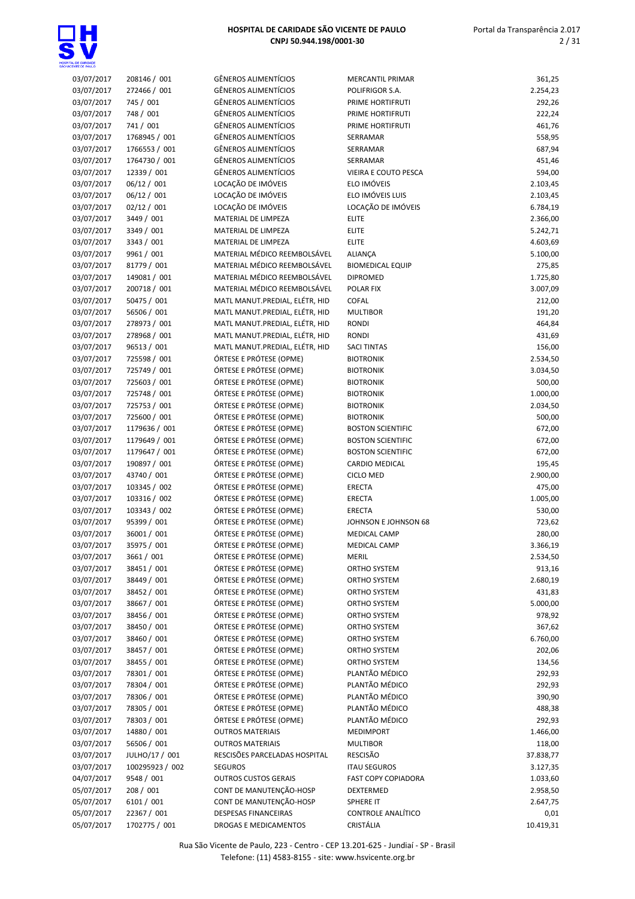| 03/07/2017 | 208146 / 001    | <b>GÊNEROS ALIMENTÍCIOS</b>    | <b>MERCANTIL PRIMAR</b>    | 361,25    |
|------------|-----------------|--------------------------------|----------------------------|-----------|
|            |                 |                                |                            |           |
| 03/07/2017 | 272466 / 001    | GÊNEROS ALIMENTÍCIOS           | POLIFRIGOR S.A.            | 2.254,23  |
| 03/07/2017 | 745 / 001       | GÊNEROS ALIMENTÍCIOS           | PRIME HORTIFRUTI           | 292,26    |
| 03/07/2017 | 748 / 001       | <b>GÊNEROS ALIMENTÍCIOS</b>    | PRIME HORTIFRUTI           | 222,24    |
| 03/07/2017 | 741 / 001       | <b>GÊNEROS ALIMENTÍCIOS</b>    | PRIME HORTIFRUTI           | 461,76    |
| 03/07/2017 | 1768945 / 001   | GÊNEROS ALIMENTÍCIOS           | SERRAMAR                   | 558,95    |
| 03/07/2017 | 1766553 / 001   | <b>GÊNEROS ALIMENTÍCIOS</b>    | SERRAMAR                   | 687,94    |
| 03/07/2017 | 1764730 / 001   | GÊNEROS ALIMENTÍCIOS           | SERRAMAR                   | 451,46    |
| 03/07/2017 | 12339 / 001     | <b>GÊNEROS ALIMENTÍCIOS</b>    | VIEIRA E COUTO PESCA       | 594,00    |
| 03/07/2017 | 06/12 / 001     | LOCAÇÃO DE IMÓVEIS             | ELO IMÓVEIS                | 2.103,45  |
|            |                 | LOCAÇÃO DE IMÓVEIS             |                            |           |
| 03/07/2017 | 06/12 / 001     |                                | ELO IMÓVEIS LUIS           | 2.103,45  |
| 03/07/2017 | 02/12 / 001     | LOCAÇÃO DE IMÓVEIS             | LOCAÇÃO DE IMÓVEIS         | 6.784,19  |
| 03/07/2017 | 3449 / 001      | MATERIAL DE LIMPEZA            | <b>ELITE</b>               | 2.366,00  |
| 03/07/2017 | 3349 / 001      | MATERIAL DE LIMPEZA            | <b>ELITE</b>               | 5.242,71  |
| 03/07/2017 | 3343 / 001      | MATERIAL DE LIMPEZA            | <b>ELITE</b>               | 4.603,69  |
| 03/07/2017 | 9961 / 001      | MATERIAL MÉDICO REEMBOLSÁVEL   | <b>ALIANÇA</b>             | 5.100,00  |
| 03/07/2017 | 81779 / 001     | MATERIAL MÉDICO REEMBOLSÁVEL   | <b>BIOMEDICAL EQUIP</b>    | 275,85    |
| 03/07/2017 | 149081 / 001    | MATERIAL MÉDICO REEMBOLSÁVEL   | <b>DIPROMED</b>            | 1.725,80  |
| 03/07/2017 | 200718 / 001    | MATERIAL MÉDICO REEMBOLSÁVEL   | POLAR FIX                  | 3.007,09  |
| 03/07/2017 | 50475 / 001     | MATL MANUT.PREDIAL, ELÉTR, HID | COFAL                      | 212,00    |
|            |                 |                                |                            |           |
| 03/07/2017 | 56506 / 001     | MATL MANUT.PREDIAL, ELÉTR, HID | <b>MULTIBOR</b>            | 191,20    |
| 03/07/2017 | 278973 / 001    | MATL MANUT.PREDIAL, ELÉTR, HID | <b>RONDI</b>               | 464,84    |
| 03/07/2017 | 278968 / 001    | MATL MANUT.PREDIAL, ELÉTR, HID | RONDI                      | 431,69    |
| 03/07/2017 | 96513 / 001     | MATL MANUT.PREDIAL, ELÉTR, HID | <b>SACI TINTAS</b>         | 156,00    |
| 03/07/2017 | 725598 / 001    | ÓRTESE E PRÓTESE (OPME)        | <b>BIOTRONIK</b>           | 2.534,50  |
| 03/07/2017 | 725749 / 001    | ÓRTESE E PRÓTESE (OPME)        | <b>BIOTRONIK</b>           | 3.034,50  |
| 03/07/2017 | 725603 / 001    | ÓRTESE E PRÓTESE (OPME)        | <b>BIOTRONIK</b>           | 500,00    |
| 03/07/2017 | 725748 / 001    | ÓRTESE E PRÓTESE (OPME)        | <b>BIOTRONIK</b>           | 1.000,00  |
|            |                 |                                |                            |           |
| 03/07/2017 | 725753 / 001    | ÓRTESE E PRÓTESE (OPME)        | <b>BIOTRONIK</b>           | 2.034,50  |
| 03/07/2017 | 725600 / 001    | ÓRTESE E PRÓTESE (OPME)        | <b>BIOTRONIK</b>           | 500,00    |
| 03/07/2017 | 1179636 / 001   | ÓRTESE E PRÓTESE (OPME)        | <b>BOSTON SCIENTIFIC</b>   | 672,00    |
| 03/07/2017 | 1179649 / 001   | ÓRTESE E PRÓTESE (OPME)        | <b>BOSTON SCIENTIFIC</b>   | 672,00    |
| 03/07/2017 | 1179647 / 001   | ÓRTESE E PRÓTESE (OPME)        | <b>BOSTON SCIENTIFIC</b>   | 672,00    |
| 03/07/2017 | 190897 / 001    | ÓRTESE E PRÓTESE (OPME)        | <b>CARDIO MEDICAL</b>      | 195,45    |
| 03/07/2017 | 43740 / 001     | ÓRTESE E PRÓTESE (OPME)        | <b>CICLO MED</b>           | 2.900,00  |
| 03/07/2017 | 103345 / 002    | ÓRTESE E PRÓTESE (OPME)        | <b>ERECTA</b>              | 475,00    |
| 03/07/2017 | 103316 / 002    | ÓRTESE E PRÓTESE (OPME)        | <b>ERECTA</b>              | 1.005,00  |
| 03/07/2017 | 103343 / 002    | ÓRTESE E PRÓTESE (OPME)        | <b>ERECTA</b>              | 530,00    |
|            |                 |                                |                            |           |
| 03/07/2017 | 95399 / 001     | ÓRTESE E PRÓTESE (OPME)        | JOHNSON E JOHNSON 68       | 723,62    |
| 03/07/2017 | 36001 / 001     | ÓRTESE E PRÓTESE (OPME)        | <b>MEDICAL CAMP</b>        | 280,00    |
| 03/07/2017 | 35975 / 001     | ÓRTESE E PRÓTESE (OPME)        | <b>MEDICAL CAMP</b>        | 3.366,19  |
| 03/07/2017 | 3661 / 001      | ÓRTESE E PRÓTESE (OPME)        | <b>MERIL</b>               | 2.534,50  |
| 03/07/2017 | 38451 / 001     | ÓRTESE E PRÓTESE (OPME)        | ORTHO SYSTEM               | 913,16    |
| 03/07/2017 | 38449 / 001     | ÓRTESE E PRÓTESE (OPME)        | ORTHO SYSTEM               | 2.680,19  |
| 03/07/2017 | 38452 / 001     | ÓRTESE E PRÓTESE (OPME)        | ORTHO SYSTEM               | 431,83    |
| 03/07/2017 | 38667 / 001     | ÓRTESE E PRÓTESE (OPME)        | ORTHO SYSTEM               | 5.000,00  |
| 03/07/2017 | 38456 / 001     | ÓRTESE E PRÓTESE (OPME)        | ORTHO SYSTEM               | 978,92    |
|            |                 |                                |                            |           |
| 03/07/2017 | 38450 / 001     | ÓRTESE E PRÓTESE (OPME)        | ORTHO SYSTEM               | 367,62    |
| 03/07/2017 | 38460 / 001     | ÓRTESE E PRÓTESE (OPME)        | ORTHO SYSTEM               | 6.760,00  |
| 03/07/2017 | 38457 / 001     | ÓRTESE E PRÓTESE (OPME)        | ORTHO SYSTEM               | 202,06    |
| 03/07/2017 | 38455 / 001     | ÓRTESE E PRÓTESE (OPME)        | ORTHO SYSTEM               | 134,56    |
| 03/07/2017 | 78301 / 001     | ÓRTESE E PRÓTESE (OPME)        | PLANTÃO MÉDICO             | 292,93    |
| 03/07/2017 | 78304 / 001     | ÓRTESE E PRÓTESE (OPME)        | PLANTÃO MÉDICO             | 292,93    |
| 03/07/2017 | 78306 / 001     | ÓRTESE E PRÓTESE (OPME)        | PLANTÃO MÉDICO             | 390,90    |
| 03/07/2017 | 78305 / 001     | ÓRTESE E PRÓTESE (OPME)        | PLANTÃO MÉDICO             | 488,38    |
| 03/07/2017 | 78303 / 001     | ÓRTESE E PRÓTESE (OPME)        | PLANTÃO MÉDICO             | 292,93    |
|            |                 |                                |                            |           |
| 03/07/2017 | 14880 / 001     | <b>OUTROS MATERIAIS</b>        | <b>MEDIMPORT</b>           | 1.466,00  |
| 03/07/2017 | 56506 / 001     | <b>OUTROS MATERIAIS</b>        | <b>MULTIBOR</b>            | 118,00    |
| 03/07/2017 | JULHO/17 / 001  | RESCISÕES PARCELADAS HOSPITAL  | RESCISÃO                   | 37.838,77 |
| 03/07/2017 | 100295923 / 002 | <b>SEGUROS</b>                 | <b>ITAU SEGUROS</b>        | 3.127,35  |
| 04/07/2017 | 9548 / 001      | <b>OUTROS CUSTOS GERAIS</b>    | <b>FAST COPY COPIADORA</b> | 1.033,60  |
| 05/07/2017 | 208 / 001       | CONT DE MANUTENÇÃO-HOSP        | DEXTERMED                  | 2.958,50  |
| 05/07/2017 | 6101 / 001      | CONT DE MANUTENÇÃO-HOSP        | SPHERE IT                  | 2.647,75  |
| 05/07/2017 | 22367 / 001     | <b>DESPESAS FINANCEIRAS</b>    | CONTROLE ANALÍTICO         | 0,01      |
| 05/07/2017 | 1702775 / 001   | DROGAS E MEDICAMENTOS          | CRISTÁLIA                  | 10.419,31 |
|            |                 |                                |                            |           |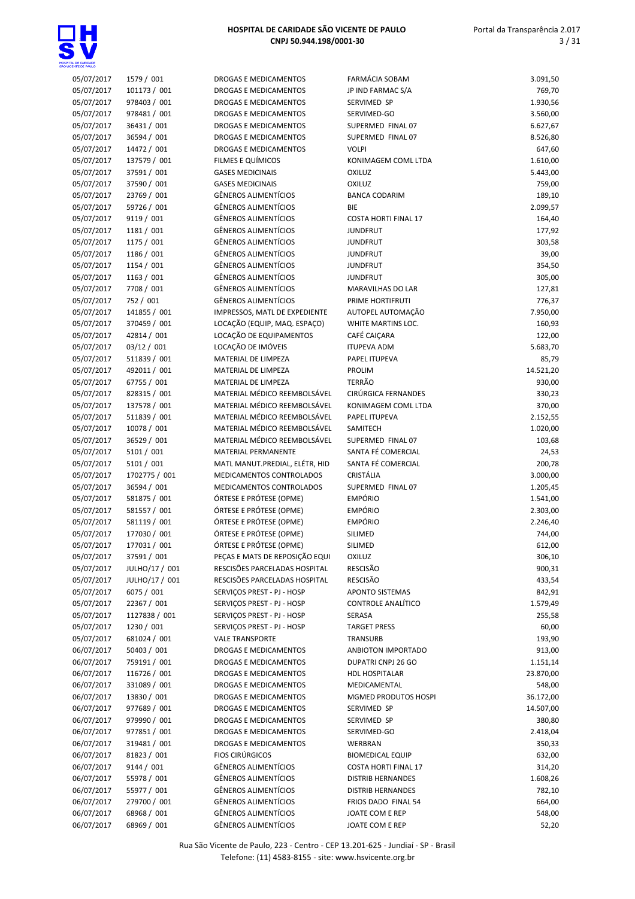

| 05/07/2017 | 1579 / 001     | <b>DROGAS E MEDICAMENTOS</b>   | FARMÁCIA SOBAM              | 3.091,50  |
|------------|----------------|--------------------------------|-----------------------------|-----------|
| 05/07/2017 | 101173 / 001   | DROGAS E MEDICAMENTOS          | JP IND FARMAC S/A           | 769,70    |
| 05/07/2017 | 978403 / 001   | DROGAS E MEDICAMENTOS          | SERVIMED SP                 | 1.930,56  |
| 05/07/2017 | 978481 / 001   | DROGAS E MEDICAMENTOS          | SERVIMED-GO                 | 3.560,00  |
|            |                |                                |                             |           |
| 05/07/2017 | 36431 / 001    | DROGAS E MEDICAMENTOS          | SUPERMED FINAL 07           | 6.627,67  |
| 05/07/2017 | 36594 / 001    | DROGAS E MEDICAMENTOS          | SUPERMED FINAL 07           | 8.526,80  |
| 05/07/2017 | 14472 / 001    | <b>DROGAS E MEDICAMENTOS</b>   | <b>VOLPI</b>                | 647,60    |
| 05/07/2017 | 137579 / 001   | FILMES E QUÍMICOS              | KONIMAGEM COML LTDA         | 1.610,00  |
| 05/07/2017 | 37591 / 001    | <b>GASES MEDICINAIS</b>        | <b>OXILUZ</b>               | 5.443,00  |
|            |                | <b>GASES MEDICINAIS</b>        |                             |           |
| 05/07/2017 | 37590 / 001    |                                | <b>OXILUZ</b>               | 759,00    |
| 05/07/2017 | 23769 / 001    | <b>GÊNEROS ALIMENTÍCIOS</b>    | <b>BANCA CODARIM</b>        | 189,10    |
| 05/07/2017 | 59726 / 001    | GÊNEROS ALIMENTÍCIOS           | <b>BIE</b>                  | 2.099,57  |
| 05/07/2017 | 9119 / 001     | GÊNEROS ALIMENTÍCIOS           | <b>COSTA HORTI FINAL 17</b> | 164,40    |
| 05/07/2017 | 1181 / 001     | GÊNEROS ALIMENTÍCIOS           | <b>JUNDFRUT</b>             | 177,92    |
| 05/07/2017 | 1175 / 001     | GÊNEROS ALIMENTÍCIOS           | <b>JUNDFRUT</b>             | 303,58    |
|            |                |                                |                             |           |
| 05/07/2017 | 1186 / 001     | GÊNEROS ALIMENTÍCIOS           | <b>JUNDFRUT</b>             | 39,00     |
| 05/07/2017 | 1154 / 001     | GÊNEROS ALIMENTÍCIOS           | <b>JUNDFRUT</b>             | 354,50    |
| 05/07/2017 | 1163 / 001     | GÊNEROS ALIMENTÍCIOS           | <b>JUNDFRUT</b>             | 305,00    |
| 05/07/2017 | 7708 / 001     | GÊNEROS ALIMENTÍCIOS           | MARAVILHAS DO LAR           | 127,81    |
| 05/07/2017 | 752 / 001      | <b>GÊNEROS ALIMENTÍCIOS</b>    | PRIME HORTIFRUTI            | 776,37    |
|            |                |                                |                             |           |
| 05/07/2017 | 141855 / 001   | IMPRESSOS, MATL DE EXPEDIENTE  | AUTOPEL AUTOMAÇÃO           | 7.950,00  |
| 05/07/2017 | 370459 / 001   | LOCAÇÃO (EQUIP, MAQ. ESPAÇO)   | WHITE MARTINS LOC.          | 160,93    |
| 05/07/2017 | 42814 / 001    | LOCAÇÃO DE EQUIPAMENTOS        | CAFÉ CAIÇARA                | 122,00    |
| 05/07/2017 | 03/12 / 001    | LOCAÇÃO DE IMÓVEIS             | <b>ITUPEVA ADM</b>          | 5.683,70  |
| 05/07/2017 | 511839 / 001   | MATERIAL DE LIMPEZA            | PAPEL ITUPEVA               | 85,79     |
|            |                |                                |                             |           |
| 05/07/2017 | 492011 / 001   | MATERIAL DE LIMPEZA            | PROLIM                      | 14.521,20 |
| 05/07/2017 | 67755 / 001    | MATERIAL DE LIMPEZA            | <b>TERRÃO</b>               | 930,00    |
| 05/07/2017 | 828315 / 001   | MATERIAL MÉDICO REEMBOLSÁVEL   | CIRÚRGICA FERNANDES         | 330,23    |
| 05/07/2017 | 137578 / 001   | MATERIAL MÉDICO REEMBOLSÁVEL   | KONIMAGEM COML LTDA         | 370,00    |
| 05/07/2017 | 511839 / 001   | MATERIAL MÉDICO REEMBOLSÁVEL   | PAPEL ITUPEVA               | 2.152,55  |
|            |                |                                |                             |           |
| 05/07/2017 | 10078 / 001    | MATERIAL MÉDICO REEMBOLSÁVEL   | SAMITECH                    | 1.020,00  |
| 05/07/2017 | 36529 / 001    | MATERIAL MÉDICO REEMBOLSÁVEL   | SUPERMED FINAL 07           | 103,68    |
| 05/07/2017 | 5101 / 001     | MATERIAL PERMANENTE            | SANTA FÉ COMERCIAL          | 24,53     |
| 05/07/2017 | 5101 / 001     | MATL MANUT.PREDIAL, ELÉTR, HID | SANTA FÉ COMERCIAL          | 200,78    |
| 05/07/2017 | 1702775 / 001  | MEDICAMENTOS CONTROLADOS       | CRISTÁLIA                   | 3.000,00  |
|            | 36594 / 001    |                                | SUPERMED FINAL 07           |           |
| 05/07/2017 |                | MEDICAMENTOS CONTROLADOS       |                             | 1.205,45  |
| 05/07/2017 | 581875 / 001   | ÓRTESE E PRÓTESE (OPME)        | <b>EMPÓRIO</b>              | 1.541,00  |
| 05/07/2017 | 581557 / 001   | ÓRTESE E PRÓTESE (OPME)        | <b>EMPÓRIO</b>              | 2.303,00  |
| 05/07/2017 | 581119 / 001   | ÓRTESE E PRÓTESE (OPME)        | <b>EMPÓRIO</b>              | 2.246,40  |
| 05/07/2017 | 177030 / 001   | ÓRTESE E PRÓTESE (OPME)        | SILIMED                     | 744,00    |
| 05/07/2017 | 177031 / 001   | ÓRTESE E PRÓTESE (OPME)        | SILIMED                     | 612,00    |
|            |                |                                |                             |           |
| 05/07/2017 | 37591 / 001    | PEÇAS E MATS DE REPOSIÇÃO EQUI | <b>OXILUZ</b>               | 306,10    |
| 05/07/2017 | JULHO/17 / 001 | RESCISÕES PARCELADAS HOSPITAL  | RESCISÃO                    | 900,31    |
| 05/07/2017 | JULHO/17 / 001 | RESCISÕES PARCELADAS HOSPITAL  | <b>RESCISÃO</b>             | 433,54    |
| 05/07/2017 | 6075 / 001     | SERVICOS PREST - PJ - HOSP     | <b>APONTO SISTEMAS</b>      | 842,91    |
| 05/07/2017 | 22367 / 001    | SERVIÇOS PREST - PJ - HOSP     | CONTROLE ANALÍTICO          | 1.579,49  |
|            |                |                                |                             |           |
| 05/07/2017 | 1127838 / 001  | SERVIÇOS PREST - PJ - HOSP     | SERASA                      | 255,58    |
| 05/07/2017 | 1230 / 001     | SERVIÇOS PREST - PJ - HOSP     | <b>TARGET PRESS</b>         | 60,00     |
| 05/07/2017 | 681024 / 001   | <b>VALE TRANSPORTE</b>         | TRANSURB                    | 193,90    |
| 06/07/2017 | 50403 / 001    | DROGAS E MEDICAMENTOS          | ANBIOTON IMPORTADO          | 913,00    |
| 06/07/2017 | 759191 / 001   | DROGAS E MEDICAMENTOS          | DUPATRI CNPJ 26 GO          | 1.151,14  |
|            |                |                                |                             |           |
| 06/07/2017 | 116726 / 001   | DROGAS E MEDICAMENTOS          | <b>HDL HOSPITALAR</b>       | 23.870,00 |
| 06/07/2017 | 331089 / 001   | DROGAS E MEDICAMENTOS          | MEDICAMENTAL                | 548,00    |
| 06/07/2017 | 13830 / 001    | DROGAS E MEDICAMENTOS          | MGMED PRODUTOS HOSPI        | 36.172,00 |
| 06/07/2017 | 977689 / 001   | DROGAS E MEDICAMENTOS          | SERVIMED SP                 | 14.507,00 |
| 06/07/2017 | 979990 / 001   | DROGAS E MEDICAMENTOS          | SERVIMED SP                 | 380,80    |
| 06/07/2017 | 977851 / 001   | DROGAS E MEDICAMENTOS          | SERVIMED-GO                 | 2.418,04  |
|            |                |                                |                             |           |
| 06/07/2017 | 319481 / 001   | DROGAS E MEDICAMENTOS          | WERBRAN                     | 350,33    |
| 06/07/2017 | 81823 / 001    | <b>FIOS CIRÚRGICOS</b>         | <b>BIOMEDICAL EQUIP</b>     | 632,00    |
| 06/07/2017 | 9144 / 001     | <b>GÊNEROS ALIMENTÍCIOS</b>    | <b>COSTA HORTI FINAL 17</b> | 314,20    |
| 06/07/2017 | 55978 / 001    | GÊNEROS ALIMENTÍCIOS           | <b>DISTRIB HERNANDES</b>    | 1.608,26  |
| 06/07/2017 | 55977 / 001    | GÊNEROS ALIMENTÍCIOS           | <b>DISTRIB HERNANDES</b>    | 782,10    |
| 06/07/2017 | 279700 / 001   | GÊNEROS ALIMENTÍCIOS           |                             |           |
|            |                |                                | FRIOS DADO FINAL 54         | 664,00    |
| 06/07/2017 | 68968 / 001    | GÊNEROS ALIMENTÍCIOS           | JOATE COM E REP             | 548,00    |
| 06/07/2017 | 68969 / 001    | <b>GÊNEROS ALIMENTÍCIOS</b>    | JOATE COM E REP             | 52,20     |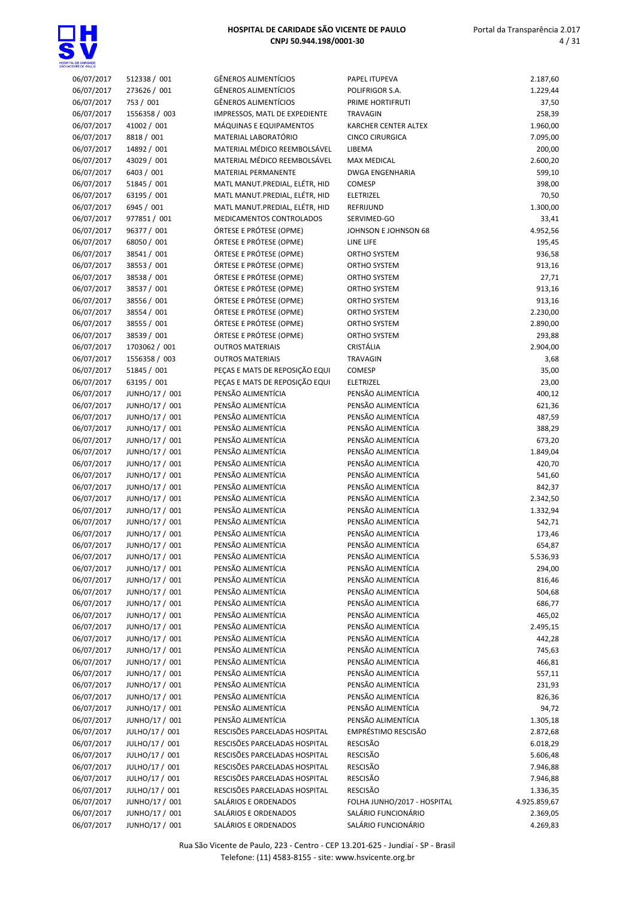| 06/07/2017 | 512338 / 001   | <b>GÊNEROS ALIMENTÍCIOS</b>     | PAPEL ITUPEVA               | 2.187,60     |
|------------|----------------|---------------------------------|-----------------------------|--------------|
| 06/07/2017 | 273626 / 001   | GÊNEROS ALIMENTÍCIOS            | POLIFRIGOR S.A.             | 1.229,44     |
|            |                |                                 |                             |              |
| 06/07/2017 | 753 / 001      | <b>GÊNEROS ALIMENTÍCIOS</b>     | PRIME HORTIFRUTI            | 37,50        |
| 06/07/2017 | 1556358 / 003  | IMPRESSOS, MATL DE EXPEDIENTE   | <b>TRAVAGIN</b>             | 258,39       |
| 06/07/2017 | 41002 / 001    | MÁQUINAS E EQUIPAMENTOS         | <b>KARCHER CENTER ALTEX</b> | 1.960,00     |
| 06/07/2017 | 8818 / 001     | MATERIAL LABORATÓRIO            | <b>CINCO CIRURGICA</b>      | 7.095,00     |
|            |                |                                 |                             |              |
| 06/07/2017 | 14892 / 001    | MATERIAL MÉDICO REEMBOLSÁVEL    | LIBEMA                      | 200,00       |
| 06/07/2017 | 43029 / 001    | MATERIAL MÉDICO REEMBOLSÁVEL    | <b>MAX MEDICAL</b>          | 2.600,20     |
| 06/07/2017 | 6403 / 001     | MATERIAL PERMANENTE             | <b>DWGA ENGENHARIA</b>      | 599,10       |
|            |                |                                 |                             |              |
| 06/07/2017 | 51845 / 001    | MATL MANUT.PREDIAL, ELÉTR, HID  | COMESP                      | 398,00       |
| 06/07/2017 | 63195 / 001    | MATL MANUT.PREDIAL, ELÉTR, HID  | <b>ELETRIZEL</b>            | 70,50        |
| 06/07/2017 | 6945 / 001     | MATL MANUT.PREDIAL, ELÉTR, HID  | REFRIJUND                   | 1.300,00     |
|            |                | <b>MEDICAMENTOS CONTROLADOS</b> |                             |              |
| 06/07/2017 | 977851 / 001   |                                 | SERVIMED-GO                 | 33,41        |
| 06/07/2017 | 96377 / 001    | ÓRTESE E PRÓTESE (OPME)         | JOHNSON E JOHNSON 68        | 4.952,56     |
| 06/07/2017 | 68050 / 001    | ÓRTESE E PRÓTESE (OPME)         | LINE LIFE                   | 195,45       |
| 06/07/2017 | 38541 / 001    | ÓRTESE E PRÓTESE (OPME)         | ORTHO SYSTEM                | 936,58       |
|            |                |                                 |                             |              |
| 06/07/2017 | 38553 / 001    | ÓRTESE E PRÓTESE (OPME)         | ORTHO SYSTEM                | 913,16       |
| 06/07/2017 | 38538 / 001    | ÓRTESE E PRÓTESE (OPME)         | ORTHO SYSTEM                | 27,71        |
| 06/07/2017 | 38537 / 001    | ÓRTESE E PRÓTESE (OPME)         | <b>ORTHO SYSTEM</b>         | 913,16       |
|            |                |                                 |                             |              |
| 06/07/2017 | 38556 / 001    | ÓRTESE E PRÓTESE (OPME)         | ORTHO SYSTEM                | 913,16       |
| 06/07/2017 | 38554 / 001    | ÓRTESE E PRÓTESE (OPME)         | <b>ORTHO SYSTEM</b>         | 2.230,00     |
| 06/07/2017 | 38555 / 001    | ÓRTESE E PRÓTESE (OPME)         | ORTHO SYSTEM                | 2.890,00     |
| 06/07/2017 | 38539 / 001    | ÓRTESE E PRÓTESE (OPME)         | ORTHO SYSTEM                | 293,88       |
|            |                |                                 |                             |              |
| 06/07/2017 | 1703062 / 001  | <b>OUTROS MATERIAIS</b>         | CRISTÁLIA                   | 2.904,00     |
| 06/07/2017 | 1556358 / 003  | <b>OUTROS MATERIAIS</b>         | <b>TRAVAGIN</b>             | 3,68         |
| 06/07/2017 | 51845 / 001    | PEÇAS E MATS DE REPOSIÇÃO EQUI  | COMESP                      | 35,00        |
|            |                |                                 |                             |              |
| 06/07/2017 | 63195 / 001    | PEÇAS E MATS DE REPOSIÇÃO EQUI  | <b>ELETRIZEL</b>            | 23,00        |
| 06/07/2017 | JUNHO/17 / 001 | PENSÃO ALIMENTÍCIA              | PENSÃO ALIMENTÍCIA          | 400,12       |
| 06/07/2017 | JUNHO/17 / 001 | PENSÃO ALIMENTÍCIA              | PENSÃO ALIMENTÍCIA          | 621,36       |
|            |                | PENSÃO ALIMENTÍCIA              | PENSÃO ALIMENTÍCIA          |              |
| 06/07/2017 | JUNHO/17 / 001 |                                 |                             | 487,59       |
| 06/07/2017 | JUNHO/17 / 001 | PENSÃO ALIMENTÍCIA              | PENSÃO ALIMENTÍCIA          | 388,29       |
| 06/07/2017 | JUNHO/17 / 001 | PENSÃO ALIMENTÍCIA              | PENSÃO ALIMENTÍCIA          | 673,20       |
| 06/07/2017 | JUNHO/17 / 001 | PENSÃO ALIMENTÍCIA              | PENSÃO ALIMENTÍCIA          | 1.849,04     |
|            |                |                                 |                             |              |
| 06/07/2017 | JUNHO/17 / 001 | PENSÃO ALIMENTÍCIA              | PENSÃO ALIMENTÍCIA          | 420,70       |
| 06/07/2017 | JUNHO/17 / 001 | PENSÃO ALIMENTÍCIA              | PENSÃO ALIMENTÍCIA          | 541,60       |
| 06/07/2017 | JUNHO/17 / 001 | PENSÃO ALIMENTÍCIA              | PENSÃO ALIMENTÍCIA          | 842,37       |
|            |                |                                 |                             |              |
| 06/07/2017 | JUNHO/17 / 001 | PENSÃO ALIMENTÍCIA              | PENSÃO ALIMENTÍCIA          | 2.342,50     |
| 06/07/2017 | JUNHO/17 / 001 | PENSÃO ALIMENTÍCIA              | PENSÃO ALIMENTÍCIA          | 1.332,94     |
| 06/07/2017 | JUNHO/17 / 001 | PENSÃO ALIMENTÍCIA              | PENSÃO ALIMENTÍCIA          | 542,71       |
|            |                | PENSÃO ALIMENTÍCIA              | PENSÃO ALIMENTÍCIA          |              |
| 06/07/2017 | JUNHO/17 / 001 |                                 |                             | 173,46       |
| 06/07/2017 | JUNHO/17 / 001 | PENSÃO ALIMENTÍCIA              | PENSÃO ALIMENTÍCIA          | 654,87       |
| 06/07/2017 | JUNHO/17 / 001 | PENSÃO ALIMENTÍCIA              | PENSÃO ALIMENTÍCIA          | 5.536,93     |
| 06/07/2017 | JUNHO/17 / 001 | PENSÃO ALIMENTÍCIA              | PENSÃO ALIMENTÍCIA          | 294,00       |
|            |                |                                 |                             |              |
| 06/07/2017 | JUNHO/17 / 001 | PENSÃO ALIMENTÍCIA              | PENSÃO ALIMENTÍCIA          | 816,46       |
| 06/07/2017 | JUNHO/17 / 001 | PENSÃO ALIMENTÍCIA              | PENSÃO ALIMENTÍCIA          | 504,68       |
| 06/07/2017 | JUNHO/17 / 001 | PENSÃO ALIMENTÍCIA              | PENSÃO ALIMENTÍCIA          | 686,77       |
|            |                |                                 |                             |              |
| 06/07/2017 | JUNHO/17 / 001 | PENSÃO ALIMENTÍCIA              | PENSÃO ALIMENTÍCIA          | 465,02       |
| 06/07/2017 | JUNHO/17 / 001 | PENSÃO ALIMENTÍCIA              | PENSÃO ALIMENTÍCIA          | 2.495,15     |
| 06/07/2017 | JUNHO/17 / 001 | PENSÃO ALIMENTÍCIA              | PENSÃO ALIMENTÍCIA          | 442,28       |
|            |                |                                 |                             |              |
| 06/07/2017 | JUNHO/17 / 001 | PENSÃO ALIMENTÍCIA              | PENSÃO ALIMENTÍCIA          | 745,63       |
| 06/07/2017 | JUNHO/17 / 001 | PENSÃO ALIMENTÍCIA              | PENSÃO ALIMENTÍCIA          | 466,81       |
| 06/07/2017 | JUNHO/17 / 001 | PENSÃO ALIMENTÍCIA              | PENSÃO ALIMENTÍCIA          | 557,11       |
| 06/07/2017 | JUNHO/17 / 001 | PENSÃO ALIMENTÍCIA              | PENSÃO ALIMENTÍCIA          | 231,93       |
|            |                |                                 |                             |              |
| 06/07/2017 | JUNHO/17 / 001 | PENSÃO ALIMENTÍCIA              | PENSÃO ALIMENTÍCIA          | 826,36       |
| 06/07/2017 | JUNHO/17 / 001 | PENSÃO ALIMENTÍCIA              | PENSÃO ALIMENTÍCIA          | 94,72        |
| 06/07/2017 | JUNHO/17 / 001 | PENSÃO ALIMENTÍCIA              | PENSÃO ALIMENTÍCIA          | 1.305,18     |
|            |                |                                 |                             |              |
| 06/07/2017 | JULHO/17 / 001 | RESCISÕES PARCELADAS HOSPITAL   | EMPRÉSTIMO RESCISÃO         | 2.872,68     |
| 06/07/2017 | JULHO/17 / 001 | RESCISÕES PARCELADAS HOSPITAL   | <b>RESCISÃO</b>             | 6.018,29     |
| 06/07/2017 | JULHO/17 / 001 | RESCISÕES PARCELADAS HOSPITAL   | RESCISÃO                    | 5.606,48     |
| 06/07/2017 | JULHO/17 / 001 | RESCISÕES PARCELADAS HOSPITAL   | RESCISÃO                    | 7.946,88     |
|            |                |                                 |                             |              |
| 06/07/2017 | JULHO/17 / 001 | RESCISÕES PARCELADAS HOSPITAL   | RESCISÃO                    | 7.946,88     |
| 06/07/2017 | JULHO/17 / 001 | RESCISÕES PARCELADAS HOSPITAL   | <b>RESCISÃO</b>             | 1.336,35     |
| 06/07/2017 | JUNHO/17 / 001 | SALÁRIOS E ORDENADOS            | FOLHA JUNHO/2017 - HOSPITAL | 4.925.859,67 |
|            |                |                                 |                             |              |
| 06/07/2017 | JUNHO/17 / 001 | SALÁRIOS E ORDENADOS            | SALÁRIO FUNCIONÁRIO         | 2.369,05     |
| 06/07/2017 | JUNHO/17 / 001 | SALÁRIOS E ORDENADOS            | SALÁRIO FUNCIONÁRIO         | 4.269,83     |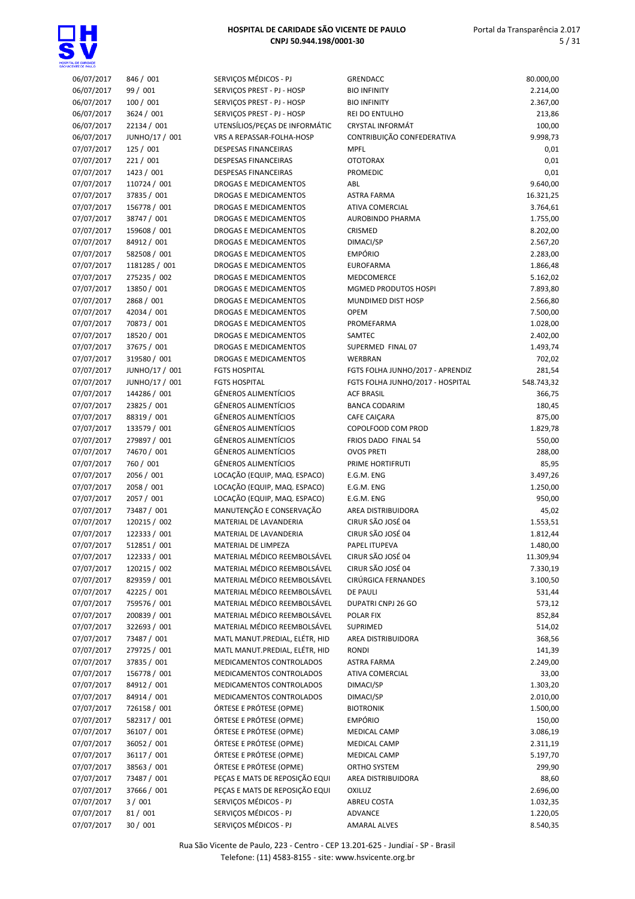

| 06/07/2017 | 846 / 001      | SERVIÇOS MÉDICOS - PJ          | <b>GRENDACC</b>                  | 80.000,00  |
|------------|----------------|--------------------------------|----------------------------------|------------|
| 06/07/2017 | 99 / 001       | SERVIÇOS PREST - PJ - HOSP     | <b>BIO INFINITY</b>              | 2.214,00   |
| 06/07/2017 | 100/001        | SERVIÇOS PREST - PJ - HOSP     | <b>BIO INFINITY</b>              | 2.367,00   |
| 06/07/2017 | 3624 / 001     | SERVIÇOS PREST - PJ - HOSP     | <b>REI DO ENTULHO</b>            | 213,86     |
| 06/07/2017 | 22134 / 001    | UTENSÍLIOS/PEÇAS DE INFORMÁTIC | <b>CRYSTAL INFORMÁT</b>          | 100,00     |
| 06/07/2017 | JUNHO/17 / 001 | VRS A REPASSAR-FOLHA-HOSP      | CONTRIBUIÇÃO CONFEDERATIVA       | 9.998,73   |
|            |                |                                |                                  |            |
| 07/07/2017 | 125/001        | <b>DESPESAS FINANCEIRAS</b>    | <b>MPFL</b>                      | 0,01       |
| 07/07/2017 | 221/001        | DESPESAS FINANCEIRAS           | <b>OTOTORAX</b>                  | 0,01       |
| 07/07/2017 | 1423 / 001     | DESPESAS FINANCEIRAS           | <b>PROMEDIC</b>                  | 0,01       |
| 07/07/2017 | 110724 / 001   | DROGAS E MEDICAMENTOS          | ABL                              | 9.640,00   |
| 07/07/2017 | 37835 / 001    | DROGAS E MEDICAMENTOS          | <b>ASTRA FARMA</b>               | 16.321,25  |
| 07/07/2017 | 156778 / 001   | DROGAS E MEDICAMENTOS          | <b>ATIVA COMERCIAL</b>           | 3.764,61   |
| 07/07/2017 | 38747 / 001    | <b>DROGAS E MEDICAMENTOS</b>   | AUROBINDO PHARMA                 | 1.755,00   |
| 07/07/2017 | 159608 / 001   | DROGAS E MEDICAMENTOS          | CRISMED                          | 8.202,00   |
| 07/07/2017 | 84912 / 001    | DROGAS E MEDICAMENTOS          | DIMACI/SP                        | 2.567,20   |
| 07/07/2017 | 582508 / 001   | DROGAS E MEDICAMENTOS          | <b>EMPÓRIO</b>                   | 2.283,00   |
| 07/07/2017 | 1181285 / 001  | DROGAS E MEDICAMENTOS          | <b>EUROFARMA</b>                 | 1.866,48   |
| 07/07/2017 | 275235 / 002   | DROGAS E MEDICAMENTOS          | MEDCOMERCE                       | 5.162,02   |
| 07/07/2017 | 13850 / 001    | DROGAS E MEDICAMENTOS          | MGMED PRODUTOS HOSPI             | 7.893,80   |
| 07/07/2017 | 2868 / 001     | DROGAS E MEDICAMENTOS          | MUNDIMED DIST HOSP               | 2.566,80   |
| 07/07/2017 | 42034 / 001    | DROGAS E MEDICAMENTOS          | <b>OPEM</b>                      | 7.500,00   |
| 07/07/2017 | 70873 / 001    | DROGAS E MEDICAMENTOS          | PROMEFARMA                       | 1.028,00   |
| 07/07/2017 | 18520 / 001    | <b>DROGAS E MEDICAMENTOS</b>   | SAMTEC                           | 2.402,00   |
| 07/07/2017 | 37675 / 001    | DROGAS E MEDICAMENTOS          | SUPERMED FINAL 07                | 1.493,74   |
| 07/07/2017 | 319580 / 001   | DROGAS E MEDICAMENTOS          | WERBRAN                          | 702,02     |
| 07/07/2017 | JUNHO/17 / 001 | <b>FGTS HOSPITAL</b>           | FGTS FOLHA JUNHO/2017 - APRENDIZ | 281,54     |
| 07/07/2017 | JUNHO/17 / 001 | <b>FGTS HOSPITAL</b>           | FGTS FOLHA JUNHO/2017 - HOSPITAL | 548.743,32 |
| 07/07/2017 | 144286 / 001   | <b>GÊNEROS ALIMENTÍCIOS</b>    | <b>ACF BRASIL</b>                | 366,75     |
| 07/07/2017 | 23825 / 001    | GÊNEROS ALIMENTÍCIOS           | <b>BANCA CODARIM</b>             | 180,45     |
| 07/07/2017 | 88319 / 001    | GÊNEROS ALIMENTÍCIOS           | CAFE CAIÇARA                     | 875,00     |
| 07/07/2017 | 133579 / 001   | <b>GÊNEROS ALIMENTÍCIOS</b>    | COPOLFOOD COM PROD               | 1.829,78   |
|            |                |                                |                                  |            |
| 07/07/2017 | 279897 / 001   | <b>GÊNEROS ALIMENTÍCIOS</b>    | FRIOS DADO FINAL 54              | 550,00     |
| 07/07/2017 | 74670 / 001    | GÊNEROS ALIMENTÍCIOS           | <b>OVOS PRETI</b>                | 288,00     |
| 07/07/2017 | 760 / 001      | <b>GÊNEROS ALIMENTÍCIOS</b>    | PRIME HORTIFRUTI                 | 85,95      |
| 07/07/2017 | 2056 / 001     | LOCAÇÃO (EQUIP, MAQ. ESPACO)   | E.G.M. ENG                       | 3.497,26   |
| 07/07/2017 | 2058 / 001     | LOCAÇÃO (EQUIP, MAQ. ESPACO)   | E.G.M. ENG                       | 1.250,00   |
| 07/07/2017 | 2057 / 001     | LOCAÇÃO (EQUIP, MAQ. ESPACO)   | E.G.M. ENG                       | 950,00     |
| 07/07/2017 | 73487 / 001    | MANUTENÇÃO E CONSERVAÇÃO       | AREA DISTRIBUIDORA               | 45,02      |
| 07/07/2017 | 120215 / 002   | MATERIAL DE LAVANDERIA         | CIRUR SÃO JOSÉ 04                | 1.553,51   |
| 07/07/2017 | 122333 / 001   | MATERIAL DE LAVANDERIA         | CIRUR SÃO JOSÉ 04                | 1.812,44   |
| 07/07/2017 | 512851 / 001   | MATERIAL DE LIMPEZA            | PAPEL ITUPEVA                    | 1.480,00   |
| 07/07/2017 | 122333 / 001   | MATERIAL MÉDICO REEMBOLSÁVEL   | CIRUR SÃO JOSÉ 04                | 11.309,94  |
| 07/07/2017 | 120215 / 002   | MATERIAL MÉDICO REEMBOLSÁVEL   | CIRUR SÃO JOSÉ 04                | 7.330,19   |
| 07/07/2017 | 829359 / 001   | MATERIAL MÉDICO REEMBOLSÁVEL   | CIRÚRGICA FERNANDES              | 3.100,50   |
| 07/07/2017 | 42225 / 001    | MATERIAL MÉDICO REEMBOLSÁVEL   | <b>DE PAULI</b>                  | 531,44     |
| 07/07/2017 | 759576 / 001   | MATERIAL MÉDICO REEMBOLSÁVEL   | DUPATRI CNPJ 26 GO               | 573,12     |
| 07/07/2017 | 200839 / 001   | MATERIAL MÉDICO REEMBOLSÁVEL   | POLAR FIX                        | 852,84     |
| 07/07/2017 | 322693 / 001   | MATERIAL MÉDICO REEMBOLSÁVEL   | SUPRIMED                         | 514,02     |
| 07/07/2017 | 73487 / 001    | MATL MANUT.PREDIAL, ELÉTR, HID | AREA DISTRIBUIDORA               | 368,56     |
| 07/07/2017 | 279725 / 001   | MATL MANUT.PREDIAL, ELÉTR, HID | <b>RONDI</b>                     | 141,39     |
| 07/07/2017 | 37835 / 001    | MEDICAMENTOS CONTROLADOS       | ASTRA FARMA                      | 2.249,00   |
| 07/07/2017 | 156778 / 001   | MEDICAMENTOS CONTROLADOS       | ATIVA COMERCIAL                  | 33,00      |
| 07/07/2017 | 84912 / 001    | MEDICAMENTOS CONTROLADOS       | DIMACI/SP                        | 1.303,20   |
| 07/07/2017 | 84914 / 001    | MEDICAMENTOS CONTROLADOS       | DIMACI/SP                        | 2.010,00   |
| 07/07/2017 | 726158 / 001   | ÓRTESE E PRÓTESE (OPME)        | <b>BIOTRONIK</b>                 | 1.500,00   |
| 07/07/2017 | 582317 / 001   | ÓRTESE E PRÓTESE (OPME)        | <b>EMPÓRIO</b>                   | 150,00     |
| 07/07/2017 | 36107 / 001    | ÓRTESE E PRÓTESE (OPME)        | MEDICAL CAMP                     | 3.086,19   |
|            |                |                                |                                  |            |
| 07/07/2017 | 36052 / 001    | ÓRTESE E PRÓTESE (OPME)        | MEDICAL CAMP                     | 2.311,19   |
| 07/07/2017 | 36117 / 001    | ÓRTESE E PRÓTESE (OPME)        | MEDICAL CAMP                     | 5.197,70   |
| 07/07/2017 | 38563 / 001    | ÓRTESE E PRÓTESE (OPME)        | ORTHO SYSTEM                     | 299,90     |
| 07/07/2017 | 73487 / 001    | PEÇAS E MATS DE REPOSIÇÃO EQUI | AREA DISTRIBUIDORA               | 88,60      |
| 07/07/2017 | 37666 / 001    | PEÇAS E MATS DE REPOSIÇÃO EQUI | <b>OXILUZ</b>                    | 2.696,00   |
| 07/07/2017 | 3/001          | SERVIÇOS MÉDICOS - PJ          | ABREU COSTA                      | 1.032,35   |
| 07/07/2017 | 81 / 001       | SERVIÇOS MÉDICOS - PJ          | ADVANCE                          | 1.220,05   |
| 07/07/2017 | 30 / 001       | SERVIÇOS MÉDICOS - PJ          | <b>AMARAL ALVES</b>              | 8.540,35   |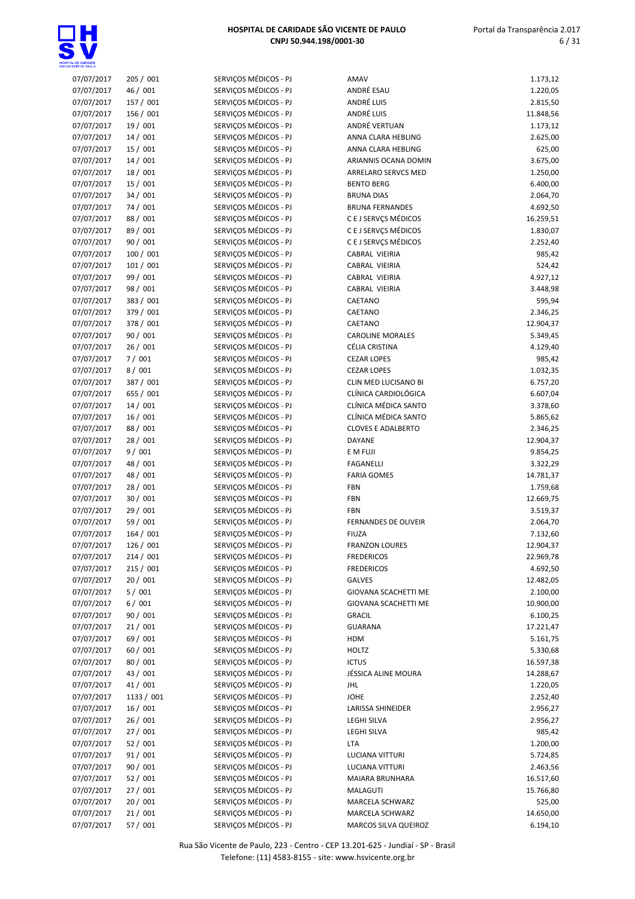

| 07/07/2017 | 205 / 001  | SERVIÇOS MÉDICOS - PJ | AMAV                        | 1.173,12  |
|------------|------------|-----------------------|-----------------------------|-----------|
| 07/07/2017 | 46 / 001   | SERVIÇOS MÉDICOS - PJ | ANDRÉ ESAU                  | 1.220,05  |
| 07/07/2017 | 157 / 001  | SERVIÇOS MÉDICOS - PJ | ANDRÉ LUIS                  | 2.815,50  |
| 07/07/2017 | 156 / 001  | SERVIÇOS MÉDICOS - PJ | ANDRÉ LUIS                  | 11.848,56 |
| 07/07/2017 | 19 / 001   | SERVIÇOS MÉDICOS - PJ | ANDRÉ VERTUAN               | 1.173,12  |
| 07/07/2017 | 14 / 001   | SERVIÇOS MÉDICOS - PJ | ANNA CLARA HEBLING          | 2.625,00  |
| 07/07/2017 | 15 / 001   | SERVIÇOS MÉDICOS - PJ | ANNA CLARA HEBLING          | 625,00    |
| 07/07/2017 | 14 / 001   | SERVIÇOS MÉDICOS - PJ | ARIANNIS OCANA DOMIN        | 3.675,00  |
| 07/07/2017 | 18 / 001   | SERVIÇOS MÉDICOS - PJ | ARRELARO SERVCS MED         | 1.250,00  |
| 07/07/2017 | 15 / 001   | SERVIÇOS MÉDICOS - PJ | <b>BENTO BERG</b>           | 6.400,00  |
| 07/07/2017 | 34 / 001   | SERVIÇOS MÉDICOS - PJ | <b>BRUNA DIAS</b>           | 2.064,70  |
| 07/07/2017 | 74 / 001   | SERVIÇOS MÉDICOS - PJ | <b>BRUNA FERNANDES</b>      | 4.692,50  |
|            | 88 / 001   | SERVIÇOS MÉDICOS - PJ | C E J SERVCS MÉDICOS        |           |
| 07/07/2017 |            | SERVIÇOS MÉDICOS - PJ | C E J SERVÇS MÉDICOS        | 16.259,51 |
| 07/07/2017 | 89 / 001   |                       |                             | 1.830,07  |
| 07/07/2017 | 90 / 001   | SERVIÇOS MÉDICOS - PJ | C E J SERVÇS MÉDICOS        | 2.252,40  |
| 07/07/2017 | 100 / 001  | SERVIÇOS MÉDICOS - PJ | CABRAL VIEIRIA              | 985,42    |
| 07/07/2017 | 101/001    | SERVIÇOS MÉDICOS - PJ | CABRAL VIEIRIA              | 524,42    |
| 07/07/2017 | 99 / 001   | SERVIÇOS MÉDICOS - PJ | CABRAL VIEIRIA              | 4.927,12  |
| 07/07/2017 | 98 / 001   | SERVIÇOS MÉDICOS - PJ | CABRAL VIEIRIA              | 3.448,98  |
| 07/07/2017 | 383 / 001  | SERVIÇOS MÉDICOS - PJ | CAETANO                     | 595,94    |
| 07/07/2017 | 379 / 001  | SERVIÇOS MÉDICOS - PJ | CAETANO                     | 2.346,25  |
| 07/07/2017 | 378 / 001  | SERVIÇOS MÉDICOS - PJ | CAETANO                     | 12.904,37 |
| 07/07/2017 | 90 / 001   | SERVIÇOS MÉDICOS - PJ | <b>CAROLINE MORALES</b>     | 5.349,45  |
| 07/07/2017 | 26/001     | SERVIÇOS MÉDICOS - PJ | CÉLIA CRISTINA              | 4.129,40  |
| 07/07/2017 | 7/001      | SERVIÇOS MÉDICOS - PJ | <b>CEZAR LOPES</b>          | 985,42    |
| 07/07/2017 | 8/001      | SERVIÇOS MÉDICOS - PJ | <b>CEZAR LOPES</b>          | 1.032,35  |
| 07/07/2017 | 387 / 001  | SERVIÇOS MÉDICOS - PJ | CLIN MED LUCISANO BI        | 6.757,20  |
| 07/07/2017 | 655 / 001  | SERVIÇOS MÉDICOS - PJ | CLÍNICA CARDIOLÓGICA        | 6.607,04  |
| 07/07/2017 | 14/001     | SERVIÇOS MÉDICOS - PJ | CLÍNICA MÉDICA SANTO        | 3.378,60  |
| 07/07/2017 | 16/001     | SERVIÇOS MÉDICOS - PJ | CLÍNICA MÉDICA SANTO        | 5.865,62  |
| 07/07/2017 | 88 / 001   | SERVIÇOS MÉDICOS - PJ | <b>CLOVES E ADALBERTO</b>   | 2.346,25  |
| 07/07/2017 | 28 / 001   | SERVIÇOS MÉDICOS - PJ | DAYANE                      | 12.904,37 |
| 07/07/2017 | 9/001      | SERVIÇOS MÉDICOS - PJ | E M FUJI                    | 9.854,25  |
| 07/07/2017 | 48 / 001   | SERVIÇOS MÉDICOS - PJ | <b>FAGANELLI</b>            | 3.322,29  |
| 07/07/2017 | 48 / 001   | SERVIÇOS MÉDICOS - PJ | <b>FARIA GOMES</b>          | 14.781,37 |
| 07/07/2017 | 28 / 001   | SERVIÇOS MÉDICOS - PJ | FBN                         | 1.759,68  |
| 07/07/2017 | 30 / 001   | SERVIÇOS MÉDICOS - PJ | <b>FBN</b>                  | 12.669,75 |
| 07/07/2017 | 29 / 001   | SERVIÇOS MÉDICOS - PJ | <b>FBN</b>                  | 3.519,37  |
| 07/07/2017 | 59 / 001   | SERVIÇOS MÉDICOS - PJ | <b>FERNANDES DE OLIVEIR</b> | 2.064,70  |
| 07/07/2017 | 164 / 001  | SERVIÇOS MÉDICOS - PJ | <b>FIUZA</b>                | 7.132,60  |
| 07/07/2017 | 126 / 001  | SERVIÇOS MÉDICOS - PJ | <b>FRANZON LOURES</b>       | 12.904,37 |
| 07/07/2017 | 214/001    | SERVIÇOS MÉDICOS - PJ | <b>FREDERICOS</b>           | 22.969,78 |
| 07/07/2017 | 215/001    | SERVIÇOS MÉDICOS - PJ | <b>FREDERICOS</b>           | 4.692,50  |
| 07/07/2017 | 20/001     | SERVIÇOS MÉDICOS - PJ | <b>GALVES</b>               | 12.482,05 |
| 07/07/2017 | 5/001      | SERVIÇOS MÉDICOS - PJ | GIOVANA SCACHETTI ME        | 2.100,00  |
| 07/07/2017 | 6/001      | SERVIÇOS MÉDICOS - PJ | GIOVANA SCACHETTI ME        | 10.900,00 |
| 07/07/2017 | 90 / 001   | SERVIÇOS MÉDICOS - PJ | <b>GRACIL</b>               | 6.100,25  |
| 07/07/2017 | 21/001     | SERVIÇOS MÉDICOS - PJ |                             | 17.221,47 |
|            |            | SERVIÇOS MÉDICOS - PJ | <b>GUARANA</b><br>HDM       | 5.161,75  |
| 07/07/2017 | 69 / 001   |                       |                             |           |
| 07/07/2017 | 60 / 001   | SERVICOS MÉDICOS - PJ | <b>HOLTZ</b>                | 5.330,68  |
| 07/07/2017 | 80 / 001   | SERVIÇOS MÉDICOS - PJ | <b>ICTUS</b>                | 16.597,38 |
| 07/07/2017 | 43 / 001   | SERVIÇOS MÉDICOS - PJ | JÉSSICA ALINE MOURA         | 14.288,67 |
| 07/07/2017 | 41/001     | SERVICOS MÉDICOS - PJ | <b>JHL</b>                  | 1.220,05  |
| 07/07/2017 | 1133 / 001 | SERVIÇOS MÉDICOS - PJ | JOHE                        | 2.252,40  |
| 07/07/2017 | 16/001     | SERVIÇOS MÉDICOS - PJ | LARISSA SHINEIDER           | 2.956,27  |
| 07/07/2017 | 26 / 001   | SERVIÇOS MÉDICOS - PJ | LEGHI SILVA                 | 2.956,27  |
| 07/07/2017 | 27 / 001   | SERVIÇOS MÉDICOS - PJ | LEGHI SILVA                 | 985,42    |
| 07/07/2017 | 52 / 001   | SERVIÇOS MÉDICOS - PJ | <b>LTA</b>                  | 1.200,00  |
| 07/07/2017 | 91/001     | SERVIÇOS MÉDICOS - PJ | LUCIANA VITTURI             | 5.724,85  |
| 07/07/2017 | 90 / 001   | SERVIÇOS MÉDICOS - PJ | LUCIANA VITTURI             | 2.463,56  |
| 07/07/2017 | 52 / 001   | SERVIÇOS MÉDICOS - PJ | MAIARA BRUNHARA             | 16.517,60 |
| 07/07/2017 | 27 / 001   | SERVIÇOS MÉDICOS - PJ | MALAGUTI                    | 15.766,80 |
| 07/07/2017 | 20 / 001   | SERVIÇOS MÉDICOS - PJ | MARCELA SCHWARZ             | 525,00    |
| 07/07/2017 | 21/001     | SERVIÇOS MÉDICOS - PJ | MARCELA SCHWARZ             | 14.650,00 |
| 07/07/2017 | 57 / 001   | SERVIÇOS MÉDICOS - PJ | MARCOS SILVA QUEIROZ        | 6.194,10  |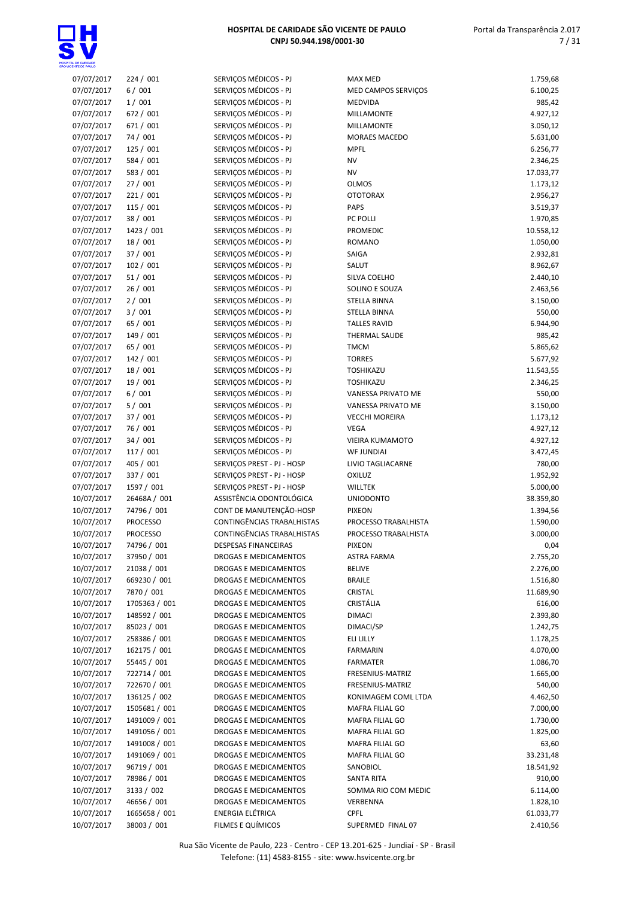

| 07/07/2017               | 224 / 001                    | SERVIÇOS MÉDICOS - PJ        | <b>MAX MED</b>                    | 1.759,68              |
|--------------------------|------------------------------|------------------------------|-----------------------------------|-----------------------|
| 07/07/2017               | 6/001                        | SERVIÇOS MÉDICOS - PJ        | MED CAMPOS SERVIÇOS               | 6.100,25              |
| 07/07/2017               | 1/001                        | SERVIÇOS MÉDICOS - PJ        | MEDVIDA                           | 985,42                |
| 07/07/2017               | 672 / 001                    | SERVIÇOS MÉDICOS - PJ        | <b>MILLAMONTE</b>                 | 4.927,12              |
| 07/07/2017               | 671 / 001                    | SERVIÇOS MÉDICOS - PJ        | <b>MILLAMONTE</b>                 | 3.050,12              |
| 07/07/2017               | 74 / 001                     | SERVIÇOS MÉDICOS - PJ        | MORAES MACEDO                     | 5.631,00              |
| 07/07/2017               | 125/001                      | SERVIÇOS MÉDICOS - PJ        | <b>MPFL</b>                       | 6.256,77              |
| 07/07/2017               | 584 / 001                    | SERVIÇOS MÉDICOS - PJ        | <b>NV</b>                         | 2.346,25              |
| 07/07/2017               | 583 / 001                    | SERVIÇOS MÉDICOS - PJ        | <b>NV</b>                         | 17.033,77             |
| 07/07/2017               | 27 / 001                     | SERVIÇOS MÉDICOS - PJ        | <b>OLMOS</b>                      | 1.173,12              |
| 07/07/2017               | 221/001                      | SERVIÇOS MÉDICOS - PJ        | <b>OTOTORAX</b>                   | 2.956,27              |
| 07/07/2017               | 115 / 001                    | SERVIÇOS MÉDICOS - PJ        | PAPS                              | 3.519,37              |
| 07/07/2017               | 38 / 001                     | SERVIÇOS MÉDICOS - PJ        | PC POLLI                          | 1.970,85              |
| 07/07/2017               | 1423 / 001                   | SERVIÇOS MÉDICOS - PJ        | <b>PROMEDIC</b>                   | 10.558,12             |
| 07/07/2017               | 18 / 001                     | SERVIÇOS MÉDICOS - PJ        | <b>ROMANO</b>                     | 1.050,00              |
| 07/07/2017               | 37 / 001                     | SERVIÇOS MÉDICOS - PJ        | SAIGA                             | 2.932,81              |
| 07/07/2017               | 102 / 001                    | SERVIÇOS MÉDICOS - PJ        | SALUT                             | 8.962,67              |
| 07/07/2017               | 51/001                       | SERVIÇOS MÉDICOS - PJ        | SILVA COELHO                      | 2.440,10              |
| 07/07/2017               | 26/001                       | SERVIÇOS MÉDICOS - PJ        | SOLINO E SOUZA                    | 2.463,56              |
| 07/07/2017               | 2/001                        | SERVIÇOS MÉDICOS - PJ        | STELLA BINNA                      | 3.150,00              |
| 07/07/2017               | 3/001                        | SERVIÇOS MÉDICOS - PJ        | <b>STELLA BINNA</b>               | 550,00                |
| 07/07/2017               | 65 / 001                     | SERVIÇOS MÉDICOS - PJ        | <b>TALLES RAVID</b>               | 6.944,90              |
| 07/07/2017               | 149 / 001                    | SERVIÇOS MÉDICOS - PJ        | THERMAL SAUDE                     | 985,42                |
| 07/07/2017               | 65 / 001                     | SERVIÇOS MÉDICOS - PJ        | <b>TMCM</b>                       | 5.865,62              |
| 07/07/2017               | 142 / 001                    | SERVIÇOS MÉDICOS - PJ        | <b>TORRES</b>                     | 5.677,92              |
| 07/07/2017               | 18 / 001                     | SERVIÇOS MÉDICOS - PJ        | TOSHIKAZU                         | 11.543,55             |
| 07/07/2017               | 19 / 001                     | SERVIÇOS MÉDICOS - PJ        | TOSHIKAZU                         | 2.346,25              |
| 07/07/2017               | 6/001                        | SERVIÇOS MÉDICOS - PJ        | VANESSA PRIVATO ME                | 550,00                |
| 07/07/2017               | 5/001                        | SERVIÇOS MÉDICOS - PJ        | VANESSA PRIVATO ME                | 3.150,00              |
| 07/07/2017               | 37 / 001                     | SERVIÇOS MÉDICOS - PJ        | <b>VECCHI MOREIRA</b>             | 1.173,12              |
| 07/07/2017               | 76 / 001                     | SERVIÇOS MÉDICOS - PJ        | VEGA                              | 4.927,12              |
| 07/07/2017               | 34 / 001                     | SERVIÇOS MÉDICOS - PJ        | <b>VIEIRA KUMAMOTO</b>            | 4.927,12              |
| 07/07/2017               | 117 / 001                    | SERVIÇOS MÉDICOS - PJ        | <b>WF JUNDIAI</b>                 | 3.472,45              |
| 07/07/2017               | 405 / 001                    | SERVIÇOS PREST - PJ - HOSP   | LIVIO TAGLIACARNE                 | 780,00                |
| 07/07/2017               | 337 / 001                    | SERVIÇOS PREST - PJ - HOSP   | <b>OXILUZ</b>                     | 1.952,92              |
| 07/07/2017               | 1597 / 001                   | SERVIÇOS PREST - PJ - HOSP   | <b>WILLTEK</b>                    | 5.000,00              |
| 10/07/2017               | 26468A / 001                 | ASSISTÊNCIA ODONTOLÓGICA     | <b>UNIODONTO</b>                  | 38.359,80             |
| 10/07/2017               | 74796 / 001                  | CONT DE MANUTENÇÃO-HOSP      | <b>PIXEON</b>                     | 1.394,56              |
| 10/07/2017               | PROCESSO                     | CONTINGÊNCIAS TRABALHISTAS   | PROCESSO TRABALHISTA              | 1.590,00              |
| 10/07/2017               | <b>PROCESSO</b>              | CONTINGÊNCIAS TRABALHISTAS   | PROCESSO TRABALHISTA              | 3.000,00              |
| 10/07/2017               | 74796 / 001                  | <b>DESPESAS FINANCEIRAS</b>  | <b>PIXEON</b>                     | 0,04                  |
| 10/07/2017               | 37950 / 001                  | DROGAS E MEDICAMENTOS        | ASTRA FARMA                       | 2.755,20              |
| 10/07/2017               | 21038 / 001                  | DROGAS E MEDICAMENTOS        | <b>BELIVE</b>                     | 2.276,00              |
| 10/07/2017               | 669230 / 001                 | <b>DROGAS E MEDICAMENTOS</b> | <b>BRAILE</b>                     | 1.516,80              |
| 10/07/2017               | 7870 / 001                   | DROGAS E MEDICAMENTOS        | CRISTAL                           | 11.689,90             |
| 10/07/2017               | 1705363 / 001                | DROGAS E MEDICAMENTOS        | CRISTÁLIA                         | 616,00                |
| 10/07/2017               | 148592 / 001                 | DROGAS E MEDICAMENTOS        | <b>DIMACI</b>                     | 2.393,80              |
| 10/07/2017               | 85023 / 001                  | DROGAS E MEDICAMENTOS        | DIMACI/SP                         | 1.242,75              |
| 10/07/2017               | 258386 / 001                 | DROGAS E MEDICAMENTOS        | ELI LILLY                         | 1.178,25              |
| 10/07/2017               | 162175 / 001                 | DROGAS E MEDICAMENTOS        | <b>FARMARIN</b>                   | 4.070,00              |
| 10/07/2017               | 55445 / 001                  | DROGAS E MEDICAMENTOS        | <b>FARMATER</b>                   | 1.086,70              |
| 10/07/2017               | 722714 / 001                 | DROGAS E MEDICAMENTOS        | FRESENIUS-MATRIZ                  | 1.665,00              |
| 10/07/2017               | 722670 / 001                 | DROGAS E MEDICAMENTOS        | FRESENIUS-MATRIZ                  | 540,00                |
| 10/07/2017               | 136125 / 002                 | DROGAS E MEDICAMENTOS        | KONIMAGEM COML LTDA               | 4.462,50              |
| 10/07/2017               | 1505681 / 001                | DROGAS E MEDICAMENTOS        | MAFRA FILIAL GO                   | 7.000,00              |
| 10/07/2017               | 1491009 / 001                | DROGAS E MEDICAMENTOS        | MAFRA FILIAL GO                   | 1.730,00              |
| 10/07/2017               | 1491056 / 001                | DROGAS E MEDICAMENTOS        | MAFRA FILIAL GO                   | 1.825,00              |
| 10/07/2017               | 1491008 / 001                | DROGAS E MEDICAMENTOS        | MAFRA FILIAL GO                   |                       |
| 10/07/2017               | 1491069 / 001                | DROGAS E MEDICAMENTOS        |                                   | 63,60                 |
| 10/07/2017               | 96719 / 001                  | DROGAS E MEDICAMENTOS        | MAFRA FILIAL GO                   | 33.231,48             |
| 10/07/2017               | 78986 / 001                  | DROGAS E MEDICAMENTOS        | SANOBIOL                          | 18.541,92             |
|                          | 3133 / 002                   | DROGAS E MEDICAMENTOS        | SANTA RITA<br>SOMMA RIO COM MEDIC | 910,00                |
| 10/07/2017               |                              | DROGAS E MEDICAMENTOS        |                                   | 6.114,00              |
| 10/07/2017               | 46656 / 001<br>1665658 / 001 | ENERGIA ELÉTRICA             | VERBENNA<br><b>CPFL</b>           | 1.828,10<br>61.033,77 |
| 10/07/2017<br>10/07/2017 |                              | FILMES E QUÍMICOS            |                                   | 2.410,56              |
|                          | 38003 / 001                  |                              | SUPERMED FINAL 07                 |                       |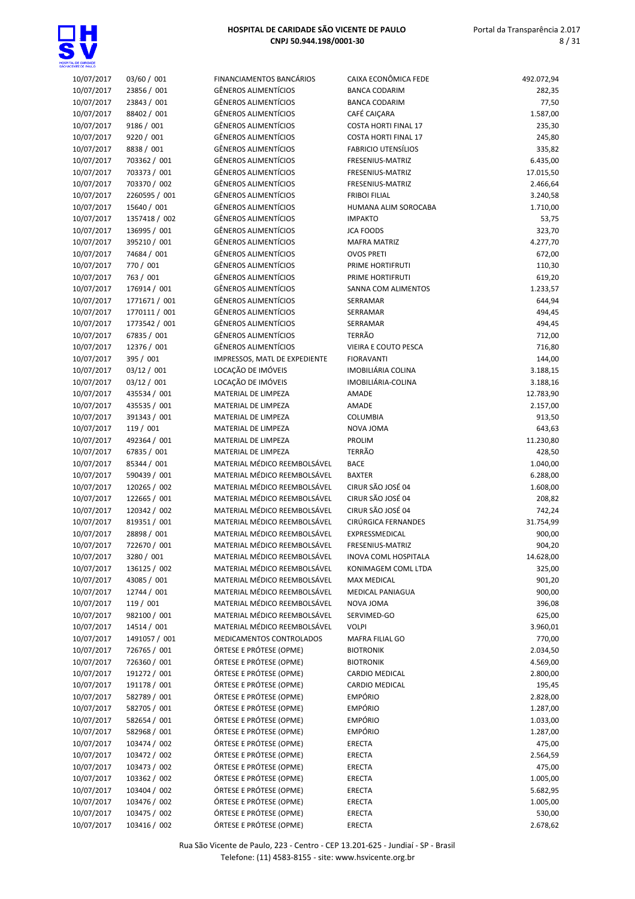

## Portal da Transparência 2.017 8 / 31

| 10/07/2017 | 03/60 / 001                  | FINANCIAMENTOS BANCÁRIOS                   | CAIXA ECONÔMICA FEDE        | 492.072,94            |
|------------|------------------------------|--------------------------------------------|-----------------------------|-----------------------|
| 10/07/2017 | 23856 / 001                  | <b>GÊNEROS ALIMENTÍCIOS</b>                | <b>BANCA CODARIM</b>        | 282,35                |
| 10/07/2017 | 23843 / 001                  | GÊNEROS ALIMENTÍCIOS                       | <b>BANCA CODARIM</b>        | 77,50                 |
| 10/07/2017 | 88402 / 001                  | GÊNEROS ALIMENTÍCIOS                       | CAFÉ CAIÇARA                | 1.587,00              |
| 10/07/2017 | 9186 / 001                   | <b>GÊNEROS ALIMENTÍCIOS</b>                | <b>COSTA HORTI FINAL 17</b> | 235,30                |
| 10/07/2017 | 9220 / 001                   | <b>GÊNEROS ALIMENTÍCIOS</b>                | <b>COSTA HORTI FINAL 17</b> | 245,80                |
| 10/07/2017 | 8838 / 001                   | GÊNEROS ALIMENTÍCIOS                       | <b>FABRICIO UTENSÍLIOS</b>  | 335,82                |
| 10/07/2017 | 703362 / 001                 | GÊNEROS ALIMENTÍCIOS                       | FRESENIUS-MATRIZ            | 6.435,00              |
| 10/07/2017 | 703373 / 001                 | GÊNEROS ALIMENTÍCIOS                       | FRESENIUS-MATRIZ            | 17.015,50             |
| 10/07/2017 | 703370 / 002                 | GÊNEROS ALIMENTÍCIOS                       | FRESENIUS-MATRIZ            | 2.466,64              |
| 10/07/2017 | 2260595 / 001                | <b>GÊNEROS ALIMENTÍCIOS</b>                | <b>FRIBOI FILIAL</b>        | 3.240,58              |
| 10/07/2017 | 15640 / 001                  | <b>GÊNEROS ALIMENTÍCIOS</b>                | HUMANA ALIM SOROCABA        | 1.710,00              |
| 10/07/2017 | 1357418 / 002                | <b>GÊNEROS ALIMENTÍCIOS</b>                | <b>IMPAKTO</b>              | 53,75                 |
| 10/07/2017 | 136995 / 001                 | <b>GÊNEROS ALIMENTÍCIOS</b>                | <b>JCA FOODS</b>            | 323,70                |
| 10/07/2017 | 395210 / 001                 | GÊNEROS ALIMENTÍCIOS                       | <b>MAFRA MATRIZ</b>         | 4.277,70              |
| 10/07/2017 | 74684 / 001                  | <b>GÊNEROS ALIMENTÍCIOS</b>                | <b>OVOS PRETI</b>           | 672,00                |
| 10/07/2017 | 770 / 001                    | <b>GÊNEROS ALIMENTÍCIOS</b>                | PRIME HORTIFRUTI            | 110,30                |
| 10/07/2017 | 763 / 001                    | GÊNEROS ALIMENTÍCIOS                       | PRIME HORTIFRUTI            | 619,20                |
| 10/07/2017 | 176914 / 001                 | <b>GÊNEROS ALIMENTÍCIOS</b>                | SANNA COM ALIMENTOS         | 1.233,57              |
| 10/07/2017 | 1771671 / 001                | <b>GÊNEROS ALIMENTÍCIOS</b>                | SERRAMAR                    | 644,94                |
| 10/07/2017 | 1770111 / 001                | <b>GÊNEROS ALIMENTÍCIOS</b>                | SERRAMAR                    | 494,45                |
| 10/07/2017 | 1773542 / 001                | <b>GÊNEROS ALIMENTÍCIOS</b>                | SERRAMAR                    | 494,45                |
| 10/07/2017 | 67835 / 001                  | <b>GÊNEROS ALIMENTÍCIOS</b>                | <b>TERRÃO</b>               | 712,00                |
| 10/07/2017 | 12376 / 001                  | <b>GÊNEROS ALIMENTÍCIOS</b>                | VIEIRA E COUTO PESCA        | 716,80                |
| 10/07/2017 | 395 / 001                    | IMPRESSOS, MATL DE EXPEDIENTE              | <b>FIORAVANTI</b>           | 144,00                |
| 10/07/2017 | 03/12 / 001                  | LOCAÇÃO DE IMÓVEIS                         | IMOBILIÁRIA COLINA          | 3.188,15              |
| 10/07/2017 | 03/12 / 001                  | LOCAÇÃO DE IMÓVEIS                         | IMOBILIÁRIA-COLINA          |                       |
| 10/07/2017 | 435534 / 001                 | MATERIAL DE LIMPEZA                        |                             | 3.188,16<br>12.783,90 |
| 10/07/2017 |                              |                                            | AMADE<br><b>AMADE</b>       |                       |
|            | 435535 / 001<br>391343 / 001 | MATERIAL DE LIMPEZA<br>MATERIAL DE LIMPEZA | <b>COLUMBIA</b>             | 2.157,00              |
| 10/07/2017 |                              | MATERIAL DE LIMPEZA                        | NOVA JOMA                   | 913,50                |
| 10/07/2017 | 119 / 001                    |                                            |                             | 643,63                |
| 10/07/2017 | 492364 / 001                 | MATERIAL DE LIMPEZA                        | PROLIM<br><b>TERRÃO</b>     | 11.230,80             |
| 10/07/2017 | 67835 / 001                  | MATERIAL DE LIMPEZA                        |                             | 428,50                |
| 10/07/2017 | 85344 / 001                  | MATERIAL MÉDICO REEMBOLSÁVEL               | <b>BACE</b>                 | 1.040,00              |
| 10/07/2017 | 590439 / 001                 | MATERIAL MÉDICO REEMBOLSÁVEL               | <b>BAXTER</b>               | 6.288,00              |
| 10/07/2017 | 120265 / 002                 | MATERIAL MÉDICO REEMBOLSÁVEL               | CIRUR SÃO JOSÉ 04           | 1.608,00              |
| 10/07/2017 | 122665 / 001                 | MATERIAL MÉDICO REEMBOLSÁVEL               | CIRUR SÃO JOSÉ 04           | 208,82                |
| 10/07/2017 | 120342 / 002                 | MATERIAL MÉDICO REEMBOLSÁVEL               | CIRUR SÃO JOSÉ 04           | 742,24                |
| 10/07/2017 | 819351 / 001                 | MATERIAL MÉDICO REEMBOLSÁVEL               | CIRÚRGICA FERNANDES         | 31.754,99             |
| 10/07/2017 | 28898 / 001                  | MATERIAL MÉDICO REEMBOLSÁVEL               | EXPRESSMEDICAL              | 900,00                |
| 10/07/2017 | 722670 / 001                 | MATERIAL MÉDICO REEMBOLSÁVEL               | <b>FRESENIUS-MATRIZ</b>     | 904,20                |
| 10/07/2017 | 3280 / 001                   | MATERIAL MÉDICO REEMBOLSÁVEL               | INOVA COML HOSPITALA        | 14.628,00             |
| 10/07/2017 | 136125 / 002                 | MATERIAL MÉDICO REEMBOLSÁVEL               | KONIMAGEM COML LTDA         | 325,00                |
| 10/07/2017 | 43085 / 001                  | MATERIAL MÉDICO REEMBOLSÁVEL               | MAX MEDICAL                 | 901,20                |
| 10/07/2017 | 12744 / 001                  | MATERIAL MÉDICO REEMBOLSÁVEL               | MEDICAL PANIAGUA            | 900,00                |
| 10/07/2017 | 119 / 001                    | MATERIAL MÉDICO REEMBOLSÁVEL               | NOVA JOMA                   | 396,08                |
| 10/07/2017 | 982100 / 001                 | MATERIAL MÉDICO REEMBOLSÁVEL               | SERVIMED-GO                 | 625,00                |
| 10/07/2017 | 14514 / 001                  | MATERIAL MÉDICO REEMBOLSÁVEL               | <b>VOLPI</b>                | 3.960,01              |
| 10/07/2017 | 1491057 / 001                | MEDICAMENTOS CONTROLADOS                   | MAFRA FILIAL GO             | 770,00                |
| 10/07/2017 | 726765 / 001                 | ÓRTESE E PRÓTESE (OPME)                    | <b>BIOTRONIK</b>            | 2.034,50              |
| 10/07/2017 | 726360 / 001                 | ÓRTESE E PRÓTESE (OPME)                    | <b>BIOTRONIK</b>            | 4.569,00              |
| 10/07/2017 | 191272 / 001                 | ÓRTESE E PRÓTESE (OPME)                    | CARDIO MEDICAL              | 2.800,00              |
| 10/07/2017 | 191178 / 001                 | ÓRTESE E PRÓTESE (OPME)                    | <b>CARDIO MEDICAL</b>       | 195,45                |
| 10/07/2017 | 582789 / 001                 | ÓRTESE E PRÓTESE (OPME)                    | <b>EMPÓRIO</b>              | 2.828,00              |
| 10/07/2017 | 582705 / 001                 | ÓRTESE E PRÓTESE (OPME)                    | <b>EMPÓRIO</b>              | 1.287,00              |
| 10/07/2017 | 582654 / 001                 | ÓRTESE E PRÓTESE (OPME)                    | <b>EMPÓRIO</b>              | 1.033,00              |
| 10/07/2017 | 582968 / 001                 | ÓRTESE E PRÓTESE (OPME)                    | <b>EMPÓRIO</b>              | 1.287,00              |
| 10/07/2017 | 103474 / 002                 | ÓRTESE E PRÓTESE (OPME)                    | <b>ERECTA</b>               | 475,00                |
| 10/07/2017 | 103472 / 002                 | ÓRTESE E PRÓTESE (OPME)                    | ERECTA                      | 2.564,59              |
| 10/07/2017 | 103473 / 002                 | ÓRTESE E PRÓTESE (OPME)                    | <b>ERECTA</b>               | 475,00                |
| 10/07/2017 | 103362 / 002                 | ÓRTESE E PRÓTESE (OPME)                    | ERECTA                      | 1.005,00              |
| 10/07/2017 | 103404 / 002                 | ÓRTESE E PRÓTESE (OPME)                    | <b>ERECTA</b>               | 5.682,95              |
| 10/07/2017 | 103476 / 002                 | ÓRTESE E PRÓTESE (OPME)                    | <b>ERECTA</b>               | 1.005,00              |
| 10/07/2017 | 103475 / 002                 | ÓRTESE E PRÓTESE (OPME)                    | ERECTA                      | 530,00                |
| 10/07/2017 | 103416 / 002                 | ÓRTESE E PRÓTESE (OPME)                    | ERECTA                      | 2.678,62              |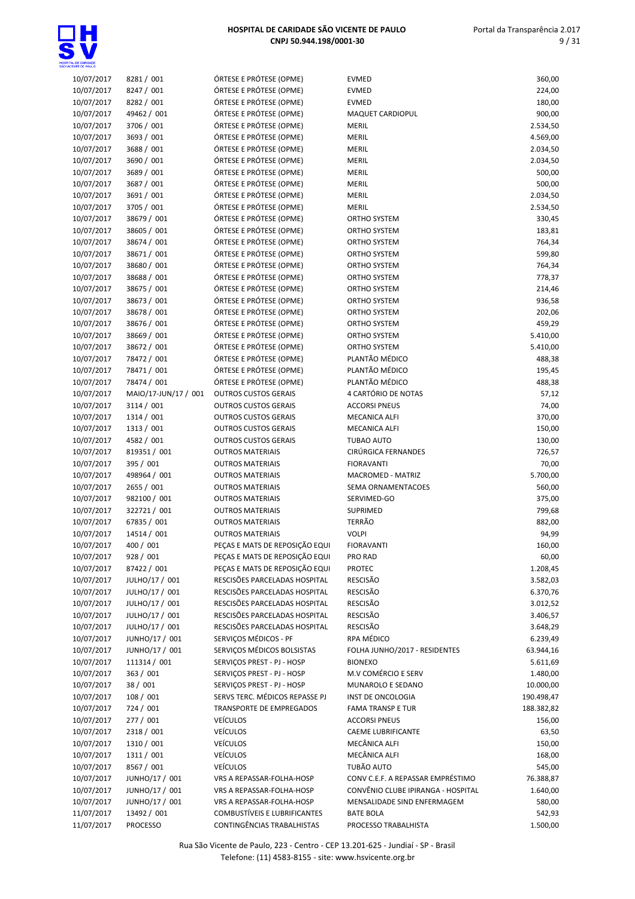

| 10/07/2017 | 8281 / 001           | ÓRTESE E PRÓTESE (OPME)        | <b>EVMED</b>                       | 360,00     |
|------------|----------------------|--------------------------------|------------------------------------|------------|
| 10/07/2017 | 8247 / 001           | ÓRTESE E PRÓTESE (OPME)        | <b>EVMED</b>                       | 224,00     |
| 10/07/2017 | 8282 / 001           | ÓRTESE E PRÓTESE (OPME)        | <b>EVMED</b>                       | 180,00     |
| 10/07/2017 | 49462 / 001          | ÓRTESE E PRÓTESE (OPME)        | MAQUET CARDIOPUL                   | 900,00     |
| 10/07/2017 | 3706 / 001           | ÓRTESE E PRÓTESE (OPME)        | <b>MERIL</b>                       | 2.534,50   |
| 10/07/2017 | 3693 / 001           | ÓRTESE E PRÓTESE (OPME)        | MERIL                              | 4.569,00   |
| 10/07/2017 | 3688 / 001           | ÓRTESE E PRÓTESE (OPME)        | MERIL                              | 2.034,50   |
| 10/07/2017 | 3690 / 001           | ÓRTESE E PRÓTESE (OPME)        | <b>MERIL</b>                       | 2.034,50   |
| 10/07/2017 | 3689 / 001           | ÓRTESE E PRÓTESE (OPME)        | <b>MERIL</b>                       | 500,00     |
|            | 3687 / 001           | ÓRTESE E PRÓTESE (OPME)        |                                    |            |
| 10/07/2017 |                      |                                | <b>MERIL</b>                       | 500,00     |
| 10/07/2017 | 3691 / 001           | ÓRTESE E PRÓTESE (OPME)        | <b>MERIL</b>                       | 2.034,50   |
| 10/07/2017 | 3705 / 001           | ÓRTESE E PRÓTESE (OPME)        | <b>MERIL</b>                       | 2.534,50   |
| 10/07/2017 | 38679 / 001          | ÓRTESE E PRÓTESE (OPME)        | ORTHO SYSTEM                       | 330,45     |
| 10/07/2017 | 38605 / 001          | ÓRTESE E PRÓTESE (OPME)        | ORTHO SYSTEM                       | 183,81     |
| 10/07/2017 | 38674 / 001          | ÓRTESE E PRÓTESE (OPME)        | ORTHO SYSTEM                       | 764,34     |
| 10/07/2017 | 38671 / 001          | ÓRTESE E PRÓTESE (OPME)        | ORTHO SYSTEM                       | 599,80     |
| 10/07/2017 | 38680 / 001          | ÓRTESE E PRÓTESE (OPME)        | <b>ORTHO SYSTEM</b>                | 764,34     |
| 10/07/2017 | 38688 / 001          | ÓRTESE E PRÓTESE (OPME)        | <b>ORTHO SYSTEM</b>                | 778,37     |
| 10/07/2017 | 38675 / 001          | ÓRTESE E PRÓTESE (OPME)        | <b>ORTHO SYSTEM</b>                | 214,46     |
| 10/07/2017 | 38673 / 001          | ÓRTESE E PRÓTESE (OPME)        | ORTHO SYSTEM                       | 936,58     |
| 10/07/2017 | 38678 / 001          | ÓRTESE E PRÓTESE (OPME)        | <b>ORTHO SYSTEM</b>                | 202,06     |
| 10/07/2017 | 38676 / 001          | ÓRTESE E PRÓTESE (OPME)        | <b>ORTHO SYSTEM</b>                | 459,29     |
| 10/07/2017 | 38669 / 001          | ÓRTESE E PRÓTESE (OPME)        | <b>ORTHO SYSTEM</b>                | 5.410,00   |
| 10/07/2017 |                      | ÓRTESE E PRÓTESE (OPME)        | <b>ORTHO SYSTEM</b>                | 5.410,00   |
|            | 38672 / 001          |                                |                                    |            |
| 10/07/2017 | 78472 / 001          | ÓRTESE E PRÓTESE (OPME)        | PLANTÃO MÉDICO                     | 488,38     |
| 10/07/2017 | 78471 / 001          | ÓRTESE E PRÓTESE (OPME)        | PLANTÃO MÉDICO                     | 195,45     |
| 10/07/2017 | 78474 / 001          | ÓRTESE E PRÓTESE (OPME)        | PLANTÃO MÉDICO                     | 488,38     |
| 10/07/2017 | MAIO/17-JUN/17 / 001 | <b>OUTROS CUSTOS GERAIS</b>    | 4 CARTÓRIO DE NOTAS                | 57,12      |
| 10/07/2017 | 3114 / 001           | <b>OUTROS CUSTOS GERAIS</b>    | <b>ACCORSI PNEUS</b>               | 74,00      |
| 10/07/2017 | 1314 / 001           | <b>OUTROS CUSTOS GERAIS</b>    | <b>MECANICA ALFI</b>               | 370,00     |
| 10/07/2017 | 1313 / 001           | <b>OUTROS CUSTOS GERAIS</b>    | <b>MECANICA ALFI</b>               | 150,00     |
| 10/07/2017 | 4582 / 001           | <b>OUTROS CUSTOS GERAIS</b>    | TUBAO AUTO                         | 130,00     |
| 10/07/2017 | 819351 / 001         | <b>OUTROS MATERIAIS</b>        | CIRÚRGICA FERNANDES                | 726,57     |
| 10/07/2017 | 395 / 001            | <b>OUTROS MATERIAIS</b>        | <b>FIORAVANTI</b>                  | 70,00      |
| 10/07/2017 | 498964 / 001         | <b>OUTROS MATERIAIS</b>        | MACROMED - MATRIZ                  | 5.700,00   |
| 10/07/2017 | 2655 / 001           | <b>OUTROS MATERIAIS</b>        | SEMA ORNAMENTACOES                 | 560,00     |
| 10/07/2017 | 982100 / 001         | <b>OUTROS MATERIAIS</b>        | SERVIMED-GO                        | 375,00     |
| 10/07/2017 | 322721 / 001         | <b>OUTROS MATERIAIS</b>        | SUPRIMED                           | 799,68     |
| 10/07/2017 | 67835 / 001          | <b>OUTROS MATERIAIS</b>        | <b>TERRÃO</b>                      | 882,00     |
| 10/07/2017 | 14514 / 001          | <b>OUTROS MATERIAIS</b>        | <b>VOLPI</b>                       | 94,99      |
|            |                      | PECAS E MATS DE REPOSICÃO EQUI | <b>FIORAVANTI</b>                  |            |
| 10/07/2017 | 400 / 001            |                                |                                    | 160,00     |
| 10/07/2017 | 928 / 001            | PEÇAS E MATS DE REPOSIÇÃO EQUI | <b>PRO RAD</b>                     | 60,00      |
| 10/07/2017 | 87422 / 001          | PEÇAS E MATS DE REPOSIÇÃO EQUI | <b>PROTEC</b>                      | 1.208,45   |
| 10/07/2017 | JULHO/17 / 001       | RESCISÕES PARCELADAS HOSPITAL  | <b>RESCISÃO</b>                    | 3.582,03   |
| 10/07/2017 | JULHO/17 / 001       | RESCISÕES PARCELADAS HOSPITAL  | RESCISÃO                           | 6.370,76   |
| 10/07/2017 | JULHO/17 / 001       | RESCISÕES PARCELADAS HOSPITAL  | <b>RESCISÃO</b>                    | 3.012,52   |
| 10/07/2017 | JULHO/17 / 001       | RESCISÕES PARCELADAS HOSPITAL  | RESCISÃO                           | 3.406,57   |
| 10/07/2017 | JULHO/17 / 001       | RESCISÕES PARCELADAS HOSPITAL  | RESCISÃO                           | 3.648,29   |
| 10/07/2017 | JUNHO/17 / 001       | SERVIÇOS MÉDICOS - PF          | RPA MÉDICO                         | 6.239,49   |
| 10/07/2017 | JUNHO/17 / 001       | SERVIÇOS MÉDICOS BOLSISTAS     | FOLHA JUNHO/2017 - RESIDENTES      | 63.944,16  |
| 10/07/2017 | 111314 / 001         | SERVICOS PREST - PJ - HOSP     | <b>BIONEXO</b>                     | 5.611,69   |
| 10/07/2017 | 363 / 001            | SERVIÇOS PREST - PJ - HOSP     | M.V COMÉRCIO E SERV                | 1.480,00   |
| 10/07/2017 | 38 / 001             | SERVIÇOS PREST - PJ - HOSP     | MUNAROLO E SEDANO                  | 10.000,00  |
| 10/07/2017 | 108 / 001            | SERVS TERC. MÉDICOS REPASSE PJ | INST DE ONCOLOGIA                  | 190.498,47 |
| 10/07/2017 | 724 / 001            | TRANSPORTE DE EMPREGADOS       | <b>FAMA TRANSP E TUR</b>           | 188.382,82 |
| 10/07/2017 | 277 / 001            | <b>VEÍCULOS</b>                | <b>ACCORSI PNEUS</b>               | 156,00     |
| 10/07/2017 | 2318 / 001           | <b>VEÍCULOS</b>                | <b>CAEME LUBRIFICANTE</b>          | 63,50      |
|            |                      |                                |                                    |            |
| 10/07/2017 | 1310 / 001           | <b>VEÍCULOS</b>                | MECÂNICA ALFI                      | 150,00     |
| 10/07/2017 | 1311 / 001           | <b>VEÍCULOS</b>                | MECÂNICA ALFI                      | 168,00     |
| 10/07/2017 | 8567 / 001           | <b>VEÍCULOS</b>                | TUBÃO AUTO                         | 545,00     |
| 10/07/2017 | JUNHO/17 / 001       | VRS A REPASSAR-FOLHA-HOSP      | CONV C.E.F. A REPASSAR EMPRÉSTIMO  | 76.388,87  |
| 10/07/2017 | JUNHO/17 / 001       | VRS A REPASSAR-FOLHA-HOSP      | CONVÊNIO CLUBE IPIRANGA - HOSPITAL | 1.640,00   |
| 10/07/2017 | JUNHO/17 / 001       | VRS A REPASSAR-FOLHA-HOSP      | MENSALIDADE SIND ENFERMAGEM        | 580,00     |
| 11/07/2017 | 13492 / 001          | COMBUSTÍVEIS E LUBRIFICANTES   | <b>BATE BOLA</b>                   | 542,93     |
| 11/07/2017 | PROCESSO             | CONTINGÊNCIAS TRABALHISTAS     | PROCESSO TRABALHISTA               | 1.500,00   |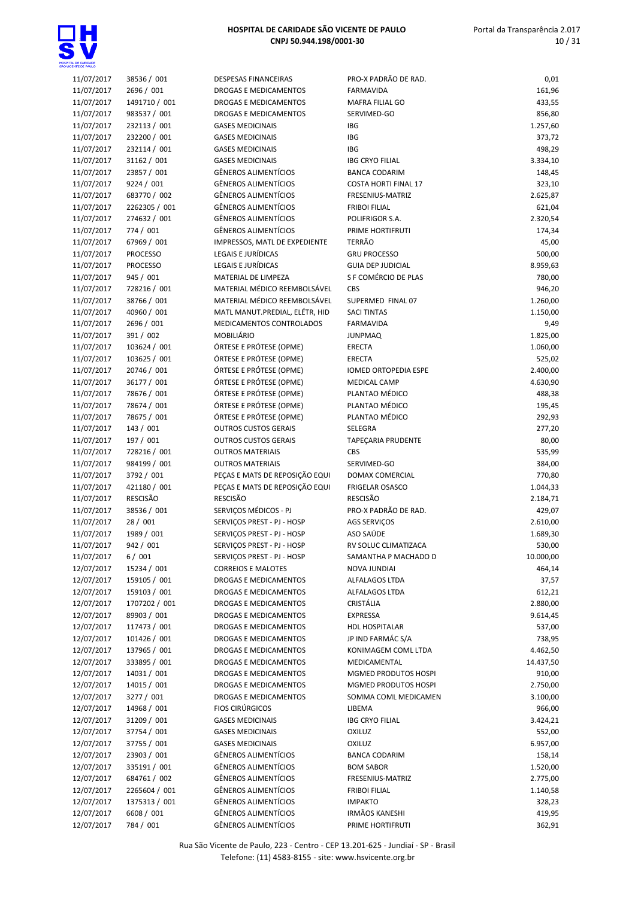

| 11/07/2017 | 38536 / 001     | <b>DESPESAS FINANCEIRAS</b>    | PRO-X PADRÃO DE RAD.        | 0,01      |
|------------|-----------------|--------------------------------|-----------------------------|-----------|
| 11/07/2017 | 2696 / 001      | DROGAS E MEDICAMENTOS          | <b>FARMAVIDA</b>            | 161,96    |
| 11/07/2017 | 1491710 / 001   | DROGAS E MEDICAMENTOS          | MAFRA FILIAL GO             | 433,55    |
| 11/07/2017 | 983537 / 001    | DROGAS E MEDICAMENTOS          | SERVIMED-GO                 | 856,80    |
| 11/07/2017 | 232113 / 001    | <b>GASES MEDICINAIS</b>        | <b>IBG</b>                  | 1.257,60  |
| 11/07/2017 | 232200 / 001    | <b>GASES MEDICINAIS</b>        | <b>IBG</b>                  | 373,72    |
| 11/07/2017 | 232114 / 001    | <b>GASES MEDICINAIS</b>        | <b>IBG</b>                  | 498,29    |
| 11/07/2017 | 31162 / 001     | <b>GASES MEDICINAIS</b>        | <b>IBG CRYO FILIAL</b>      | 3.334,10  |
| 11/07/2017 | 23857 / 001     | <b>GÊNEROS ALIMENTÍCIOS</b>    | <b>BANCA CODARIM</b>        | 148,45    |
| 11/07/2017 | 9224 / 001      | GÊNEROS ALIMENTÍCIOS           | <b>COSTA HORTI FINAL 17</b> | 323,10    |
| 11/07/2017 | 683770 / 002    | GÊNEROS ALIMENTÍCIOS           | FRESENIUS-MATRIZ            | 2.625,87  |
| 11/07/2017 | 2262305 / 001   | <b>GÊNEROS ALIMENTÍCIOS</b>    | <b>FRIBOI FILIAL</b>        | 621,04    |
|            |                 | GÊNEROS ALIMENTÍCIOS           |                             |           |
| 11/07/2017 | 274632 / 001    | <b>GÊNEROS ALIMENTÍCIOS</b>    | POLIFRIGOR S.A.             | 2.320,54  |
| 11/07/2017 | 774 / 001       |                                | PRIME HORTIFRUTI            | 174,34    |
| 11/07/2017 | 67969 / 001     | IMPRESSOS, MATL DE EXPEDIENTE  | <b>TERRÃO</b>               | 45,00     |
| 11/07/2017 | <b>PROCESSO</b> | LEGAIS E JURÍDICAS             | <b>GRU PROCESSO</b>         | 500,00    |
| 11/07/2017 | <b>PROCESSO</b> | LEGAIS E JURÍDICAS             | <b>GUIA DEP JUDICIAL</b>    | 8.959,63  |
| 11/07/2017 | 945 / 001       | MATERIAL DE LIMPEZA            | S F COMÉRCIO DE PLAS        | 780,00    |
| 11/07/2017 | 728216 / 001    | MATERIAL MÉDICO REEMBOLSÁVEL   | CBS                         | 946,20    |
| 11/07/2017 | 38766 / 001     | MATERIAL MÉDICO REEMBOLSÁVEL   | SUPERMED FINAL 07           | 1.260,00  |
| 11/07/2017 | 40960 / 001     | MATL MANUT.PREDIAL, ELÉTR, HID | <b>SACI TINTAS</b>          | 1.150,00  |
| 11/07/2017 | 2696 / 001      | MEDICAMENTOS CONTROLADOS       | FARMAVIDA                   | 9,49      |
| 11/07/2017 | 391 / 002       | <b>MOBILIÁRIO</b>              | <b>JUNPMAQ</b>              | 1.825,00  |
| 11/07/2017 | 103624 / 001    | ÓRTESE E PRÓTESE (OPME)        | <b>ERECTA</b>               | 1.060,00  |
| 11/07/2017 | 103625 / 001    | ÓRTESE E PRÓTESE (OPME)        | <b>ERECTA</b>               | 525,02    |
| 11/07/2017 | 20746 / 001     | ÓRTESE E PRÓTESE (OPME)        | IOMED ORTOPEDIA ESPE        | 2.400,00  |
| 11/07/2017 | 36177 / 001     | ÓRTESE E PRÓTESE (OPME)        | <b>MEDICAL CAMP</b>         | 4.630,90  |
| 11/07/2017 | 78676 / 001     | ÓRTESE E PRÓTESE (OPME)        | PLANTAO MÉDICO              | 488,38    |
| 11/07/2017 | 78674 / 001     | ÓRTESE E PRÓTESE (OPME)        | PLANTAO MÉDICO              | 195,45    |
| 11/07/2017 | 78675 / 001     | ÓRTESE E PRÓTESE (OPME)        | PLANTAO MÉDICO              | 292,93    |
| 11/07/2017 | 143 / 001       | <b>OUTROS CUSTOS GERAIS</b>    | SELEGRA                     | 277,20    |
| 11/07/2017 | 197 / 001       | <b>OUTROS CUSTOS GERAIS</b>    | TAPEÇARIA PRUDENTE          | 80,00     |
| 11/07/2017 | 728216 / 001    | <b>OUTROS MATERIAIS</b>        | <b>CBS</b>                  | 535,99    |
| 11/07/2017 | 984199 / 001    | <b>OUTROS MATERIAIS</b>        | SERVIMED-GO                 | 384,00    |
| 11/07/2017 | 3792 / 001      | PEÇAS E MATS DE REPOSIÇÃO EQUI | DOMAX COMERCIAL             | 770,80    |
| 11/07/2017 | 421180 / 001    | PEÇAS E MATS DE REPOSIÇÃO EQUI | FRIGELAR OSASCO             | 1.044,33  |
| 11/07/2017 | <b>RESCISÃO</b> | <b>RESCISÃO</b>                | <b>RESCISÃO</b>             | 2.184,71  |
| 11/07/2017 | 38536 / 001     | SERVIÇOS MÉDICOS - PJ          | PRO-X PADRÃO DE RAD.        | 429,07    |
| 11/07/2017 | 28 / 001        | SERVIÇOS PREST - PJ - HOSP     | <b>AGS SERVIÇOS</b>         | 2.610,00  |
| 11/07/2017 | 1989 / 001      | SERVICOS PREST - PJ - HOSP     | ASO SAÚDE                   | 1.689,30  |
| 11/07/2017 | 942 / 001       | SERVIÇOS PREST - PJ - HOSP     | RV SOLUC CLIMATIZACA        | 530,00    |
| 11/07/2017 | 6/001           | SERVIÇOS PREST - PJ - HOSP     | SAMANTHA P MACHADO D        | 10.000,00 |
| 12/07/2017 | 15234 / 001     | <b>CORREIOS E MALOTES</b>      | <b>NOVA JUNDIAI</b>         | 464,14    |
| 12/07/2017 | 159105 / 001    | DROGAS E MEDICAMENTOS          | ALFALAGOS LTDA              | 37,57     |
| 12/07/2017 | 159103 / 001    | DROGAS E MEDICAMENTOS          | ALFALAGOS LTDA              |           |
|            | 1707202 / 001   |                                | CRISTÁLIA                   | 612,21    |
| 12/07/2017 |                 | DROGAS E MEDICAMENTOS          |                             | 2.880,00  |
| 12/07/2017 | 89903 / 001     | DROGAS E MEDICAMENTOS          | <b>EXPRESSA</b>             | 9.614,45  |
| 12/07/2017 | 117473 / 001    | DROGAS E MEDICAMENTOS          | HDL HOSPITALAR              | 537,00    |
| 12/07/2017 | 101426 / 001    | DROGAS E MEDICAMENTOS          | JP IND FARMÁC S/A           | 738,95    |
| 12/07/2017 | 137965 / 001    | DROGAS E MEDICAMENTOS          | KONIMAGEM COML LTDA         | 4.462,50  |
| 12/07/2017 | 333895 / 001    | DROGAS E MEDICAMENTOS          | MEDICAMENTAL                | 14.437,50 |
| 12/07/2017 | 14031 / 001     | DROGAS E MEDICAMENTOS          | MGMED PRODUTOS HOSPI        | 910,00    |
| 12/07/2017 | 14015 / 001     | DROGAS E MEDICAMENTOS          | MGMED PRODUTOS HOSPI        | 2.750,00  |
| 12/07/2017 | 3277 / 001      | DROGAS E MEDICAMENTOS          | SOMMA COML MEDICAMEN        | 3.100,00  |
| 12/07/2017 | 14968 / 001     | <b>FIOS CIRÚRGICOS</b>         | LIBEMA                      | 966,00    |
| 12/07/2017 | 31209 / 001     | <b>GASES MEDICINAIS</b>        | <b>IBG CRYO FILIAL</b>      | 3.424,21  |
| 12/07/2017 | 37754 / 001     | <b>GASES MEDICINAIS</b>        | OXILUZ                      | 552,00    |
| 12/07/2017 | 37755 / 001     | <b>GASES MEDICINAIS</b>        | <b>OXILUZ</b>               | 6.957,00  |
| 12/07/2017 | 23903 / 001     | <b>GÊNEROS ALIMENTÍCIOS</b>    | <b>BANCA CODARIM</b>        | 158,14    |
| 12/07/2017 | 335191 / 001    | GÊNEROS ALIMENTÍCIOS           | <b>BOM SABOR</b>            | 1.520,00  |
| 12/07/2017 | 684761 / 002    | GÊNEROS ALIMENTÍCIOS           | FRESENIUS-MATRIZ            | 2.775,00  |
| 12/07/2017 | 2265604 / 001   | GÊNEROS ALIMENTÍCIOS           | <b>FRIBOI FILIAL</b>        | 1.140,58  |
| 12/07/2017 | 1375313 / 001   | GÊNEROS ALIMENTÍCIOS           | <b>IMPAKTO</b>              | 328,23    |
| 12/07/2017 | 6608 / 001      | <b>GÊNEROS ALIMENTÍCIOS</b>    | <b>IRMÃOS KANESHI</b>       | 419,95    |
| 12/07/2017 | 784 / 001       | <b>GÊNEROS ALIMENTÍCIOS</b>    | PRIME HORTIFRUTI            | 362,91    |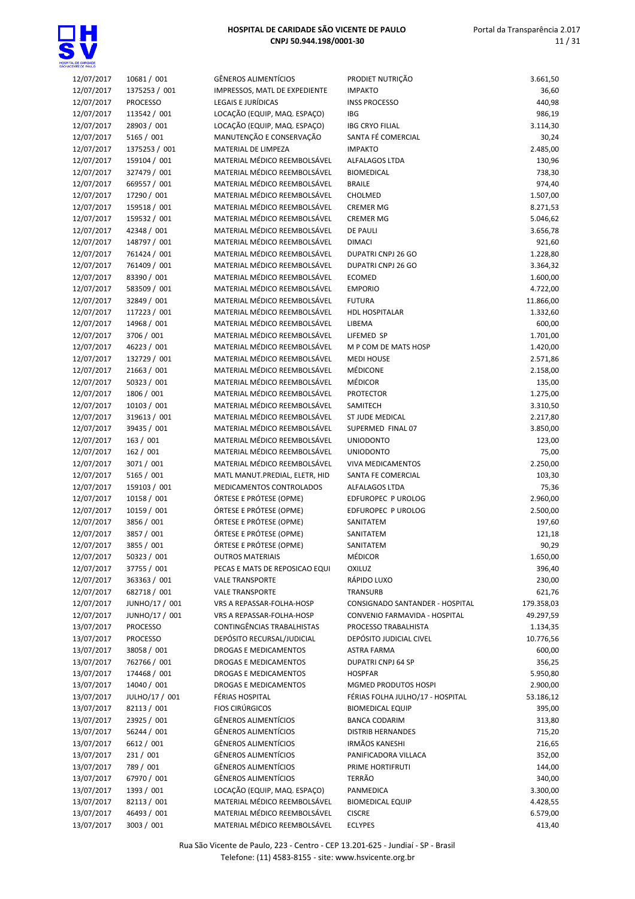

| 12/07/2017 | 10681 / 001     | <b>GÊNEROS ALIMENTÍCIOS</b>    | PRODIET NUTRIÇÃO                 | 3.661,50   |
|------------|-----------------|--------------------------------|----------------------------------|------------|
| 12/07/2017 | 1375253 / 001   | IMPRESSOS, MATL DE EXPEDIENTE  | <b>IMPAKTO</b>                   | 36,60      |
| 12/07/2017 | <b>PROCESSO</b> | LEGAIS E JURÍDICAS             | <b>INSS PROCESSO</b>             | 440,98     |
| 12/07/2017 | 113542 / 001    | LOCAÇÃO (EQUIP, MAQ. ESPAÇO)   | <b>IBG</b>                       | 986,19     |
|            |                 |                                |                                  |            |
| 12/07/2017 | 28903 / 001     | LOCAÇÃO (EQUIP, MAQ. ESPAÇO)   | <b>IBG CRYO FILIAL</b>           | 3.114,30   |
| 12/07/2017 | 5165 / 001      | MANUTENÇÃO E CONSERVAÇÃO       | SANTA FÉ COMERCIAL               | 30,24      |
| 12/07/2017 | 1375253 / 001   | MATERIAL DE LIMPEZA            | <b>IMPAKTO</b>                   | 2.485,00   |
| 12/07/2017 | 159104 / 001    | MATERIAL MÉDICO REEMBOLSÁVEL   | <b>ALFALAGOS LTDA</b>            | 130,96     |
|            |                 |                                |                                  |            |
| 12/07/2017 | 327479 / 001    | MATERIAL MÉDICO REEMBOLSÁVEL   | <b>BIOMEDICAL</b>                | 738,30     |
| 12/07/2017 | 669557 / 001    | MATERIAL MÉDICO REEMBOLSÁVEL   | <b>BRAILE</b>                    | 974,40     |
| 12/07/2017 | 17290 / 001     | MATERIAL MÉDICO REEMBOLSÁVEL   | CHOLMED                          | 1.507,00   |
| 12/07/2017 | 159518 / 001    | MATERIAL MÉDICO REEMBOLSÁVEL   | <b>CREMER MG</b>                 | 8.271,53   |
|            |                 |                                |                                  |            |
| 12/07/2017 | 159532 / 001    | MATERIAL MÉDICO REEMBOLSÁVEL   | <b>CREMER MG</b>                 | 5.046,62   |
| 12/07/2017 | 42348 / 001     | MATERIAL MÉDICO REEMBOLSÁVEL   | <b>DE PAULI</b>                  | 3.656,78   |
| 12/07/2017 | 148797 / 001    | MATERIAL MÉDICO REEMBOLSÁVEL   | <b>DIMACI</b>                    | 921,60     |
| 12/07/2017 | 761424 / 001    | MATERIAL MÉDICO REEMBOLSÁVEL   | DUPATRI CNPJ 26 GO               | 1.228,80   |
|            |                 |                                |                                  |            |
| 12/07/2017 | 761409 / 001    | MATERIAL MÉDICO REEMBOLSÁVEL   | DUPATRI CNPJ 26 GO               | 3.364,32   |
| 12/07/2017 | 83390 / 001     | MATERIAL MÉDICO REEMBOLSÁVEL   | <b>ECOMED</b>                    | 1.600,00   |
| 12/07/2017 | 583509 / 001    | MATERIAL MÉDICO REEMBOLSÁVEL   | <b>EMPORIO</b>                   | 4.722,00   |
|            |                 | MATERIAL MÉDICO REEMBOLSÁVEL   |                                  |            |
| 12/07/2017 | 32849 / 001     |                                | <b>FUTURA</b>                    | 11.866,00  |
| 12/07/2017 | 117223 / 001    | MATERIAL MÉDICO REEMBOLSÁVEL   | <b>HDL HOSPITALAR</b>            | 1.332,60   |
| 12/07/2017 | 14968 / 001     | MATERIAL MÉDICO REEMBOLSÁVEL   | LIBEMA                           | 600,00     |
| 12/07/2017 | 3706 / 001      | MATERIAL MÉDICO REEMBOLSÁVEL   | LIFEMED SP                       | 1.701,00   |
|            |                 |                                |                                  |            |
| 12/07/2017 | 46223 / 001     | MATERIAL MÉDICO REEMBOLSÁVEL   | M P COM DE MATS HOSP             | 1.420,00   |
| 12/07/2017 | 132729 / 001    | MATERIAL MÉDICO REEMBOLSÁVEL   | <b>MEDI HOUSE</b>                | 2.571,86   |
| 12/07/2017 | 21663 / 001     | MATERIAL MÉDICO REEMBOLSÁVEL   | MÉDICONE                         | 2.158,00   |
| 12/07/2017 | 50323 / 001     | MATERIAL MÉDICO REEMBOLSÁVEL   | <b>MÉDICOR</b>                   | 135,00     |
|            |                 |                                |                                  |            |
| 12/07/2017 | 1806 / 001      | MATERIAL MÉDICO REEMBOLSÁVEL   | <b>PROTECTOR</b>                 | 1.275,00   |
| 12/07/2017 | 10103 / 001     | MATERIAL MÉDICO REEMBOLSÁVEL   | SAMITECH                         | 3.310,50   |
| 12/07/2017 | 319613 / 001    | MATERIAL MÉDICO REEMBOLSÁVEL   | ST JUDE MEDICAL                  | 2.217,80   |
| 12/07/2017 | 39435 / 001     | MATERIAL MÉDICO REEMBOLSÁVEL   | SUPERMED FINAL 07                | 3.850,00   |
|            |                 |                                |                                  |            |
| 12/07/2017 | 163 / 001       | MATERIAL MÉDICO REEMBOLSÁVEL   | <b>UNIODONTO</b>                 | 123,00     |
| 12/07/2017 | 162 / 001       | MATERIAL MÉDICO REEMBOLSÁVEL   | <b>UNIODONTO</b>                 | 75,00      |
| 12/07/2017 | 3071 / 001      | MATERIAL MÉDICO REEMBOLSÁVEL   | <b>VIVA MEDICAMENTOS</b>         | 2.250,00   |
| 12/07/2017 | 5165 / 001      | MATL MANUT.PREDIAL, ELETR, HID | SANTA FE COMERCIAL               | 103,30     |
|            | 159103 / 001    |                                |                                  |            |
| 12/07/2017 |                 | MEDICAMENTOS CONTROLADOS       | ALFALAGOS LTDA                   | 75,36      |
| 12/07/2017 | 10158 / 001     | ÓRTESE E PRÓTESE (OPME)        | EDFUROPEC P UROLOG               | 2.960,00   |
| 12/07/2017 | 10159 / 001     | ÓRTESE E PRÓTESE (OPME)        | EDFUROPEC P UROLOG               | 2.500,00   |
| 12/07/2017 | 3856 / 001      | ÓRTESE E PRÓTESE (OPME)        | SANITATEM                        | 197,60     |
|            |                 | ÓRTESE E PRÓTESE (OPME)        |                                  |            |
| 12/07/2017 | 3857 / 001      |                                | SANITATEM                        | 121,18     |
| 12/07/2017 | 3855 / 001      | ÓRTESE E PRÓTESE (OPME)        | SANITATEM                        | 90,29      |
| 12/07/2017 | 50323 / 001     | <b>OUTROS MATERIAIS</b>        | <b>MÉDICOR</b>                   | 1.650,00   |
| 12/07/2017 | 37755 / 001     | PECAS E MATS DE REPOSICAO EQUI | <b>OXILUZ</b>                    | 396,40     |
|            |                 |                                |                                  |            |
| 12/07/2017 | 363363 / 001    | <b>VALE TRANSPORTE</b>         | RÁPIDO LUXO                      | 230,00     |
| 12/07/2017 | 682718 / 001    | <b>VALE TRANSPORTE</b>         | <b>TRANSURB</b>                  | 621,76     |
| 12/07/2017 | JUNHO/17 / 001  | VRS A REPASSAR-FOLHA-HOSP      | CONSIGNADO SANTANDER - HOSPITAL  | 179.358,03 |
| 12/07/2017 | JUNHO/17 / 001  | VRS A REPASSAR-FOLHA-HOSP      | CONVENIO FARMAVIDA - HOSPITAL    | 49.297,59  |
|            |                 | CONTINGÊNCIAS TRABALHISTAS     |                                  |            |
| 13/07/2017 | <b>PROCESSO</b> |                                | PROCESSO TRABALHISTA             | 1.134,35   |
| 13/07/2017 | <b>PROCESSO</b> | DEPÓSITO RECURSAL/JUDICIAL     | DEPÓSITO JUDICIAL CIVEL          | 10.776,56  |
| 13/07/2017 | 38058 / 001     | DROGAS E MEDICAMENTOS          | <b>ASTRA FARMA</b>               | 600,00     |
| 13/07/2017 | 762766 / 001    | DROGAS E MEDICAMENTOS          | <b>DUPATRI CNPJ 64 SP</b>        | 356,25     |
|            | 174468 / 001    |                                |                                  |            |
| 13/07/2017 |                 | DROGAS E MEDICAMENTOS          | <b>HOSPFAR</b>                   | 5.950,80   |
| 13/07/2017 | 14040 / 001     | DROGAS E MEDICAMENTOS          | MGMED PRODUTOS HOSPI             | 2.900,00   |
| 13/07/2017 | JULHO/17 / 001  | FÉRIAS HOSPITAL                | FÉRIAS FOLHA JULHO/17 - HOSPITAL | 53.186,12  |
| 13/07/2017 | 82113 / 001     | <b>FIOS CIRÚRGICOS</b>         | <b>BIOMEDICAL EQUIP</b>          | 395,00     |
|            |                 |                                |                                  |            |
| 13/07/2017 | 23925 / 001     | GÊNEROS ALIMENTÍCIOS           | <b>BANCA CODARIM</b>             | 313,80     |
| 13/07/2017 | 56244 / 001     | GÊNEROS ALIMENTÍCIOS           | <b>DISTRIB HERNANDES</b>         | 715,20     |
| 13/07/2017 | 6612 / 001      | GÊNEROS ALIMENTÍCIOS           | <b>IRMÃOS KANESHI</b>            | 216,65     |
| 13/07/2017 | 231 / 001       | GÊNEROS ALIMENTÍCIOS           | PANIFICADORA VILLACA             | 352,00     |
|            |                 |                                |                                  |            |
| 13/07/2017 | 789 / 001       | GÊNEROS ALIMENTÍCIOS           | PRIME HORTIFRUTI                 | 144,00     |
| 13/07/2017 | 67970 / 001     | GÊNEROS ALIMENTÍCIOS           | TERRÃO                           | 340,00     |
| 13/07/2017 | 1393 / 001      | LOCAÇÃO (EQUIP, MAQ. ESPAÇO)   | PANMEDICA                        | 3.300,00   |
| 13/07/2017 | 82113 / 001     | MATERIAL MÉDICO REEMBOLSÁVEL   | <b>BIOMEDICAL EQUIP</b>          | 4.428,55   |
| 13/07/2017 | 46493 / 001     | MATERIAL MÉDICO REEMBOLSÁVEL   | <b>CISCRE</b>                    | 6.579,00   |
|            |                 |                                |                                  |            |
| 13/07/2017 | 3003 / 001      | MATERIAL MÉDICO REEMBOLSÁVEL   | <b>ECLYPES</b>                   | 413,40     |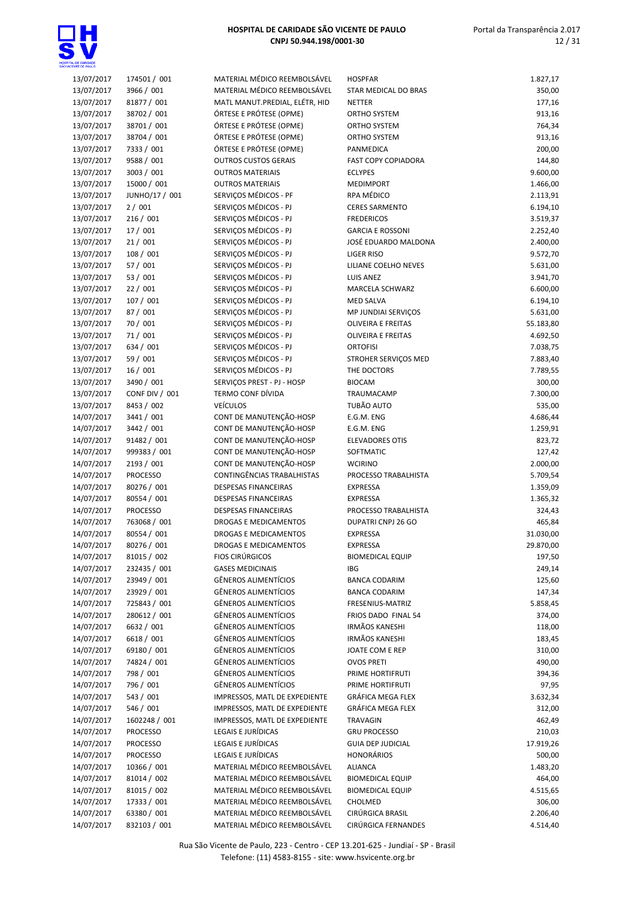| 13/07/2017 | 174501 / 001    | MATERIAL MÉDICO REEMBOLSÁVEL   | <b>HOSPFAR</b>             | 1.827,17  |
|------------|-----------------|--------------------------------|----------------------------|-----------|
| 13/07/2017 | 3966 / 001      | MATERIAL MÉDICO REEMBOLSÁVEL   | STAR MEDICAL DO BRAS       | 350,00    |
| 13/07/2017 | 81877 / 001     | MATL MANUT.PREDIAL, ELÉTR, HID | <b>NETTER</b>              | 177,16    |
| 13/07/2017 | 38702 / 001     | ÓRTESE E PRÓTESE (OPME)        | <b>ORTHO SYSTEM</b>        | 913,16    |
| 13/07/2017 | 38701 / 001     | ÓRTESE E PRÓTESE (OPME)        | <b>ORTHO SYSTEM</b>        | 764,34    |
| 13/07/2017 | 38704 / 001     | ÓRTESE E PRÓTESE (OPME)        | ORTHO SYSTEM               | 913,16    |
| 13/07/2017 | 7333 / 001      | ÓRTESE E PRÓTESE (OPME)        | PANMEDICA                  | 200,00    |
| 13/07/2017 | 9588 / 001      | <b>OUTROS CUSTOS GERAIS</b>    | <b>FAST COPY COPIADORA</b> | 144,80    |
| 13/07/2017 | 3003 / 001      | <b>OUTROS MATERIAIS</b>        | <b>ECLYPES</b>             | 9.600,00  |
| 13/07/2017 | 15000 / 001     | <b>OUTROS MATERIAIS</b>        | <b>MEDIMPORT</b>           | 1.466,00  |
| 13/07/2017 | JUNHO/17 / 001  | SERVICOS MÉDICOS - PF          | RPA MÉDICO                 | 2.113,91  |
| 13/07/2017 | 2/001           | SERVIÇOS MÉDICOS - PJ          | <b>CERES SARMENTO</b>      | 6.194,10  |
| 13/07/2017 | 216/001         | SERVIÇOS MÉDICOS - PJ          | <b>FREDERICOS</b>          | 3.519,37  |
| 13/07/2017 | 17 / 001        | SERVIÇOS MÉDICOS - PJ          | <b>GARCIA E ROSSONI</b>    | 2.252,40  |
| 13/07/2017 | 21/001          | SERVIÇOS MÉDICOS - PJ          | JOSÉ EDUARDO MALDONA       | 2.400,00  |
| 13/07/2017 | 108/001         | SERVIÇOS MÉDICOS - PJ          | <b>LIGER RISO</b>          | 9.572,70  |
| 13/07/2017 | 57 / 001        | SERVIÇOS MÉDICOS - PJ          | LILIANE COELHO NEVES       | 5.631,00  |
| 13/07/2017 | 53 / 001        | SERVIÇOS MÉDICOS - PJ          | <b>LUIS ANEZ</b>           | 3.941,70  |
| 13/07/2017 | 22 / 001        | SERVIÇOS MÉDICOS - PJ          | MARCELA SCHWARZ            | 6.600,00  |
| 13/07/2017 | 107 / 001       | SERVIÇOS MÉDICOS - PJ          | <b>MED SALVA</b>           | 6.194,10  |
| 13/07/2017 | 87 / 001        | SERVICOS MÉDICOS - PJ          | MP JUNDIAI SERVIÇOS        | 5.631,00  |
| 13/07/2017 | 70 / 001        | SERVIÇOS MÉDICOS - PJ          | <b>OLIVEIRA E FREITAS</b>  | 55.183,80 |
| 13/07/2017 | 71/001          | SERVIÇOS MÉDICOS - PJ          | <b>OLIVEIRA E FREITAS</b>  | 4.692,50  |
| 13/07/2017 | 634 / 001       | SERVIÇOS MÉDICOS - PJ          | <b>ORTOFISI</b>            | 7.038,75  |
| 13/07/2017 | 59 / 001        | SERVIÇOS MÉDICOS - PJ          | STROHER SERVIÇOS MED       | 7.883,40  |
| 13/07/2017 | 16/001          | SERVIÇOS MÉDICOS - PJ          | THE DOCTORS                | 7.789,55  |
| 13/07/2017 | 3490 / 001      | SERVIÇOS PREST - PJ - HOSP     | <b>BIOCAM</b>              | 300,00    |
| 13/07/2017 | CONF DIV / 001  | TERMO CONF DÍVIDA              | TRAUMACAMP                 | 7.300,00  |
| 13/07/2017 | 8453 / 002      | <b>VEÍCULOS</b>                | TUBÃO AUTO                 | 535,00    |
| 14/07/2017 | 3441 / 001      | CONT DE MANUTENÇÃO-HOSP        | E.G.M. ENG                 | 4.686,44  |
| 14/07/2017 | 3442 / 001      | CONT DE MANUTENÇÃO-HOSP        | E.G.M. ENG                 | 1.259,91  |
| 14/07/2017 | 91482 / 001     | CONT DE MANUTENÇÃO-HOSP        | <b>ELEVADORES OTIS</b>     | 823,72    |
| 14/07/2017 | 999383 / 001    | CONT DE MANUTENÇÃO-HOSP        | SOFTMATIC                  | 127,42    |
| 14/07/2017 | 2193 / 001      | CONT DE MANUTENÇÃO-HOSP        | <b>WCIRINO</b>             | 2.000,00  |
| 14/07/2017 | <b>PROCESSO</b> | CONTINGÊNCIAS TRABALHISTAS     | PROCESSO TRABALHISTA       | 5.709,54  |
| 14/07/2017 | 80276 / 001     | <b>DESPESAS FINANCEIRAS</b>    | <b>EXPRESSA</b>            | 1.359,09  |
| 14/07/2017 | 80554 / 001     | <b>DESPESAS FINANCEIRAS</b>    | <b>EXPRESSA</b>            | 1.365,32  |
| 14/07/2017 | <b>PROCESSO</b> | <b>DESPESAS FINANCEIRAS</b>    | PROCESSO TRABALHISTA       | 324,43    |
| 14/07/2017 | 763068 / 001    | DROGAS E MEDICAMENTOS          | DUPATRI CNPJ 26 GO         | 465,84    |
| 14/07/2017 | 80554 / 001     | DROGAS E MEDICAMENTOS          | <b>EXPRESSA</b>            | 31.030,00 |
| 14/07/2017 | 80276 / 001     | DROGAS E MEDICAMENTOS          | EXPRESSA                   | 29.870,00 |
| 14/07/2017 | 81015 / 002     | <b>FIOS CIRÚRGICOS</b>         | <b>BIOMEDICAL EQUIP</b>    | 197,50    |
| 14/07/2017 | 232435 / 001    | <b>GASES MEDICINAIS</b>        | <b>IBG</b>                 | 249,14    |
| 14/07/2017 | 23949 / 001     | GÊNEROS ALIMENTÍCIOS           | <b>BANCA CODARIM</b>       | 125,60    |
| 14/07/2017 | 23929 / 001     | GÊNEROS ALIMENTÍCIOS           | <b>BANCA CODARIM</b>       | 147,34    |
| 14/07/2017 | 725843 / 001    | GÊNEROS ALIMENTÍCIOS           | FRESENIUS-MATRIZ           | 5.858,45  |
| 14/07/2017 | 280612 / 001    | GÊNEROS ALIMENTÍCIOS           | FRIOS DADO FINAL 54        | 374,00    |
| 14/07/2017 | 6632 / 001      | GÊNEROS ALIMENTÍCIOS           | <b>IRMÃOS KANESHI</b>      | 118,00    |
| 14/07/2017 | 6618 / 001      | <b>GÊNEROS ALIMENTÍCIOS</b>    | <b>IRMÃOS KANESHI</b>      | 183,45    |
| 14/07/2017 | 69180 / 001     | GÊNEROS ALIMENTÍCIOS           | JOATE COM E REP            | 310,00    |
| 14/07/2017 | 74824 / 001     | <b>GÊNEROS ALIMENTÍCIOS</b>    | <b>OVOS PRETI</b>          | 490,00    |
| 14/07/2017 | 798 / 001       | GÊNEROS ALIMENTÍCIOS           | PRIME HORTIFRUTI           | 394,36    |
| 14/07/2017 | 796 / 001       | GÊNEROS ALIMENTÍCIOS           | PRIME HORTIFRUTI           | 97,95     |
| 14/07/2017 | 543 / 001       | IMPRESSOS, MATL DE EXPEDIENTE  | GRÁFICA MEGA FLEX          | 3.632,34  |
| 14/07/2017 | 546 / 001       | IMPRESSOS, MATL DE EXPEDIENTE  | GRÁFICA MEGA FLEX          | 312,00    |
| 14/07/2017 | 1602248 / 001   | IMPRESSOS, MATL DE EXPEDIENTE  | <b>TRAVAGIN</b>            | 462,49    |
| 14/07/2017 | PROCESSO        | LEGAIS E JURÍDICAS             | <b>GRU PROCESSO</b>        | 210,03    |
| 14/07/2017 | <b>PROCESSO</b> | LEGAIS E JURÍDICAS             | <b>GUIA DEP JUDICIAL</b>   | 17.919,26 |
| 14/07/2017 | <b>PROCESSO</b> | LEGAIS E JURÍDICAS             | <b>HONORÁRIOS</b>          | 500,00    |
| 14/07/2017 | 10366 / 001     | MATERIAL MÉDICO REEMBOLSÁVEL   | <b>ALIANCA</b>             | 1.483,20  |
| 14/07/2017 | 81014 / 002     | MATERIAL MÉDICO REEMBOLSÁVEL   | <b>BIOMEDICAL EQUIP</b>    | 464,00    |
| 14/07/2017 | 81015 / 002     | MATERIAL MÉDICO REEMBOLSÁVEL   | <b>BIOMEDICAL EQUIP</b>    | 4.515,65  |
| 14/07/2017 | 17333 / 001     | MATERIAL MÉDICO REEMBOLSÁVEL   | CHOLMED                    | 306,00    |
| 14/07/2017 | 63380 / 001     | MATERIAL MÉDICO REEMBOLSÁVEL   | CIRÚRGICA BRASIL           | 2.206,40  |
| 14/07/2017 | 832103 / 001    | MATERIAL MÉDICO REEMBOLSÁVEL   | CIRÚRGICA FERNANDES        | 4.514,40  |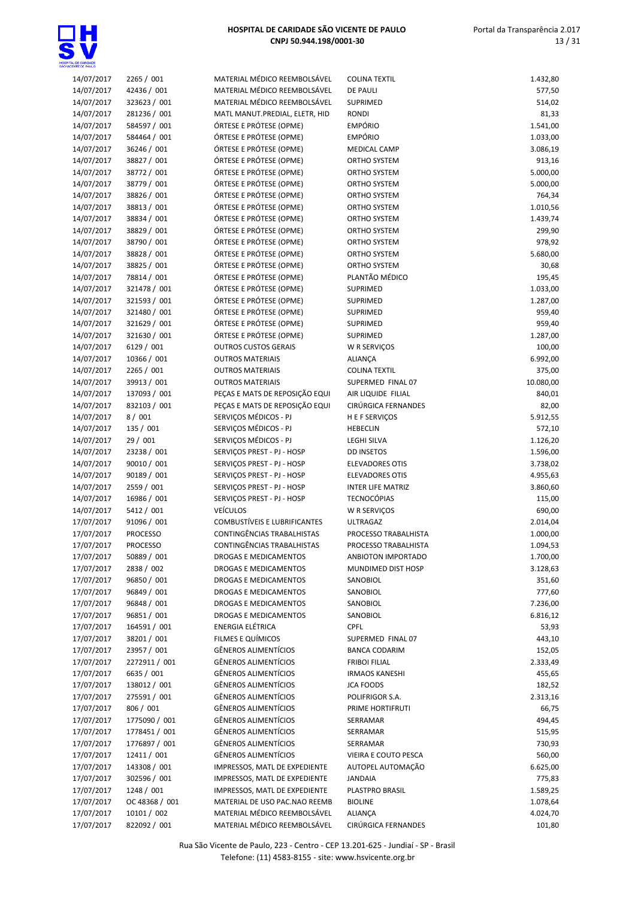

| 14/07/2017 | 2265 / 001      | MATERIAL MÉDICO REEMBOLSÁVEL        | <b>COLINA TEXTIL</b>     | 1.432,80  |
|------------|-----------------|-------------------------------------|--------------------------|-----------|
| 14/07/2017 | 42436 / 001     | MATERIAL MÉDICO REEMBOLSÁVEL        | <b>DE PAULI</b>          | 577,50    |
|            |                 |                                     |                          |           |
| 14/07/2017 | 323623 / 001    | MATERIAL MÉDICO REEMBOLSÁVEL        | SUPRIMED                 | 514,02    |
| 14/07/2017 | 281236 / 001    | MATL MANUT.PREDIAL, ELETR, HID      | <b>RONDI</b>             | 81,33     |
| 14/07/2017 | 584597 / 001    | ÓRTESE E PRÓTESE (OPME)             | <b>EMPÓRIO</b>           | 1.541,00  |
| 14/07/2017 | 584464 / 001    | ÓRTESE E PRÓTESE (OPME)             | <b>EMPÓRIO</b>           | 1.033,00  |
| 14/07/2017 | 36246 / 001     | ÓRTESE E PRÓTESE (OPME)             | <b>MEDICAL CAMP</b>      | 3.086,19  |
| 14/07/2017 | 38827 / 001     | ÓRTESE E PRÓTESE (OPME)             | ORTHO SYSTEM             | 913,16    |
| 14/07/2017 | 38772 / 001     | ÓRTESE E PRÓTESE (OPME)             | ORTHO SYSTEM             | 5.000,00  |
| 14/07/2017 | 38779 / 001     | ÓRTESE E PRÓTESE (OPME)             | ORTHO SYSTEM             | 5.000,00  |
| 14/07/2017 | 38826 / 001     | ÓRTESE E PRÓTESE (OPME)             | ORTHO SYSTEM             | 764,34    |
| 14/07/2017 | 38813 / 001     | ÓRTESE E PRÓTESE (OPME)             | <b>ORTHO SYSTEM</b>      | 1.010,56  |
| 14/07/2017 |                 | ÓRTESE E PRÓTESE (OPME)             |                          |           |
|            | 38834 / 001     |                                     | ORTHO SYSTEM             | 1.439,74  |
| 14/07/2017 | 38829 / 001     | ÓRTESE E PRÓTESE (OPME)             | ORTHO SYSTEM             | 299,90    |
| 14/07/2017 | 38790 / 001     | ÓRTESE E PRÓTESE (OPME)             | ORTHO SYSTEM             | 978,92    |
| 14/07/2017 | 38828 / 001     | ÓRTESE E PRÓTESE (OPME)             | ORTHO SYSTEM             | 5.680,00  |
| 14/07/2017 | 38825 / 001     | ÓRTESE E PRÓTESE (OPME)             | <b>ORTHO SYSTEM</b>      | 30,68     |
| 14/07/2017 | 78814 / 001     | ÓRTESE E PRÓTESE (OPME)             | PLANTÃO MÉDICO           | 195,45    |
| 14/07/2017 | 321478 / 001    | ÓRTESE E PRÓTESE (OPME)             | SUPRIMED                 | 1.033,00  |
| 14/07/2017 | 321593 / 001    | ÓRTESE E PRÓTESE (OPME)             | SUPRIMED                 | 1.287,00  |
| 14/07/2017 | 321480 / 001    | ÓRTESE E PRÓTESE (OPME)             | SUPRIMED                 | 959,40    |
| 14/07/2017 | 321629 / 001    | ÓRTESE E PRÓTESE (OPME)             | SUPRIMED                 | 959,40    |
| 14/07/2017 | 321630 / 001    | ÓRTESE E PRÓTESE (OPME)             | SUPRIMED                 | 1.287,00  |
| 14/07/2017 |                 |                                     |                          |           |
|            | 6129 / 001      | <b>OUTROS CUSTOS GERAIS</b>         | W R SERVIÇOS             | 100,00    |
| 14/07/2017 | 10366 / 001     | <b>OUTROS MATERIAIS</b>             | ALIANÇA                  | 6.992,00  |
| 14/07/2017 | 2265 / 001      | <b>OUTROS MATERIAIS</b>             | <b>COLINA TEXTIL</b>     | 375,00    |
| 14/07/2017 | 39913 / 001     | <b>OUTROS MATERIAIS</b>             | SUPERMED FINAL 07        | 10.080,00 |
| 14/07/2017 | 137093 / 001    | PEÇAS E MATS DE REPOSIÇÃO EQUI      | AIR LIQUIDE FILIAL       | 840,01    |
| 14/07/2017 | 832103 / 001    | PEÇAS E MATS DE REPOSIÇÃO EQUI      | CIRÚRGICA FERNANDES      | 82,00     |
| 14/07/2017 | 8/001           | SERVIÇOS MÉDICOS - PJ               | H E F SERVIÇOS           | 5.912,55  |
| 14/07/2017 | 135 / 001       | SERVIÇOS MÉDICOS - PJ               | <b>HEBECLIN</b>          | 572,10    |
| 14/07/2017 | 29 / 001        | SERVIÇOS MÉDICOS - PJ               | LEGHI SILVA              | 1.126,20  |
| 14/07/2017 | 23238 / 001     | SERVIÇOS PREST - PJ - HOSP          | <b>DD INSETOS</b>        | 1.596,00  |
| 14/07/2017 | 90010 / 001     | SERVIÇOS PREST - PJ - HOSP          | <b>ELEVADORES OTIS</b>   | 3.738,02  |
| 14/07/2017 | 90189 / 001     | SERVIÇOS PREST - PJ - HOSP          | <b>ELEVADORES OTIS</b>   | 4.955,63  |
|            |                 |                                     |                          |           |
| 14/07/2017 | 2559 / 001      | SERVIÇOS PREST - PJ - HOSP          | <b>INTER LIFE MATRIZ</b> | 3.860,60  |
| 14/07/2017 | 16986 / 001     | SERVIÇOS PREST - PJ - HOSP          | <b>TECNOCÓPIAS</b>       | 115,00    |
| 14/07/2017 | 5412 / 001      | <b>VEÍCULOS</b>                     | W R SERVIÇOS             | 690,00    |
| 17/07/2017 | 91096 / 001     | <b>COMBUSTÍVEIS E LUBRIFICANTES</b> | <b>ULTRAGAZ</b>          | 2.014,04  |
| 17/07/2017 | <b>PROCESSO</b> | CONTINGÊNCIAS TRABALHISTAS          | PROCESSO TRABALHISTA     | 1.000,00  |
| 17/07/2017 | <b>PROCESSO</b> | CONTINGÊNCIAS TRABALHISTAS          | PROCESSO TRABALHISTA     | 1.094,53  |
| 17/07/2017 | 50889 / 001     | DROGAS E MEDICAMENTOS               | ANBIOTON IMPORTADO       | 1.700,00  |
| 17/07/2017 | 2838 / 002      | DROGAS E MEDICAMENTOS               | MUNDIMED DIST HOSP       | 3.128,63  |
| 17/07/2017 | 96850 / 001     | DROGAS E MEDICAMENTOS               | SANOBIOL                 | 351,60    |
| 17/07/2017 | 96849 / 001     | DROGAS E MEDICAMENTOS               | SANOBIOL                 | 777,60    |
| 17/07/2017 | 96848 / 001     | <b>DROGAS E MEDICAMENTOS</b>        | SANOBIOL                 | 7.236,00  |
| 17/07/2017 | 96851 / 001     | <b>DROGAS E MEDICAMENTOS</b>        | SANOBIOL                 | 6.816,12  |
| 17/07/2017 |                 |                                     |                          |           |
|            | 164591 / 001    | ENERGIA ELÉTRICA                    | <b>CPFL</b>              | 53,93     |
| 17/07/2017 | 38201 / 001     | FILMES E QUÍMICOS                   | SUPERMED FINAL 07        | 443,10    |
| 17/07/2017 | 23957 / 001     | GÊNEROS ALIMENTÍCIOS                | <b>BANCA CODARIM</b>     | 152,05    |
| 17/07/2017 | 2272911 / 001   | GÊNEROS ALIMENTÍCIOS                | <b>FRIBOI FILIAL</b>     | 2.333,49  |
| 17/07/2017 | 6635 / 001      | <b>GÊNEROS ALIMENTÍCIOS</b>         | <b>IRMAOS KANESHI</b>    | 455,65    |
| 17/07/2017 | 138012 / 001    | GÊNEROS ALIMENTÍCIOS                | <b>JCA FOODS</b>         | 182,52    |
| 17/07/2017 | 275591 / 001    | GÊNEROS ALIMENTÍCIOS                | POLIFRIGOR S.A.          | 2.313,16  |
| 17/07/2017 | 806 / 001       | GÊNEROS ALIMENTÍCIOS                | PRIME HORTIFRUTI         | 66,75     |
| 17/07/2017 | 1775090 / 001   | GÊNEROS ALIMENTÍCIOS                | SERRAMAR                 | 494,45    |
| 17/07/2017 | 1778451 / 001   | GÊNEROS ALIMENTÍCIOS                | SERRAMAR                 | 515,95    |
| 17/07/2017 | 1776897 / 001   | GÊNEROS ALIMENTÍCIOS                | SERRAMAR                 | 730,93    |
| 17/07/2017 | 12411 / 001     | GÊNEROS ALIMENTÍCIOS                | VIEIRA E COUTO PESCA     | 560,00    |
|            |                 |                                     |                          |           |
| 17/07/2017 | 143308 / 001    | IMPRESSOS, MATL DE EXPEDIENTE       | AUTOPEL AUTOMAÇÃO        | 6.625,00  |
| 17/07/2017 | 302596 / 001    | IMPRESSOS, MATL DE EXPEDIENTE       | <b>JANDAIA</b>           | 775,83    |
| 17/07/2017 | 1248 / 001      | IMPRESSOS, MATL DE EXPEDIENTE       | PLASTPRO BRASIL          | 1.589,25  |
| 17/07/2017 | OC 48368 / 001  | MATERIAL DE USO PAC.NAO REEMB       | <b>BIOLINE</b>           | 1.078,64  |
| 17/07/2017 | 10101 / 002     | MATERIAL MÉDICO REEMBOLSÁVEL        | ALIANÇA                  | 4.024,70  |
| 17/07/2017 | 822092 / 001    | MATERIAL MÉDICO REEMBOLSÁVEL        | CIRÚRGICA FERNANDES      | 101,80    |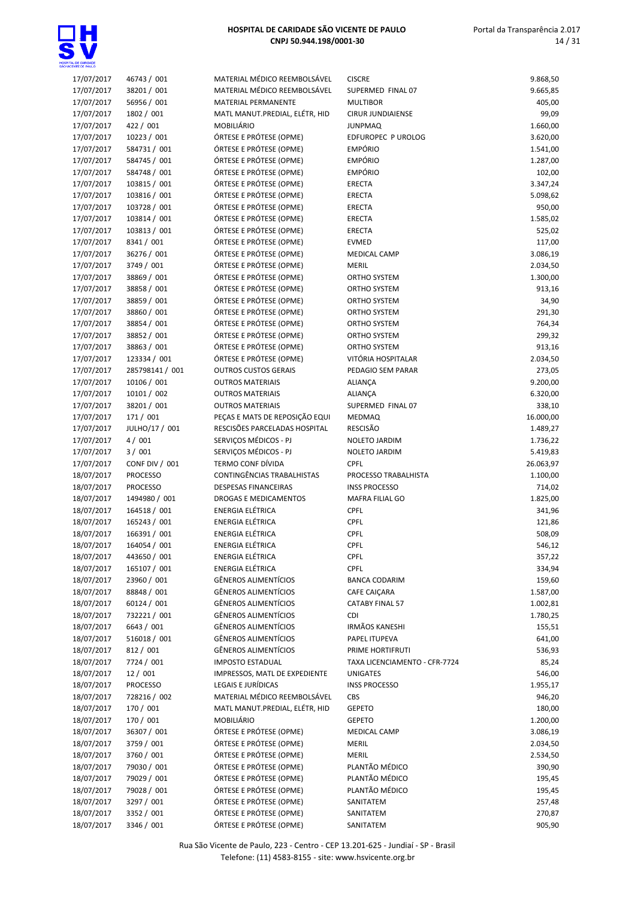

| 17/07/2017 | 46743 / 001     | MATERIAL MÉDICO REEMBOLSÁVEL                             | <b>CISCRE</b>                        | 9.868,50  |
|------------|-----------------|----------------------------------------------------------|--------------------------------------|-----------|
| 17/07/2017 | 38201 / 001     | MATERIAL MÉDICO REEMBOLSÁVEL                             | SUPERMED FINAL 07                    | 9.665,85  |
| 17/07/2017 | 56956 / 001     | <b>MATERIAL PERMANENTE</b>                               | <b>MULTIBOR</b>                      | 405,00    |
| 17/07/2017 | 1802 / 001      | MATL MANUT.PREDIAL, ELÉTR, HID                           | <b>CIRUR JUNDIAIENSE</b>             | 99,09     |
| 17/07/2017 | 422 / 001       | MOBILIÁRIO                                               | <b>JUNPMAQ</b>                       | 1.660,00  |
| 17/07/2017 | 10223 / 001     | ÓRTESE E PRÓTESE (OPME)                                  | EDFUROPEC P UROLOG                   | 3.620,00  |
| 17/07/2017 | 584731 / 001    | ÓRTESE E PRÓTESE (OPME)                                  | <b>EMPÓRIO</b>                       | 1.541,00  |
| 17/07/2017 | 584745 / 001    | ÓRTESE E PRÓTESE (OPME)                                  | <b>EMPÓRIO</b>                       | 1.287,00  |
| 17/07/2017 | 584748 / 001    | ÓRTESE E PRÓTESE (OPME)                                  | <b>EMPÓRIO</b>                       | 102,00    |
| 17/07/2017 | 103815 / 001    | ÓRTESE E PRÓTESE (OPME)                                  | <b>ERECTA</b>                        | 3.347,24  |
| 17/07/2017 | 103816 / 001    | ÓRTESE E PRÓTESE (OPME)                                  | <b>ERECTA</b>                        | 5.098,62  |
| 17/07/2017 | 103728 / 001    | ÓRTESE E PRÓTESE (OPME)                                  | <b>ERECTA</b>                        | 950,00    |
| 17/07/2017 | 103814 / 001    | ÓRTESE E PRÓTESE (OPME)                                  | <b>ERECTA</b>                        | 1.585,02  |
| 17/07/2017 | 103813 / 001    | ÓRTESE E PRÓTESE (OPME)                                  | <b>ERECTA</b>                        | 525,02    |
| 17/07/2017 | 8341 / 001      | ÓRTESE E PRÓTESE (OPME)                                  | <b>EVMED</b>                         | 117,00    |
| 17/07/2017 | 36276 / 001     | ÓRTESE E PRÓTESE (OPME)                                  | <b>MEDICAL CAMP</b>                  | 3.086,19  |
| 17/07/2017 | 3749 / 001      | ÓRTESE E PRÓTESE (OPME)                                  | <b>MERIL</b>                         | 2.034,50  |
| 17/07/2017 | 38869 / 001     | ÓRTESE E PRÓTESE (OPME)                                  | ORTHO SYSTEM                         | 1.300,00  |
| 17/07/2017 | 38858 / 001     | ÓRTESE E PRÓTESE (OPME)                                  | ORTHO SYSTEM                         | 913,16    |
| 17/07/2017 | 38859 / 001     | ÓRTESE E PRÓTESE (OPME)                                  | <b>ORTHO SYSTEM</b>                  | 34,90     |
| 17/07/2017 | 38860 / 001     | ÓRTESE E PRÓTESE (OPME)                                  | ORTHO SYSTEM                         | 291,30    |
| 17/07/2017 | 38854 / 001     | ÓRTESE E PRÓTESE (OPME)                                  | ORTHO SYSTEM                         | 764,34    |
| 17/07/2017 | 38852 / 001     | ÓRTESE E PRÓTESE (OPME)                                  | ORTHO SYSTEM                         | 299,32    |
| 17/07/2017 | 38863 / 001     | ÓRTESE E PRÓTESE (OPME)                                  | ORTHO SYSTEM                         | 913,16    |
| 17/07/2017 | 123334 / 001    | ÓRTESE E PRÓTESE (OPME)                                  | VITÓRIA HOSPITALAR                   | 2.034,50  |
| 17/07/2017 | 285798141 / 001 | <b>OUTROS CUSTOS GERAIS</b>                              | PEDAGIO SEM PARAR                    | 273,05    |
| 17/07/2017 | 10106 / 001     | <b>OUTROS MATERIAIS</b>                                  | ALIANÇA                              | 9.200,00  |
| 17/07/2017 | 10101 / 002     | <b>OUTROS MATERIAIS</b>                                  | <b>ALIANÇA</b>                       | 6.320,00  |
| 17/07/2017 | 38201 / 001     | <b>OUTROS MATERIAIS</b>                                  | SUPERMED FINAL 07                    | 338,10    |
| 17/07/2017 | 171 / 001       | PEÇAS E MATS DE REPOSIÇÃO EQUI                           | <b>MEDMAQ</b>                        | 16.000,00 |
| 17/07/2017 | JULHO/17 / 001  | RESCISÕES PARCELADAS HOSPITAL                            | <b>RESCISÃO</b>                      | 1.489,27  |
| 17/07/2017 | 4/001           | SERVIÇOS MÉDICOS - PJ                                    | NOLETO JARDIM                        | 1.736,22  |
| 17/07/2017 | 3 / 001         | SERVIÇOS MÉDICOS - PJ                                    | NOLETO JARDIM                        | 5.419,83  |
| 17/07/2017 | CONF DIV / 001  | TERMO CONF DÍVIDA                                        | <b>CPFL</b>                          | 26.063,97 |
| 18/07/2017 | <b>PROCESSO</b> | CONTINGÊNCIAS TRABALHISTAS                               | PROCESSO TRABALHISTA                 | 1.100,00  |
| 18/07/2017 | <b>PROCESSO</b> | <b>DESPESAS FINANCEIRAS</b>                              | <b>INSS PROCESSO</b>                 | 714,02    |
| 18/07/2017 | 1494980 / 001   | DROGAS E MEDICAMENTOS                                    | MAFRA FILIAL GO                      | 1.825,00  |
| 18/07/2017 | 164518 / 001    | <b>ENERGIA ELÉTRICA</b>                                  | CPFL                                 | 341,96    |
| 18/07/2017 | 165243 / 001    | <b>ENERGIA ELÉTRICA</b>                                  | CPFL                                 | 121,86    |
| 18/07/2017 | 166391 / 001    | ENERGIA ELÉTRICA                                         | CPFL                                 | 508,09    |
| 18/07/2017 | 164054 / 001    | ENERGIA ELÉTRICA                                         | CPFL                                 | 546,12    |
| 18/07/2017 | 443650 / 001    | ENERGIA ELÉTRICA                                         | <b>CPFL</b>                          | 357,22    |
| 18/07/2017 | 165107 / 001    | <b>ENERGIA ELÉTRICA</b>                                  | <b>CPFL</b>                          | 334,94    |
| 18/07/2017 | 23960 / 001     | GÊNEROS ALIMENTÍCIOS                                     |                                      | 159,60    |
| 18/07/2017 | 88848 / 001     | GÊNEROS ALIMENTÍCIOS                                     | <b>BANCA CODARIM</b><br>CAFE CAIÇARA | 1.587,00  |
| 18/07/2017 | 60124 / 001     | GÊNEROS ALIMENTÍCIOS                                     | <b>CATABY FINAL 57</b>               | 1.002,81  |
| 18/07/2017 | 732221 / 001    | GÊNEROS ALIMENTÍCIOS                                     | <b>CDI</b>                           | 1.780,25  |
| 18/07/2017 | 6643 / 001      | <b>GÊNEROS ALIMENTÍCIOS</b>                              | <b>IRMÃOS KANESHI</b>                | 155,51    |
| 18/07/2017 | 516018 / 001    | GÊNEROS ALIMENTÍCIOS                                     | PAPEL ITUPEVA                        | 641,00    |
| 18/07/2017 | 812 / 001       | <b>GÊNEROS ALIMENTÍCIOS</b>                              | PRIME HORTIFRUTI                     | 536,93    |
|            |                 |                                                          | TAXA LICENCIAMENTO - CFR-7724        |           |
| 18/07/2017 | 7724 / 001      | <b>IMPOSTO ESTADUAL</b><br>IMPRESSOS, MATL DE EXPEDIENTE |                                      | 85,24     |
| 18/07/2017 | 12 / 001        |                                                          | <b>UNIGATES</b>                      | 546,00    |
| 18/07/2017 | <b>PROCESSO</b> | LEGAIS E JURÍDICAS<br>MATERIAL MÉDICO REEMBOLSÁVEL       | <b>INSS PROCESSO</b>                 | 1.955,17  |
| 18/07/2017 | 728216 / 002    |                                                          | CBS                                  | 946,20    |
| 18/07/2017 | 170 / 001       | MATL MANUT.PREDIAL, ELÉTR, HID                           | <b>GEPETO</b>                        | 180,00    |
| 18/07/2017 | 170 / 001       | <b>MOBILIÁRIO</b>                                        | <b>GEPETO</b>                        | 1.200,00  |
| 18/07/2017 | 36307 / 001     | ÓRTESE E PRÓTESE (OPME)                                  | <b>MEDICAL CAMP</b>                  | 3.086,19  |
| 18/07/2017 | 3759 / 001      | ÓRTESE E PRÓTESE (OPME)                                  | <b>MERIL</b>                         | 2.034,50  |
| 18/07/2017 | 3760 / 001      | ÓRTESE E PRÓTESE (OPME)                                  | <b>MERIL</b>                         | 2.534,50  |
| 18/07/2017 | 79030 / 001     | ÓRTESE E PRÓTESE (OPME)                                  | PLANTÃO MÉDICO                       | 390,90    |
| 18/07/2017 | 79029 / 001     | ÓRTESE E PRÓTESE (OPME)                                  | PLANTÃO MÉDICO                       | 195,45    |
| 18/07/2017 | 79028 / 001     | ÓRTESE E PRÓTESE (OPME)                                  | PLANTÃO MÉDICO                       | 195,45    |
| 18/07/2017 | 3297 / 001      | ÓRTESE E PRÓTESE (OPME)                                  | SANITATEM                            | 257,48    |
| 18/07/2017 | 3352 / 001      | ÓRTESE E PRÓTESE (OPME)                                  | SANITATEM                            | 270,87    |
| 18/07/2017 | 3346 / 001      | ÓRTESE E PRÓTESE (OPME)                                  | SANITATEM                            | 905,90    |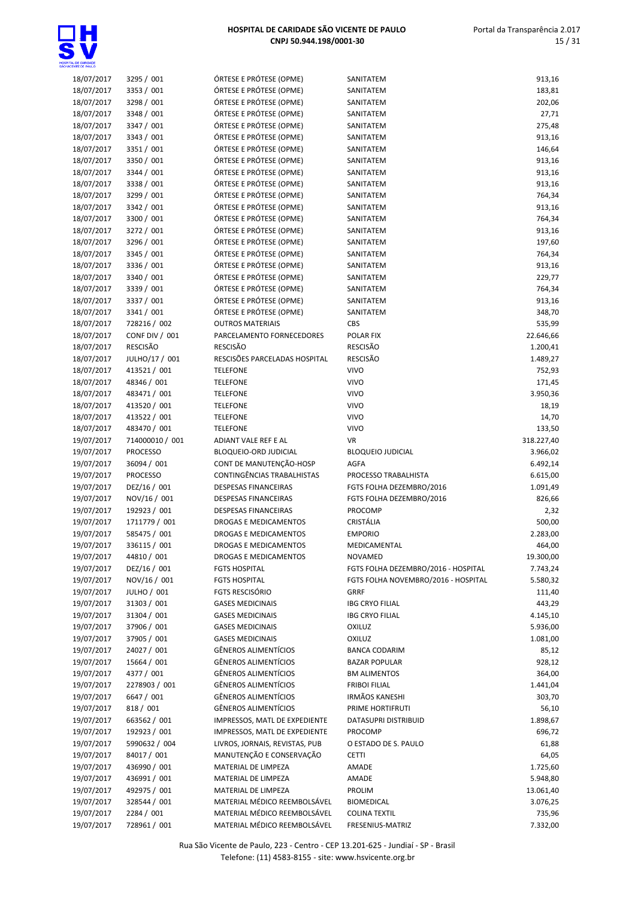

| 18/07/2017 | 3295 / 001      | ÓRTESE E PRÓTESE (OPME)        | SANITATEM                           | 913,16     |
|------------|-----------------|--------------------------------|-------------------------------------|------------|
| 18/07/2017 | 3353 / 001      | ÓRTESE E PRÓTESE (OPME)        | SANITATEM                           | 183,81     |
| 18/07/2017 | 3298 / 001      | ÓRTESE E PRÓTESE (OPME)        | SANITATEM                           | 202,06     |
| 18/07/2017 | 3348 / 001      | ÓRTESE E PRÓTESE (OPME)        | SANITATEM                           |            |
|            |                 |                                |                                     | 27,71      |
| 18/07/2017 | 3347 / 001      | ÓRTESE E PRÓTESE (OPME)        | SANITATEM                           | 275,48     |
| 18/07/2017 | 3343 / 001      | ÓRTESE E PRÓTESE (OPME)        | SANITATEM                           | 913,16     |
| 18/07/2017 | 3351 / 001      | ÓRTESE E PRÓTESE (OPME)        | SANITATEM                           | 146,64     |
| 18/07/2017 | 3350 / 001      | ÓRTESE E PRÓTESE (OPME)        | SANITATEM                           | 913,16     |
| 18/07/2017 | 3344 / 001      | ÓRTESE E PRÓTESE (OPME)        | SANITATEM                           | 913,16     |
|            |                 | ÓRTESE E PRÓTESE (OPME)        | SANITATEM                           |            |
| 18/07/2017 | 3338 / 001      |                                |                                     | 913,16     |
| 18/07/2017 | 3299 / 001      | ÓRTESE E PRÓTESE (OPME)        | SANITATEM                           | 764,34     |
| 18/07/2017 | 3342 / 001      | ÓRTESE E PRÓTESE (OPME)        | SANITATEM                           | 913,16     |
| 18/07/2017 | 3300 / 001      | ÓRTESE E PRÓTESE (OPME)        | SANITATEM                           | 764,34     |
| 18/07/2017 | 3272 / 001      | ÓRTESE E PRÓTESE (OPME)        | SANITATEM                           | 913,16     |
| 18/07/2017 | 3296 / 001      | ÓRTESE E PRÓTESE (OPME)        | SANITATEM                           | 197,60     |
| 18/07/2017 | 3345 / 001      | ÓRTESE E PRÓTESE (OPME)        | SANITATEM                           | 764,34     |
|            |                 |                                |                                     |            |
| 18/07/2017 | 3336 / 001      | ÓRTESE E PRÓTESE (OPME)        | SANITATEM                           | 913,16     |
| 18/07/2017 | 3340 / 001      | ÓRTESE E PRÓTESE (OPME)        | SANITATEM                           | 229,77     |
| 18/07/2017 | 3339 / 001      | ÓRTESE E PRÓTESE (OPME)        | SANITATEM                           | 764,34     |
| 18/07/2017 | 3337 / 001      | ÓRTESE E PRÓTESE (OPME)        | SANITATEM                           | 913,16     |
| 18/07/2017 | 3341 / 001      | ÓRTESE E PRÓTESE (OPME)        | SANITATEM                           | 348,70     |
| 18/07/2017 | 728216 / 002    | <b>OUTROS MATERIAIS</b>        | CBS                                 | 535,99     |
|            |                 |                                |                                     |            |
| 18/07/2017 | CONF DIV / 001  | PARCELAMENTO FORNECEDORES      | POLAR FIX                           | 22.646,66  |
| 18/07/2017 | <b>RESCISÃO</b> | <b>RESCISÃO</b>                | <b>RESCISÃO</b>                     | 1.200,41   |
| 18/07/2017 | JULHO/17 / 001  | RESCISÕES PARCELADAS HOSPITAL  | <b>RESCISÃO</b>                     | 1.489,27   |
| 18/07/2017 | 413521 / 001    | <b>TELEFONE</b>                | <b>VIVO</b>                         | 752,93     |
| 18/07/2017 | 48346 / 001     | <b>TELEFONE</b>                | <b>VIVO</b>                         | 171,45     |
| 18/07/2017 | 483471 / 001    | <b>TELEFONE</b>                | <b>VIVO</b>                         | 3.950,36   |
|            |                 |                                |                                     |            |
| 18/07/2017 | 413520 / 001    | <b>TELEFONE</b>                | <b>VIVO</b>                         | 18,19      |
| 18/07/2017 | 413522 / 001    | <b>TELEFONE</b>                | <b>VIVO</b>                         | 14,70      |
| 18/07/2017 | 483470 / 001    | <b>TELEFONE</b>                | <b>VIVO</b>                         | 133,50     |
| 19/07/2017 | 714000010 / 001 | ADIANT VALE REF E AL           | <b>VR</b>                           | 318.227,40 |
| 19/07/2017 | <b>PROCESSO</b> | BLOQUEIO-ORD JUDICIAL          | <b>BLOQUEIO JUDICIAL</b>            | 3.966,02   |
| 19/07/2017 | 36094 / 001     | CONT DE MANUTENÇÃO-HOSP        | <b>AGFA</b>                         | 6.492,14   |
| 19/07/2017 | <b>PROCESSO</b> | CONTINGÊNCIAS TRABALHISTAS     | PROCESSO TRABALHISTA                |            |
|            |                 |                                |                                     | 6.615,00   |
| 19/07/2017 | DEZ/16 / 001    | <b>DESPESAS FINANCEIRAS</b>    | FGTS FOLHA DEZEMBRO/2016            | 1.091,49   |
| 19/07/2017 | NOV/16 / 001    | <b>DESPESAS FINANCEIRAS</b>    | FGTS FOLHA DEZEMBRO/2016            | 826,66     |
| 19/07/2017 | 192923 / 001    | <b>DESPESAS FINANCEIRAS</b>    | PROCOMP                             | 2,32       |
| 19/07/2017 | 1711779 / 001   | DROGAS E MEDICAMENTOS          | CRISTÁLIA                           | 500,00     |
| 19/07/2017 | 585475 / 001    | <b>DROGAS E MEDICAMENTOS</b>   | <b>EMPORIO</b>                      | 2.283,00   |
| 19/07/2017 | 336115 / 001    | DROGAS E MEDICAMENTOS          | MEDICAMENTAL                        | 464,00     |
|            |                 |                                |                                     |            |
| 19/07/2017 | 44810 / 001     | DROGAS E MEDICAMENTOS          | NOVAMED                             | 19.300,00  |
| 19/07/2017 | DEZ/16 / 001    | <b>FGTS HOSPITAL</b>           | FGTS FOLHA DEZEMBRO/2016 - HOSPITAL | 7.743,24   |
| 19/07/2017 | NOV/16 / 001    | <b>FGTS HOSPITAL</b>           | FGTS FOLHA NOVEMBRO/2016 - HOSPITAL | 5.580,32   |
| 19/07/2017 | JULHO / 001     | <b>FGTS RESCISÓRIO</b>         | <b>GRRF</b>                         | 111,40     |
| 19/07/2017 | 31303 / 001     | <b>GASES MEDICINAIS</b>        | <b>IBG CRYO FILIAL</b>              | 443,29     |
| 19/07/2017 | 31304 / 001     | <b>GASES MEDICINAIS</b>        | <b>IBG CRYO FILIAL</b>              | 4.145,10   |
| 19/07/2017 | 37906 / 001     | <b>GASES MEDICINAIS</b>        | OXILUZ                              | 5.936,00   |
|            |                 |                                |                                     |            |
| 19/07/2017 | 37905 / 001     | <b>GASES MEDICINAIS</b>        | <b>OXILUZ</b>                       | 1.081,00   |
| 19/07/2017 | 24027 / 001     | <b>GÊNEROS ALIMENTÍCIOS</b>    | <b>BANCA CODARIM</b>                | 85,12      |
| 19/07/2017 | 15664 / 001     | GÊNEROS ALIMENTÍCIOS           | <b>BAZAR POPULAR</b>                | 928,12     |
| 19/07/2017 | 4377 / 001      | GÊNEROS ALIMENTÍCIOS           | <b>BM ALIMENTOS</b>                 | 364,00     |
| 19/07/2017 | 2278903 / 001   | <b>GÊNEROS ALIMENTÍCIOS</b>    | <b>FRIBOI FILIAL</b>                | 1.441,04   |
| 19/07/2017 | 6647 / 001      | GÊNEROS ALIMENTÍCIOS           | <b>IRMÃOS KANESHI</b>               | 303,70     |
|            |                 |                                |                                     |            |
| 19/07/2017 | 818 / 001       | GÊNEROS ALIMENTÍCIOS           | PRIME HORTIFRUTI                    | 56,10      |
| 19/07/2017 | 663562 / 001    | IMPRESSOS, MATL DE EXPEDIENTE  | DATASUPRI DISTRIBUID                | 1.898,67   |
| 19/07/2017 | 192923 / 001    | IMPRESSOS, MATL DE EXPEDIENTE  | PROCOMP                             | 696,72     |
| 19/07/2017 | 5990632 / 004   | LIVROS, JORNAIS, REVISTAS, PUB | O ESTADO DE S. PAULO                | 61,88      |
| 19/07/2017 | 84017 / 001     | MANUTENÇÃO E CONSERVAÇÃO       | <b>CETTI</b>                        | 64,05      |
| 19/07/2017 | 436990 / 001    | MATERIAL DE LIMPEZA            | AMADE                               | 1.725,60   |
| 19/07/2017 | 436991 / 001    | MATERIAL DE LIMPEZA            | AMADE                               | 5.948,80   |
|            |                 |                                |                                     |            |
| 19/07/2017 | 492975 / 001    | MATERIAL DE LIMPEZA            | PROLIM                              | 13.061,40  |
| 19/07/2017 | 328544 / 001    | MATERIAL MÉDICO REEMBOLSÁVEL   | <b>BIOMEDICAL</b>                   | 3.076,25   |
| 19/07/2017 | 2284 / 001      | MATERIAL MÉDICO REEMBOLSÁVEL   | <b>COLINA TEXTIL</b>                | 735,96     |
| 19/07/2017 | 728961 / 001    | MATERIAL MÉDICO REEMBOLSÁVEL   | FRESENIUS-MATRIZ                    | 7.332,00   |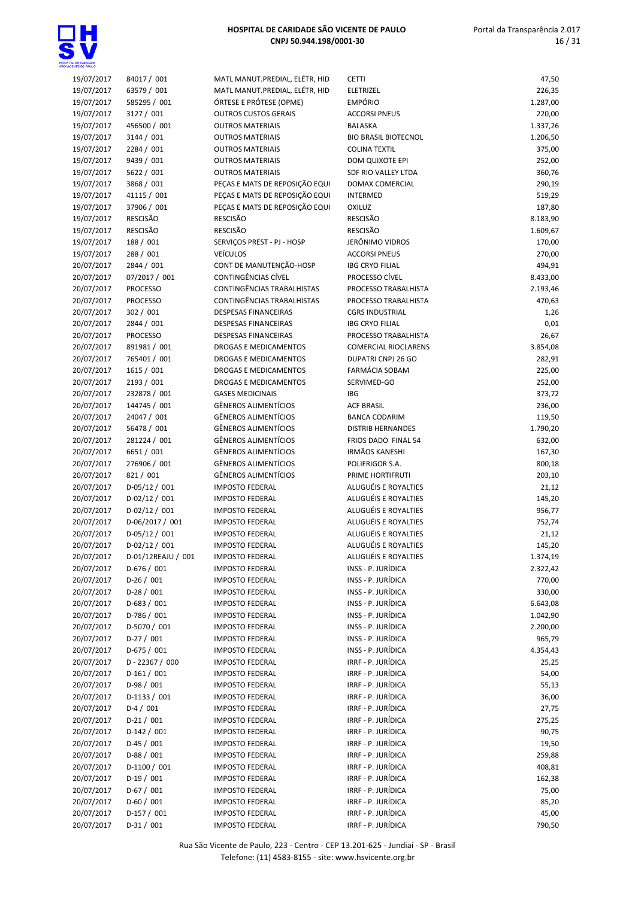Portal da Transparência 2.017 16 / 31

| 19/07/2017 | 84017 / 001        | MATL MANUT.PREDIAL, ELÉTR, HID | <b>CETTI</b>                | 47,50    |
|------------|--------------------|--------------------------------|-----------------------------|----------|
| 19/07/2017 | 63579 / 001        | MATL MANUT.PREDIAL, ELÉTR, HID | ELETRIZEL                   | 226,35   |
|            |                    |                                | <b>EMPÓRIO</b>              |          |
| 19/07/2017 | 585295 / 001       | ÓRTESE E PRÓTESE (OPME)        |                             | 1.287,00 |
| 19/07/2017 | 3127 / 001         | <b>OUTROS CUSTOS GERAIS</b>    | <b>ACCORSI PNEUS</b>        | 220,00   |
| 19/07/2017 | 456500 / 001       | <b>OUTROS MATERIAIS</b>        | BALASKA                     | 1.337,26 |
| 19/07/2017 | 3144 / 001         | <b>OUTROS MATERIAIS</b>        | <b>BIO BRASIL BIOTECNOL</b> | 1.206,50 |
| 19/07/2017 | 2284 / 001         | <b>OUTROS MATERIAIS</b>        | <b>COLINA TEXTIL</b>        | 375,00   |
| 19/07/2017 | 9439 / 001         | <b>OUTROS MATERIAIS</b>        | DOM QUIXOTE EPI             | 252,00   |
| 19/07/2017 | 5622 / 001         | <b>OUTROS MATERIAIS</b>        | SDF RIO VALLEY LTDA         | 360,76   |
| 19/07/2017 | 3868 / 001         | PEÇAS E MATS DE REPOSIÇÃO EQUI | DOMAX COMERCIAL             | 290,19   |
| 19/07/2017 | 41115 / 001        | PEÇAS E MATS DE REPOSIÇÃO EQUI | <b>INTERMED</b>             | 519,29   |
| 19/07/2017 | 37906 / 001        | PEÇAS E MATS DE REPOSIÇÃO EQUI | <b>OXILUZ</b>               |          |
|            |                    |                                |                             | 187,80   |
| 19/07/2017 | <b>RESCISÃO</b>    | <b>RESCISÃO</b>                | RESCISÃO                    | 8.183,90 |
| 19/07/2017 | RESCISÃO           | <b>RESCISÃO</b>                | <b>RESCISÃO</b>             | 1.609,67 |
| 19/07/2017 | 188 / 001          | SERVIÇOS PREST - PJ - HOSP     | JERÔNIMO VIDROS             | 170,00   |
| 19/07/2017 | 288 / 001          | <b>VEÍCULOS</b>                | <b>ACCORSI PNEUS</b>        | 270,00   |
| 20/07/2017 | 2844 / 001         | CONT DE MANUTENÇÃO-HOSP        | <b>IBG CRYO FILIAL</b>      | 494,91   |
| 20/07/2017 | 07/2017 / 001      | CONTINGÊNCIAS CÍVEL            | PROCESSO CÍVEL              | 8.433,00 |
| 20/07/2017 | <b>PROCESSO</b>    | CONTINGÊNCIAS TRABALHISTAS     | PROCESSO TRABALHISTA        | 2.193,46 |
| 20/07/2017 | <b>PROCESSO</b>    | CONTINGÊNCIAS TRABALHISTAS     | PROCESSO TRABALHISTA        | 470,63   |
| 20/07/2017 | 302 / 001          | <b>DESPESAS FINANCEIRAS</b>    | <b>CGRS INDUSTRIAL</b>      | 1,26     |
| 20/07/2017 | 2844 / 001         | <b>DESPESAS FINANCEIRAS</b>    | <b>IBG CRYO FILIAL</b>      | 0,01     |
|            |                    |                                |                             |          |
| 20/07/2017 | <b>PROCESSO</b>    | <b>DESPESAS FINANCEIRAS</b>    | PROCESSO TRABALHISTA        | 26,67    |
| 20/07/2017 | 891981 / 001       | <b>DROGAS E MEDICAMENTOS</b>   | <b>COMERCIAL RIOCLARENS</b> | 3.854,08 |
| 20/07/2017 | 765401 / 001       | DROGAS E MEDICAMENTOS          | DUPATRI CNPJ 26 GO          | 282,91   |
| 20/07/2017 | 1615 / 001         | DROGAS E MEDICAMENTOS          | FARMÁCIA SOBAM              | 225,00   |
| 20/07/2017 | 2193 / 001         | DROGAS E MEDICAMENTOS          | SERVIMED-GO                 | 252,00   |
| 20/07/2017 | 232878 / 001       | <b>GASES MEDICINAIS</b>        | <b>IBG</b>                  | 373,72   |
| 20/07/2017 | 144745 / 001       | <b>GÊNEROS ALIMENTÍCIOS</b>    | <b>ACF BRASIL</b>           | 236,00   |
| 20/07/2017 | 24047 / 001        | GÊNEROS ALIMENTÍCIOS           | <b>BANCA CODARIM</b>        | 119,50   |
| 20/07/2017 | 56478 / 001        | GÊNEROS ALIMENTÍCIOS           | <b>DISTRIB HERNANDES</b>    | 1.790,20 |
| 20/07/2017 | 281224 / 001       | <b>GÊNEROS ALIMENTÍCIOS</b>    | FRIOS DADO FINAL 54         | 632,00   |
|            | 6651 / 001         | GÊNEROS ALIMENTÍCIOS           | <b>IRMÃOS KANESHI</b>       |          |
| 20/07/2017 |                    |                                |                             | 167,30   |
| 20/07/2017 | 276906 / 001       | GÊNEROS ALIMENTÍCIOS           | POLIFRIGOR S.A.             | 800,18   |
| 20/07/2017 | 821 / 001          | <b>GÊNEROS ALIMENTÍCIOS</b>    | PRIME HORTIFRUTI            | 203,10   |
| 20/07/2017 | $D-05/12/001$      | <b>IMPOSTO FEDERAL</b>         | ALUGUÉIS E ROYALTIES        | 21,12    |
| 20/07/2017 | $D-02/12 / 001$    | <b>IMPOSTO FEDERAL</b>         | ALUGUÉIS E ROYALTIES        | 145,20   |
| 20/07/2017 | $D-02/12 / 001$    | <b>IMPOSTO FEDERAL</b>         | ALUGUÉIS E ROYALTIES        | 956,77   |
| 20/07/2017 | D-06/2017 / 001    | <b>IMPOSTO FEDERAL</b>         | ALUGUÉIS E ROYALTIES        | 752,74   |
| 20/07/2017 | $D-05/12/001$      | <b>IMPOSTO FEDERAL</b>         | ALUGUÉIS E ROYALTIES        | 21,12    |
| 20/07/2017 | $D-02/12 / 001$    | <b>IMPOSTO FEDERAL</b>         | ALUGUÉIS E ROYALTIES        | 145,20   |
| 20/07/2017 | D-01/12REAJU / 001 | <b>IMPOSTO FEDERAL</b>         | ALUGUÉIS E ROYALTIES        | 1.374,19 |
| 20/07/2017 | $D-676 / 001$      | <b>IMPOSTO FEDERAL</b>         | INSS - P. JURÍDICA          | 2.322,42 |
| 20/07/2017 | $D-26/001$         | <b>IMPOSTO FEDERAL</b>         | INSS - P. JURÍDICA          | 770,00   |
| 20/07/2017 |                    | <b>IMPOSTO FEDERAL</b>         | INSS - P. JURÍDICA          | 330,00   |
|            | $D-28/001$         |                                |                             |          |
| 20/07/2017 | $D-683 / 001$      | <b>IMPOSTO FEDERAL</b>         | INSS - P. JURÍDICA          | 6.643,08 |
| 20/07/2017 | D-786 / 001        | <b>IMPOSTO FEDERAL</b>         | INSS - P. JURÍDICA          | 1.042,90 |
| 20/07/2017 | D-5070 / 001       | <b>IMPOSTO FEDERAL</b>         | INSS - P. JURÍDICA          | 2.200,00 |
| 20/07/2017 | $D-27/001$         | <b>IMPOSTO FEDERAL</b>         | INSS - P. JURÍDICA          | 965,79   |
| 20/07/2017 | $D-675 / 001$      | <b>IMPOSTO FEDERAL</b>         | INSS - P. JURÍDICA          | 4.354,43 |
| 20/07/2017 | D-22367 / 000      | <b>IMPOSTO FEDERAL</b>         | IRRF - P. JURÍDICA          | 25,25    |
| 20/07/2017 | $D-161/001$        | <b>IMPOSTO FEDERAL</b>         | IRRF - P. JURÍDICA          | 54,00    |
| 20/07/2017 | $D-98/001$         | <b>IMPOSTO FEDERAL</b>         | IRRF - P. JURÍDICA          | 55,13    |
| 20/07/2017 | $D-1133 / 001$     | <b>IMPOSTO FEDERAL</b>         | IRRF - P. JURÍDICA          | 36,00    |
| 20/07/2017 | $D-4/001$          | <b>IMPOSTO FEDERAL</b>         | IRRF - P. JURÍDICA          | 27,75    |
| 20/07/2017 | $D-21/001$         | <b>IMPOSTO FEDERAL</b>         | IRRF - P. JURÍDICA          | 275,25   |
|            |                    |                                |                             |          |
| 20/07/2017 | D-142 / 001        | <b>IMPOSTO FEDERAL</b>         | IRRF - P. JURÍDICA          | 90,75    |
| 20/07/2017 | $D-45/001$         | <b>IMPOSTO FEDERAL</b>         | IRRF - P. JURÍDICA          | 19,50    |
| 20/07/2017 | $D-88/001$         | <b>IMPOSTO FEDERAL</b>         | IRRF - P. JURÍDICA          | 259,88   |
| 20/07/2017 | $D-1100/001$       | <b>IMPOSTO FEDERAL</b>         | IRRF - P. JURÍDICA          | 408,81   |
| 20/07/2017 | $D-19/001$         | <b>IMPOSTO FEDERAL</b>         | IRRF - P. JURÍDICA          | 162,38   |
| 20/07/2017 | $D-67/001$         | <b>IMPOSTO FEDERAL</b>         | IRRF - P. JURÍDICA          | 75,00    |
| 20/07/2017 | $D-60/001$         | <b>IMPOSTO FEDERAL</b>         | IRRF - P. JURÍDICA          | 85,20    |
| 20/07/2017 | $D-157/001$        | <b>IMPOSTO FEDERAL</b>         | IRRF - P. JURÍDICA          | 45,00    |
| 20/07/2017 | $D-31/001$         | <b>IMPOSTO FEDERAL</b>         | IRRF - P. JURÍDICA          | 790,50   |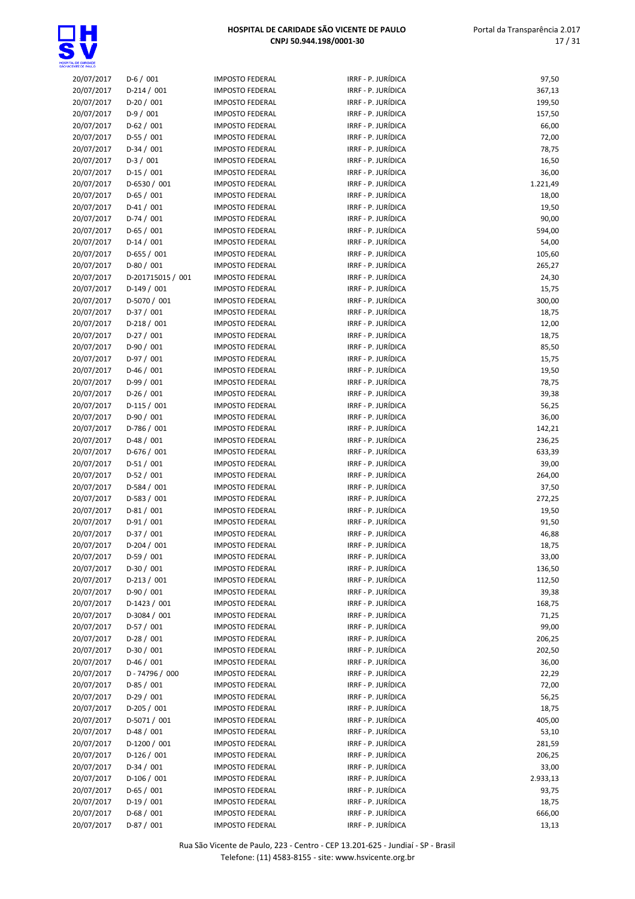

| 20/07/2017               | $D-6/001$                   | <b>IMPOSTO FEDERAL</b>                           | IRRF - P. JURÍDICA                       | 97,50           |
|--------------------------|-----------------------------|--------------------------------------------------|------------------------------------------|-----------------|
| 20/07/2017               | $D-214/001$                 | <b>IMPOSTO FEDERAL</b>                           | IRRF - P. JURÍDICA                       | 367,13          |
| 20/07/2017               | $D-20/001$                  | <b>IMPOSTO FEDERAL</b>                           | IRRF - P. JURÍDICA                       | 199,50          |
| 20/07/2017               | $D-9/001$                   | <b>IMPOSTO FEDERAL</b>                           | IRRF - P. JURÍDICA                       | 157,50          |
| 20/07/2017               | $D-62 / 001$                | <b>IMPOSTO FEDERAL</b>                           | IRRF - P. JURÍDICA                       | 66,00           |
| 20/07/2017               | $D-55/001$                  | <b>IMPOSTO FEDERAL</b>                           | IRRF - P. JURÍDICA                       | 72,00           |
| 20/07/2017               | $D-34/001$                  | <b>IMPOSTO FEDERAL</b>                           | IRRF - P. JURÍDICA                       | 78,75           |
| 20/07/2017               | $D-3/001$                   | <b>IMPOSTO FEDERAL</b>                           | IRRF - P. JURÍDICA                       | 16,50           |
| 20/07/2017               | $D-15/001$                  | <b>IMPOSTO FEDERAL</b>                           | IRRF - P. JURÍDICA                       | 36,00           |
| 20/07/2017               | $D-6530 / 001$              | <b>IMPOSTO FEDERAL</b>                           | IRRF - P. JURÍDICA                       | 1.221,49        |
| 20/07/2017               | $D-65/001$                  | <b>IMPOSTO FEDERAL</b>                           | IRRF - P. JURÍDICA                       | 18,00           |
| 20/07/2017               | $D-41/001$                  | <b>IMPOSTO FEDERAL</b>                           | IRRF - P. JURÍDICA                       | 19,50           |
| 20/07/2017               | $D-74/001$                  | <b>IMPOSTO FEDERAL</b>                           | IRRF - P. JURÍDICA                       | 90,00           |
| 20/07/2017               | $D-65/001$                  | <b>IMPOSTO FEDERAL</b>                           | IRRF - P. JURÍDICA                       | 594,00          |
| 20/07/2017               | $D-14/001$                  | <b>IMPOSTO FEDERAL</b>                           | IRRF - P. JURÍDICA                       | 54,00           |
| 20/07/2017               | $D-655 / 001$               | <b>IMPOSTO FEDERAL</b>                           | IRRF - P. JURÍDICA                       | 105,60          |
| 20/07/2017               | $D-80/001$                  | <b>IMPOSTO FEDERAL</b>                           | IRRF - P. JURÍDICA                       | 265,27          |
| 20/07/2017               | D-201715015 / 001           | <b>IMPOSTO FEDERAL</b>                           | IRRF - P. JURÍDICA                       | 24,30           |
| 20/07/2017               | $D-149/001$                 | <b>IMPOSTO FEDERAL</b>                           | IRRF - P. JURÍDICA                       | 15,75           |
| 20/07/2017               | D-5070 / 001                | <b>IMPOSTO FEDERAL</b>                           | IRRF - P. JURÍDICA                       | 300,00          |
| 20/07/2017               | $D-37/001$                  | <b>IMPOSTO FEDERAL</b>                           | IRRF - P. JURÍDICA                       | 18,75           |
| 20/07/2017               | $D-218/001$                 | <b>IMPOSTO FEDERAL</b>                           | IRRF - P. JURÍDICA                       | 12,00           |
| 20/07/2017               | $D-27/001$                  | <b>IMPOSTO FEDERAL</b>                           | IRRF - P. JURÍDICA                       | 18,75           |
| 20/07/2017               | $D-90/001$                  | <b>IMPOSTO FEDERAL</b>                           | IRRF - P. JURÍDICA                       | 85,50           |
| 20/07/2017               | $D-97/001$                  | <b>IMPOSTO FEDERAL</b>                           | IRRF - P. JURÍDICA                       | 15,75           |
| 20/07/2017               | $D-46/001$                  | <b>IMPOSTO FEDERAL</b>                           | IRRF - P. JURÍDICA                       | 19,50           |
| 20/07/2017               | $D-99/001$                  | <b>IMPOSTO FEDERAL</b>                           | IRRF - P. JURÍDICA                       | 78,75           |
| 20/07/2017               | $D-26/001$                  | <b>IMPOSTO FEDERAL</b>                           | IRRF - P. JURÍDICA                       | 39,38           |
| 20/07/2017               | $D-115/001$                 | <b>IMPOSTO FEDERAL</b>                           | IRRF - P. JURÍDICA                       | 56,25           |
| 20/07/2017               | $D-90/001$                  | <b>IMPOSTO FEDERAL</b>                           | IRRF - P. JURÍDICA                       | 36,00           |
| 20/07/2017               | $D-786 / 001$               | <b>IMPOSTO FEDERAL</b>                           | IRRF - P. JURÍDICA<br>IRRF - P. JURÍDICA | 142,21          |
| 20/07/2017               | $D-48/001$                  | <b>IMPOSTO FEDERAL</b><br><b>IMPOSTO FEDERAL</b> | IRRF - P. JURÍDICA                       | 236,25          |
| 20/07/2017<br>20/07/2017 | $D-676 / 001$<br>$D-51/001$ | <b>IMPOSTO FEDERAL</b>                           | IRRF - P. JURÍDICA                       | 633,39<br>39,00 |
|                          |                             | <b>IMPOSTO FEDERAL</b>                           | IRRF - P. JURÍDICA                       |                 |
| 20/07/2017<br>20/07/2017 | $D-52/001$<br>$D-584 / 001$ | <b>IMPOSTO FEDERAL</b>                           | IRRF - P. JURÍDICA                       | 264,00<br>37,50 |
| 20/07/2017               | $D-583 / 001$               | <b>IMPOSTO FEDERAL</b>                           | IRRF - P. JURÍDICA                       | 272,25          |
| 20/07/2017               | $D-81/001$                  | <b>IMPOSTO FEDERAL</b>                           | IRRF - P. JURÍDICA                       | 19,50           |
| 20/07/2017               | $D-91/001$                  | <b>IMPOSTO FEDERAL</b>                           | IRRF - P. JURÍDICA                       | 91,50           |
| 20/07/2017               | $D-37/001$                  | <b>IMPOSTO FEDERAL</b>                           | IRRF - P. JURÍDICA                       | 46,88           |
| 20/07/2017               | $D-204 / 001$               | <b>IMPOSTO FEDERAL</b>                           | IRRF - P. JURÍDICA                       | 18,75           |
| 20/07/2017               | $D-59/001$                  | <b>IMPOSTO FEDERAL</b>                           | IRRF - P. JURÍDICA                       | 33,00           |
| 20/07/2017               | $D-30/001$                  | <b>IMPOSTO FEDERAL</b>                           | IRRF - P. JURÍDICA                       | 136,50          |
| 20/07/2017               | $D-213 / 001$               | <b>IMPOSTO FEDERAL</b>                           | IRRF - P. JURÍDICA                       | 112,50          |
| 20/07/2017               | $D-90/001$                  | <b>IMPOSTO FEDERAL</b>                           | IRRF - P. JURÍDICA                       | 39,38           |
| 20/07/2017               | D-1423 / 001                | <b>IMPOSTO FEDERAL</b>                           | IRRF - P. JURÍDICA                       | 168,75          |
| 20/07/2017               | $D-3084 / 001$              | <b>IMPOSTO FEDERAL</b>                           | IRRF - P. JURÍDICA                       | 71,25           |
| 20/07/2017               | $D-57/001$                  | <b>IMPOSTO FEDERAL</b>                           | IRRF - P. JURÍDICA                       | 99,00           |
| 20/07/2017               | $D-28/001$                  | <b>IMPOSTO FEDERAL</b>                           | IRRF - P. JURÍDICA                       | 206,25          |
| 20/07/2017               | $D-30/001$                  | <b>IMPOSTO FEDERAL</b>                           | IRRF - P. JURÍDICA                       | 202,50          |
| 20/07/2017               | $D-46/001$                  | <b>IMPOSTO FEDERAL</b>                           | IRRF - P. JURÍDICA                       | 36,00           |
| 20/07/2017               | D-74796 / 000               | <b>IMPOSTO FEDERAL</b>                           | IRRF - P. JURÍDICA                       | 22,29           |
| 20/07/2017               | $D-85/001$                  | <b>IMPOSTO FEDERAL</b>                           | IRRF - P. JURÍDICA                       | 72,00           |
| 20/07/2017               | $D-29/001$                  | <b>IMPOSTO FEDERAL</b>                           | IRRF - P. JURÍDICA                       | 56,25           |
| 20/07/2017               | $D-205/001$                 | <b>IMPOSTO FEDERAL</b>                           | IRRF - P. JURÍDICA                       | 18,75           |
| 20/07/2017               | $D-5071/001$                | <b>IMPOSTO FEDERAL</b>                           | IRRF - P. JURÍDICA                       | 405,00          |
| 20/07/2017               | $D-48/001$                  | <b>IMPOSTO FEDERAL</b>                           | IRRF - P. JURÍDICA                       | 53,10           |
| 20/07/2017               | $D-1200 / 001$              | <b>IMPOSTO FEDERAL</b>                           | IRRF - P. JURÍDICA                       | 281,59          |
| 20/07/2017               | $D-126/001$                 | <b>IMPOSTO FEDERAL</b>                           | IRRF - P. JURÍDICA                       | 206,25          |
| 20/07/2017               | $D-34/001$                  | <b>IMPOSTO FEDERAL</b>                           | IRRF - P. JURÍDICA                       | 33,00           |
| 20/07/2017               | $D-106/001$                 | <b>IMPOSTO FEDERAL</b>                           | IRRF - P. JURÍDICA                       | 2.933,13        |
| 20/07/2017               | $D-65/001$                  | <b>IMPOSTO FEDERAL</b>                           | IRRF - P. JURÍDICA                       | 93,75           |
| 20/07/2017               | $D-19/001$                  | <b>IMPOSTO FEDERAL</b>                           | IRRF - P. JURÍDICA                       | 18,75           |
| 20/07/2017               | $D-68/001$                  | <b>IMPOSTO FEDERAL</b>                           | IRRF - P. JURÍDICA                       | 666,00          |
| 20/07/2017               | $D-87/001$                  | <b>IMPOSTO FEDERAL</b>                           | IRRF - P. JURÍDICA                       | 13,13           |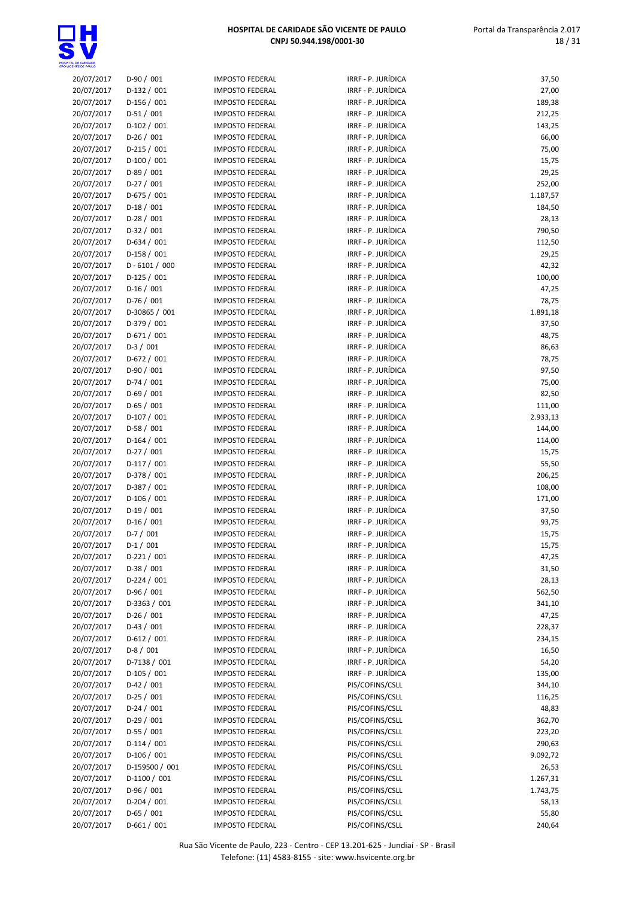

| 20/07/2017 | $D-90/001$                   | <b>IMPOSTO FEDERAL</b> | IRRF - P. JURÍDICA | 37,50           |
|------------|------------------------------|------------------------|--------------------|-----------------|
| 20/07/2017 | D-132 / 001                  | <b>IMPOSTO FEDERAL</b> | IRRF - P. JURÍDICA | 27,00           |
| 20/07/2017 | $D-156/001$                  | <b>IMPOSTO FEDERAL</b> | IRRF - P. JURÍDICA | 189,38          |
| 20/07/2017 | $D-51/001$                   | <b>IMPOSTO FEDERAL</b> | IRRF - P. JURÍDICA | 212,25          |
| 20/07/2017 | $D-102 / 001$                | <b>IMPOSTO FEDERAL</b> | IRRF - P. JURÍDICA | 143,25          |
| 20/07/2017 | $D-26/001$                   | <b>IMPOSTO FEDERAL</b> | IRRF - P. JURÍDICA | 66,00           |
| 20/07/2017 | $D-215/001$                  | <b>IMPOSTO FEDERAL</b> | IRRF - P. JURÍDICA | 75,00           |
| 20/07/2017 | $D-100/001$                  | <b>IMPOSTO FEDERAL</b> | IRRF - P. JURÍDICA | 15,75           |
| 20/07/2017 | $D-89/001$                   | <b>IMPOSTO FEDERAL</b> | IRRF - P. JURÍDICA | 29,25           |
| 20/07/2017 | $D-27/001$                   | <b>IMPOSTO FEDERAL</b> | IRRF - P. JURÍDICA | 252,00          |
| 20/07/2017 | $D-675/001$                  | <b>IMPOSTO FEDERAL</b> | IRRF - P. JURÍDICA | 1.187,57        |
| 20/07/2017 | $D-18/001$                   | <b>IMPOSTO FEDERAL</b> | IRRF - P. JURÍDICA | 184,50          |
| 20/07/2017 | $D-28/001$                   | <b>IMPOSTO FEDERAL</b> | IRRF - P. JURÍDICA |                 |
|            |                              |                        | IRRF - P. JURÍDICA | 28,13           |
| 20/07/2017 | $D-32 / 001$                 | <b>IMPOSTO FEDERAL</b> |                    | 790,50          |
| 20/07/2017 | $D-634 / 001$<br>D-158 / 001 | <b>IMPOSTO FEDERAL</b> | IRRF - P. JURÍDICA | 112,50          |
| 20/07/2017 |                              | <b>IMPOSTO FEDERAL</b> | IRRF - P. JURÍDICA | 29,25           |
| 20/07/2017 | $D - 6101 / 000$             | <b>IMPOSTO FEDERAL</b> | IRRF - P. JURÍDICA | 42,32           |
| 20/07/2017 | $D-125/001$                  | <b>IMPOSTO FEDERAL</b> | IRRF - P. JURÍDICA | 100,00          |
| 20/07/2017 | $D-16/001$                   | <b>IMPOSTO FEDERAL</b> | IRRF - P. JURÍDICA | 47,25           |
| 20/07/2017 | $D-76/001$                   | <b>IMPOSTO FEDERAL</b> | IRRF - P. JURÍDICA | 78,75           |
| 20/07/2017 | D-30865 / 001                | <b>IMPOSTO FEDERAL</b> | IRRF - P. JURÍDICA | 1.891,18        |
| 20/07/2017 | D-379 / 001                  | <b>IMPOSTO FEDERAL</b> | IRRF - P. JURÍDICA | 37,50           |
| 20/07/2017 | $D-671/001$                  | <b>IMPOSTO FEDERAL</b> | IRRF - P. JURÍDICA | 48,75           |
| 20/07/2017 | $D-3/001$                    | <b>IMPOSTO FEDERAL</b> | IRRF - P. JURÍDICA | 86,63           |
| 20/07/2017 | $D-672 / 001$                | <b>IMPOSTO FEDERAL</b> | IRRF - P. JURÍDICA | 78,75           |
| 20/07/2017 | $D-90/001$                   | <b>IMPOSTO FEDERAL</b> | IRRF - P. JURÍDICA | 97,50           |
| 20/07/2017 | $D-74/001$                   | <b>IMPOSTO FEDERAL</b> | IRRF - P. JURÍDICA | 75,00           |
| 20/07/2017 | $D-69/001$                   | <b>IMPOSTO FEDERAL</b> | IRRF - P. JURÍDICA | 82,50           |
| 20/07/2017 | $D-65/001$                   | <b>IMPOSTO FEDERAL</b> | IRRF - P. JURÍDICA | 111,00          |
| 20/07/2017 | $D-107/001$                  | <b>IMPOSTO FEDERAL</b> | IRRF - P. JURÍDICA | 2.933,13        |
| 20/07/2017 | $D-58/001$                   | <b>IMPOSTO FEDERAL</b> | IRRF - P. JURÍDICA | 144,00          |
| 20/07/2017 | $D-164 / 001$                | <b>IMPOSTO FEDERAL</b> | IRRF - P. JURÍDICA | 114,00          |
| 20/07/2017 | $D-27/001$                   | <b>IMPOSTO FEDERAL</b> | IRRF - P. JURÍDICA | 15,75           |
| 20/07/2017 | $D-117/001$                  | <b>IMPOSTO FEDERAL</b> | IRRF - P. JURÍDICA | 55,50           |
| 20/07/2017 | D-378 / 001                  | <b>IMPOSTO FEDERAL</b> | IRRF - P. JURÍDICA | 206,25          |
| 20/07/2017 | D-387 / 001                  | <b>IMPOSTO FEDERAL</b> | IRRF - P. JURÍDICA | 108,00          |
| 20/07/2017 | $D-106/001$                  | <b>IMPOSTO FEDERAL</b> | IRRF - P. JURÍDICA | 171,00          |
| 20/07/2017 | $D-19/001$                   | <b>IMPOSTO FEDERAL</b> | IRRF - P. JURÍDICA | 37,50           |
| 20/07/2017 | $D-16/001$                   | <b>IMPOSTO FEDERAL</b> | IRRF - P. JURÍDICA | 93,75           |
| 20/07/2017 | $D-7/001$                    | <b>IMPOSTO FEDERAL</b> | IRRF - P. JURÍDICA | 15,75           |
| 20/07/2017 | $D-1/001$                    | <b>IMPOSTO FEDERAL</b> | IRRF - P. JURÍDICA | 15,75           |
| 20/07/2017 | $D-221/001$                  | <b>IMPOSTO FEDERAL</b> | IRRF - P. JURÍDICA | 47,25           |
| 20/07/2017 | $D-38/001$                   | <b>IMPOSTO FEDERAL</b> | IRRF - P. JURÍDICA | 31,50           |
| 20/07/2017 | $D-224 / 001$                | <b>IMPOSTO FEDERAL</b> | IRRF - P. JURÍDICA | 28,13           |
| 20/07/2017 | D-96 / 001                   | <b>IMPOSTO FEDERAL</b> | IRRF - P. JURÍDICA | 562,50          |
| 20/07/2017 | D-3363 / 001                 | <b>IMPOSTO FEDERAL</b> | IRRF - P. JURÍDICA | 341,10          |
| 20/07/2017 | $D-26/001$                   | <b>IMPOSTO FEDERAL</b> | IRRF - P. JURÍDICA | 47,25           |
| 20/07/2017 | $D-43 / 001$                 | <b>IMPOSTO FEDERAL</b> | IRRF - P. JURÍDICA | 228,37          |
| 20/07/2017 | $D-612 / 001$                | <b>IMPOSTO FEDERAL</b> | IRRF - P. JURÍDICA | 234,15          |
| 20/07/2017 | $D-8/001$                    | <b>IMPOSTO FEDERAL</b> | IRRF - P. JURÍDICA | 16,50           |
| 20/07/2017 | D-7138 / 001                 | <b>IMPOSTO FEDERAL</b> | IRRF - P. JURÍDICA | 54,20           |
| 20/07/2017 | $D-105/001$                  | <b>IMPOSTO FEDERAL</b> | IRRF - P. JURÍDICA | 135,00          |
| 20/07/2017 | $D-42 / 001$                 | <b>IMPOSTO FEDERAL</b> | PIS/COFINS/CSLL    | 344,10          |
| 20/07/2017 | $D-25/001$                   | <b>IMPOSTO FEDERAL</b> | PIS/COFINS/CSLL    |                 |
| 20/07/2017 | $D-24/001$                   | <b>IMPOSTO FEDERAL</b> | PIS/COFINS/CSLL    | 116,25<br>48,83 |
| 20/07/2017 | $D-29/001$                   | <b>IMPOSTO FEDERAL</b> | PIS/COFINS/CSLL    | 362,70          |
|            |                              |                        |                    |                 |
| 20/07/2017 | $D-55/001$                   | <b>IMPOSTO FEDERAL</b> | PIS/COFINS/CSLL    | 223,20          |
| 20/07/2017 | $D-114/001$                  | <b>IMPOSTO FEDERAL</b> | PIS/COFINS/CSLL    | 290,63          |
| 20/07/2017 | D-106 / 001                  | <b>IMPOSTO FEDERAL</b> | PIS/COFINS/CSLL    | 9.092,72        |
| 20/07/2017 | D-159500 / 001               | <b>IMPOSTO FEDERAL</b> | PIS/COFINS/CSLL    | 26,53           |
| 20/07/2017 | $D-1100 / 001$               | <b>IMPOSTO FEDERAL</b> | PIS/COFINS/CSLL    | 1.267,31        |
| 20/07/2017 | $D-96/001$                   | <b>IMPOSTO FEDERAL</b> | PIS/COFINS/CSLL    | 1.743,75        |
| 20/07/2017 | $D-204 / 001$                | <b>IMPOSTO FEDERAL</b> | PIS/COFINS/CSLL    | 58,13           |
| 20/07/2017 | $D-65/001$                   | <b>IMPOSTO FEDERAL</b> | PIS/COFINS/CSLL    | 55,80           |
| 20/07/2017 | $D-661/001$                  | <b>IMPOSTO FEDERAL</b> | PIS/COFINS/CSLL    | 240,64          |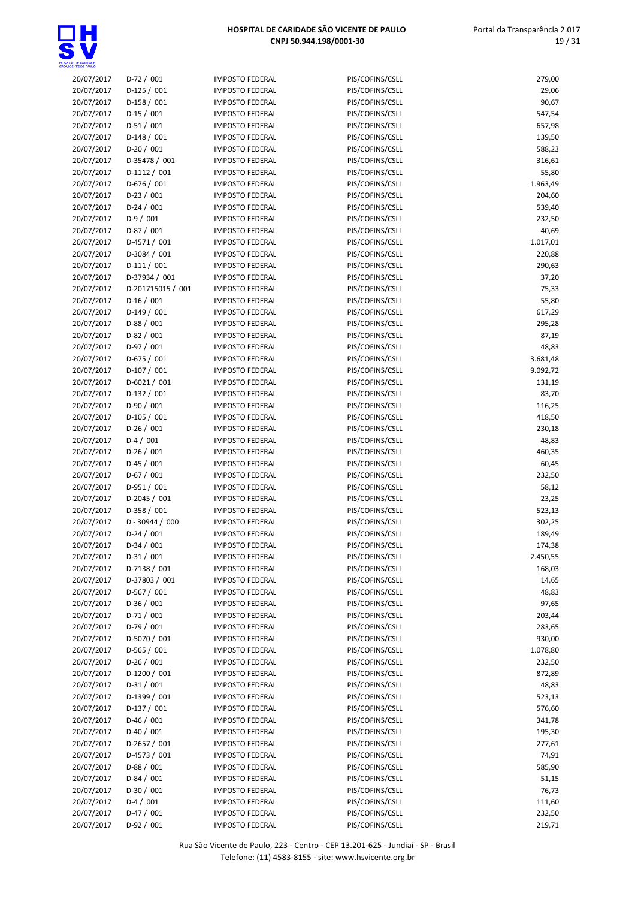

| 20/07/2017 | $D-72/001$        | <b>IMPOSTO FEDERAL</b> | PIS/COFINS/CSLL | 279,00   |
|------------|-------------------|------------------------|-----------------|----------|
| 20/07/2017 | $D-125/001$       | <b>IMPOSTO FEDERAL</b> | PIS/COFINS/CSLL | 29,06    |
| 20/07/2017 | $D-158/001$       | <b>IMPOSTO FEDERAL</b> | PIS/COFINS/CSLL | 90,67    |
| 20/07/2017 | $D-15/001$        | <b>IMPOSTO FEDERAL</b> | PIS/COFINS/CSLL | 547,54   |
| 20/07/2017 | $D-51/001$        | <b>IMPOSTO FEDERAL</b> | PIS/COFINS/CSLL | 657,98   |
| 20/07/2017 | $D-148/001$       | <b>IMPOSTO FEDERAL</b> | PIS/COFINS/CSLL | 139,50   |
| 20/07/2017 | $D-20/001$        | <b>IMPOSTO FEDERAL</b> | PIS/COFINS/CSLL | 588,23   |
| 20/07/2017 | D-35478 / 001     | <b>IMPOSTO FEDERAL</b> | PIS/COFINS/CSLL | 316,61   |
| 20/07/2017 | $D-1112 / 001$    | <b>IMPOSTO FEDERAL</b> | PIS/COFINS/CSLL | 55,80    |
| 20/07/2017 | $D-676 / 001$     | <b>IMPOSTO FEDERAL</b> | PIS/COFINS/CSLL | 1.963,49 |
| 20/07/2017 | $D-23/001$        | <b>IMPOSTO FEDERAL</b> | PIS/COFINS/CSLL | 204,60   |
| 20/07/2017 | $D-24/001$        | <b>IMPOSTO FEDERAL</b> | PIS/COFINS/CSLL | 539,40   |
| 20/07/2017 | $D-9/001$         | <b>IMPOSTO FEDERAL</b> | PIS/COFINS/CSLL | 232,50   |
| 20/07/2017 | $D-87/001$        | <b>IMPOSTO FEDERAL</b> | PIS/COFINS/CSLL | 40,69    |
| 20/07/2017 | $D-4571/001$      | <b>IMPOSTO FEDERAL</b> | PIS/COFINS/CSLL | 1.017,01 |
| 20/07/2017 | $D-3084 / 001$    | <b>IMPOSTO FEDERAL</b> | PIS/COFINS/CSLL | 220,88   |
| 20/07/2017 | $D-111/001$       | <b>IMPOSTO FEDERAL</b> | PIS/COFINS/CSLL | 290,63   |
| 20/07/2017 | D-37934 / 001     | <b>IMPOSTO FEDERAL</b> | PIS/COFINS/CSLL | 37,20    |
| 20/07/2017 | D-201715015 / 001 | <b>IMPOSTO FEDERAL</b> | PIS/COFINS/CSLL | 75,33    |
| 20/07/2017 | $D-16/001$        | <b>IMPOSTO FEDERAL</b> | PIS/COFINS/CSLL | 55,80    |
| 20/07/2017 | $D-149/001$       | <b>IMPOSTO FEDERAL</b> | PIS/COFINS/CSLL | 617,29   |
| 20/07/2017 | $D-88/001$        | <b>IMPOSTO FEDERAL</b> | PIS/COFINS/CSLL | 295,28   |
| 20/07/2017 | $D-82/001$        | <b>IMPOSTO FEDERAL</b> | PIS/COFINS/CSLL | 87,19    |
|            |                   |                        |                 |          |
| 20/07/2017 | $D-97/001$        | <b>IMPOSTO FEDERAL</b> | PIS/COFINS/CSLL | 48,83    |
| 20/07/2017 | $D-675 / 001$     | <b>IMPOSTO FEDERAL</b> | PIS/COFINS/CSLL | 3.681,48 |
| 20/07/2017 | $D-107/001$       | <b>IMPOSTO FEDERAL</b> | PIS/COFINS/CSLL | 9.092,72 |
| 20/07/2017 | $D-6021 / 001$    | <b>IMPOSTO FEDERAL</b> | PIS/COFINS/CSLL | 131,19   |
| 20/07/2017 | $D-132 / 001$     | <b>IMPOSTO FEDERAL</b> | PIS/COFINS/CSLL | 83,70    |
| 20/07/2017 | $D-90/001$        | <b>IMPOSTO FEDERAL</b> | PIS/COFINS/CSLL | 116,25   |
| 20/07/2017 | $D-105 / 001$     | <b>IMPOSTO FEDERAL</b> | PIS/COFINS/CSLL | 418,50   |
| 20/07/2017 | $D-26/001$        | <b>IMPOSTO FEDERAL</b> | PIS/COFINS/CSLL | 230,18   |
| 20/07/2017 | $D-4/001$         | <b>IMPOSTO FEDERAL</b> | PIS/COFINS/CSLL | 48,83    |
| 20/07/2017 | $D-26/001$        | <b>IMPOSTO FEDERAL</b> | PIS/COFINS/CSLL | 460,35   |
| 20/07/2017 | $D-45/001$        | <b>IMPOSTO FEDERAL</b> | PIS/COFINS/CSLL | 60,45    |
| 20/07/2017 | $D-67/001$        | <b>IMPOSTO FEDERAL</b> | PIS/COFINS/CSLL | 232,50   |
| 20/07/2017 | $D-951/001$       | <b>IMPOSTO FEDERAL</b> | PIS/COFINS/CSLL | 58,12    |
| 20/07/2017 | D-2045 / 001      | <b>IMPOSTO FEDERAL</b> | PIS/COFINS/CSLL | 23,25    |
| 20/07/2017 | $D-358/001$       | <b>IMPOSTO FEDERAL</b> | PIS/COFINS/CSLL | 523,13   |
| 20/07/2017 | $D - 30944 / 000$ | <b>IMPOSTO FEDERAL</b> | PIS/COFINS/CSLL | 302,25   |
| 20/07/2017 | $D-24/001$        | <b>IMPOSTO FEDERAL</b> | PIS/COFINS/CSLL | 189,49   |
| 20/07/2017 | $D-34/001$        | <b>IMPOSTO FEDERAL</b> | PIS/COFINS/CSLL | 174,38   |
| 20/07/2017 | $D-31/001$        | <b>IMPOSTO FEDERAL</b> | PIS/COFINS/CSLL | 2.450,55 |
| 20/07/2017 | $D-7138 / 001$    | <b>IMPOSTO FEDERAL</b> | PIS/COFINS/CSLL | 168,03   |
| 20/07/2017 | D-37803 / 001     | <b>IMPOSTO FEDERAL</b> | PIS/COFINS/CSLL | 14,65    |
| 20/07/2017 | $D-567/001$       | <b>IMPOSTO FEDERAL</b> | PIS/COFINS/CSLL | 48,83    |
| 20/07/2017 | $D-36/001$        | <b>IMPOSTO FEDERAL</b> | PIS/COFINS/CSLL | 97,65    |
| 20/07/2017 | $D-71/001$        | <b>IMPOSTO FEDERAL</b> | PIS/COFINS/CSLL | 203,44   |
| 20/07/2017 | $D-79/001$        | <b>IMPOSTO FEDERAL</b> | PIS/COFINS/CSLL | 283,65   |
| 20/07/2017 | D-5070 / 001      | <b>IMPOSTO FEDERAL</b> | PIS/COFINS/CSLL | 930,00   |
| 20/07/2017 | $D-565/001$       | <b>IMPOSTO FEDERAL</b> | PIS/COFINS/CSLL | 1.078,80 |
| 20/07/2017 | $D-26/001$        | <b>IMPOSTO FEDERAL</b> | PIS/COFINS/CSLL | 232,50   |
| 20/07/2017 | $D-1200 / 001$    | <b>IMPOSTO FEDERAL</b> | PIS/COFINS/CSLL | 872,89   |
| 20/07/2017 | $D-31/001$        | <b>IMPOSTO FEDERAL</b> | PIS/COFINS/CSLL | 48,83    |
| 20/07/2017 | D-1399 / 001      | <b>IMPOSTO FEDERAL</b> | PIS/COFINS/CSLL | 523,13   |
| 20/07/2017 | $D-137/001$       | <b>IMPOSTO FEDERAL</b> | PIS/COFINS/CSLL | 576,60   |
| 20/07/2017 | $D-46/001$        | <b>IMPOSTO FEDERAL</b> | PIS/COFINS/CSLL | 341,78   |
| 20/07/2017 | $D-40/001$        | <b>IMPOSTO FEDERAL</b> | PIS/COFINS/CSLL | 195,30   |
| 20/07/2017 | D-2657 / 001      | <b>IMPOSTO FEDERAL</b> | PIS/COFINS/CSLL | 277,61   |
| 20/07/2017 | D-4573 / 001      | <b>IMPOSTO FEDERAL</b> | PIS/COFINS/CSLL | 74,91    |
| 20/07/2017 | $D-88/001$        | <b>IMPOSTO FEDERAL</b> | PIS/COFINS/CSLL | 585,90   |
| 20/07/2017 | $D-84/001$        | <b>IMPOSTO FEDERAL</b> | PIS/COFINS/CSLL | 51,15    |
| 20/07/2017 | $D-30/001$        | <b>IMPOSTO FEDERAL</b> | PIS/COFINS/CSLL | 76,73    |
| 20/07/2017 | $D-4/001$         | <b>IMPOSTO FEDERAL</b> | PIS/COFINS/CSLL | 111,60   |
| 20/07/2017 | $D-47/001$        | <b>IMPOSTO FEDERAL</b> | PIS/COFINS/CSLL | 232,50   |
| 20/07/2017 | $D-92/001$        | <b>IMPOSTO FEDERAL</b> | PIS/COFINS/CSLL | 219,71   |
|            |                   |                        |                 |          |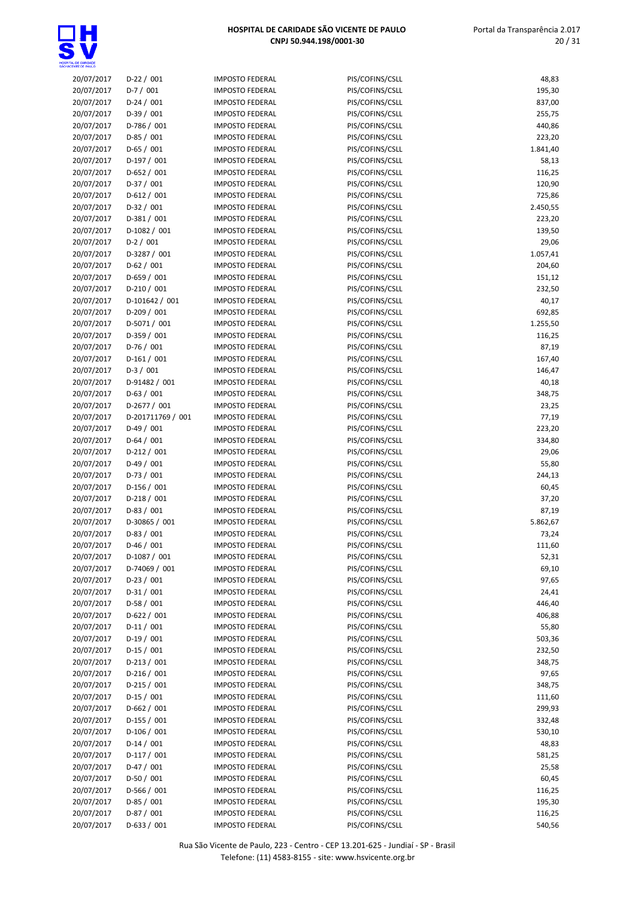

| 20/07/2017 | $D-22/001$        | <b>IMPOSTO FEDERAL</b> | PIS/COFINS/CSLL | 48,83           |
|------------|-------------------|------------------------|-----------------|-----------------|
| 20/07/2017 | $D-7/001$         | <b>IMPOSTO FEDERAL</b> | PIS/COFINS/CSLL | 195,30          |
| 20/07/2017 | $D-24/001$        | <b>IMPOSTO FEDERAL</b> | PIS/COFINS/CSLL | 837,00          |
| 20/07/2017 | $D-39/001$        | <b>IMPOSTO FEDERAL</b> | PIS/COFINS/CSLL | 255,75          |
|            |                   | <b>IMPOSTO FEDERAL</b> |                 |                 |
| 20/07/2017 | $D-786 / 001$     |                        | PIS/COFINS/CSLL | 440,86          |
| 20/07/2017 | $D-85/001$        | <b>IMPOSTO FEDERAL</b> | PIS/COFINS/CSLL | 223,20          |
| 20/07/2017 | $D-65/001$        | <b>IMPOSTO FEDERAL</b> | PIS/COFINS/CSLL | 1.841,40        |
| 20/07/2017 | $D-197/001$       | <b>IMPOSTO FEDERAL</b> | PIS/COFINS/CSLL | 58,13           |
| 20/07/2017 | $D-652 / 001$     | <b>IMPOSTO FEDERAL</b> | PIS/COFINS/CSLL | 116,25          |
| 20/07/2017 | D-37 / 001        | <b>IMPOSTO FEDERAL</b> | PIS/COFINS/CSLL | 120,90          |
| 20/07/2017 | $D-612 / 001$     | <b>IMPOSTO FEDERAL</b> | PIS/COFINS/CSLL | 725,86          |
| 20/07/2017 | $D-32/001$        | <b>IMPOSTO FEDERAL</b> | PIS/COFINS/CSLL | 2.450,55        |
| 20/07/2017 | $D-381/001$       | <b>IMPOSTO FEDERAL</b> | PIS/COFINS/CSLL | 223,20          |
| 20/07/2017 | $D-1082 / 001$    | <b>IMPOSTO FEDERAL</b> | PIS/COFINS/CSLL | 139,50          |
| 20/07/2017 | $D-2/001$         | <b>IMPOSTO FEDERAL</b> | PIS/COFINS/CSLL | 29,06           |
| 20/07/2017 | D-3287 / 001      | <b>IMPOSTO FEDERAL</b> | PIS/COFINS/CSLL | 1.057,41        |
| 20/07/2017 | $D-62/001$        | <b>IMPOSTO FEDERAL</b> | PIS/COFINS/CSLL | 204,60          |
| 20/07/2017 | D-659 / 001       | <b>IMPOSTO FEDERAL</b> | PIS/COFINS/CSLL | 151,12          |
| 20/07/2017 | $D-210/001$       | <b>IMPOSTO FEDERAL</b> | PIS/COFINS/CSLL | 232,50          |
| 20/07/2017 | D-101642 / 001    | <b>IMPOSTO FEDERAL</b> | PIS/COFINS/CSLL | 40,17           |
| 20/07/2017 | $D-209/001$       | <b>IMPOSTO FEDERAL</b> | PIS/COFINS/CSLL | 692,85          |
| 20/07/2017 | $D-5071/001$      | <b>IMPOSTO FEDERAL</b> | PIS/COFINS/CSLL | 1.255,50        |
| 20/07/2017 | D-359 / 001       | <b>IMPOSTO FEDERAL</b> | PIS/COFINS/CSLL | 116,25          |
| 20/07/2017 | $D-76/001$        | <b>IMPOSTO FEDERAL</b> | PIS/COFINS/CSLL | 87,19           |
| 20/07/2017 | $D-161/001$       | <b>IMPOSTO FEDERAL</b> | PIS/COFINS/CSLL | 167,40          |
| 20/07/2017 | $D-3/001$         | <b>IMPOSTO FEDERAL</b> | PIS/COFINS/CSLL | 146,47          |
|            | D-91482 / 001     | <b>IMPOSTO FEDERAL</b> | PIS/COFINS/CSLL |                 |
| 20/07/2017 | $D-63/001$        |                        |                 | 40,18<br>348,75 |
| 20/07/2017 | $D-2677/001$      | <b>IMPOSTO FEDERAL</b> | PIS/COFINS/CSLL |                 |
| 20/07/2017 |                   | <b>IMPOSTO FEDERAL</b> | PIS/COFINS/CSLL | 23,25           |
| 20/07/2017 | D-201711769 / 001 | <b>IMPOSTO FEDERAL</b> | PIS/COFINS/CSLL | 77,19           |
| 20/07/2017 | $D-49/001$        | <b>IMPOSTO FEDERAL</b> | PIS/COFINS/CSLL | 223,20          |
| 20/07/2017 | $D-64/001$        | <b>IMPOSTO FEDERAL</b> | PIS/COFINS/CSLL | 334,80          |
| 20/07/2017 | $D-212 / 001$     | <b>IMPOSTO FEDERAL</b> | PIS/COFINS/CSLL | 29,06           |
| 20/07/2017 | $D-49/001$        | <b>IMPOSTO FEDERAL</b> | PIS/COFINS/CSLL | 55,80           |
| 20/07/2017 | $D-73/001$        | <b>IMPOSTO FEDERAL</b> | PIS/COFINS/CSLL | 244,13          |
| 20/07/2017 | D-156 / 001       | <b>IMPOSTO FEDERAL</b> | PIS/COFINS/CSLL | 60,45           |
| 20/07/2017 | $D-218/001$       | <b>IMPOSTO FEDERAL</b> | PIS/COFINS/CSLL | 37,20           |
| 20/07/2017 | $D-83/001$        | <b>IMPOSTO FEDERAL</b> | PIS/COFINS/CSLL | 87,19           |
| 20/07/2017 | D-30865 / 001     | <b>IMPOSTO FEDERAL</b> | PIS/COFINS/CSLL | 5.862,67        |
| 20/07/2017 | $D-83/001$        | <b>IMPOSTO FEDERAL</b> | PIS/COFINS/CSLL | 73,24           |
| 20/07/2017 | $D-46/001$        | <b>IMPOSTO FEDERAL</b> | PIS/COFINS/CSLL | 111,60          |
| 20/07/2017 | $D-1087/001$      | <b>IMPOSTO FEDERAL</b> | PIS/COFINS/CSLL | 52,31           |
| 20/07/2017 | D-74069 / 001     | <b>IMPOSTO FEDERAL</b> | PIS/COFINS/CSLL | 69,10           |
| 20/07/2017 | $D-23/001$        | <b>IMPOSTO FEDERAL</b> | PIS/COFINS/CSLL | 97,65           |
| 20/07/2017 | $D-31/001$        | <b>IMPOSTO FEDERAL</b> | PIS/COFINS/CSLL | 24,41           |
| 20/07/2017 | $D-58/001$        | <b>IMPOSTO FEDERAL</b> | PIS/COFINS/CSLL | 446,40          |
| 20/07/2017 | D-622 / 001       | <b>IMPOSTO FEDERAL</b> | PIS/COFINS/CSLL | 406,88          |
| 20/07/2017 | $D-11/001$        | <b>IMPOSTO FEDERAL</b> | PIS/COFINS/CSLL | 55,80           |
| 20/07/2017 | $D-19/001$        | <b>IMPOSTO FEDERAL</b> | PIS/COFINS/CSLL | 503,36          |
| 20/07/2017 | $D-15/001$        | <b>IMPOSTO FEDERAL</b> | PIS/COFINS/CSLL | 232,50          |
| 20/07/2017 | $D-213/001$       | <b>IMPOSTO FEDERAL</b> | PIS/COFINS/CSLL | 348,75          |
| 20/07/2017 | $D-216/001$       | <b>IMPOSTO FEDERAL</b> | PIS/COFINS/CSLL | 97,65           |
| 20/07/2017 | $D-215/001$       | <b>IMPOSTO FEDERAL</b> | PIS/COFINS/CSLL | 348,75          |
| 20/07/2017 | $D-15/001$        | <b>IMPOSTO FEDERAL</b> | PIS/COFINS/CSLL | 111,60          |
| 20/07/2017 | D-662 / 001       | <b>IMPOSTO FEDERAL</b> | PIS/COFINS/CSLL | 299,93          |
| 20/07/2017 | D-155 / 001       | <b>IMPOSTO FEDERAL</b> | PIS/COFINS/CSLL | 332,48          |
| 20/07/2017 | $D-106/001$       | <b>IMPOSTO FEDERAL</b> | PIS/COFINS/CSLL | 530,10          |
| 20/07/2017 | $D-14/001$        | <b>IMPOSTO FEDERAL</b> | PIS/COFINS/CSLL | 48,83           |
| 20/07/2017 | $D-117/001$       | <b>IMPOSTO FEDERAL</b> | PIS/COFINS/CSLL | 581,25          |
| 20/07/2017 | $D-47/001$        | <b>IMPOSTO FEDERAL</b> | PIS/COFINS/CSLL | 25,58           |
| 20/07/2017 | $D-50/001$        | <b>IMPOSTO FEDERAL</b> | PIS/COFINS/CSLL | 60,45           |
| 20/07/2017 | D-566 / 001       | <b>IMPOSTO FEDERAL</b> | PIS/COFINS/CSLL | 116,25          |
| 20/07/2017 | $D-85/001$        | <b>IMPOSTO FEDERAL</b> | PIS/COFINS/CSLL | 195,30          |
| 20/07/2017 | D-87 / 001        | <b>IMPOSTO FEDERAL</b> | PIS/COFINS/CSLL | 116,25          |
| 20/07/2017 | $D-633 / 001$     | <b>IMPOSTO FEDERAL</b> | PIS/COFINS/CSLL | 540,56          |
|            |                   |                        |                 |                 |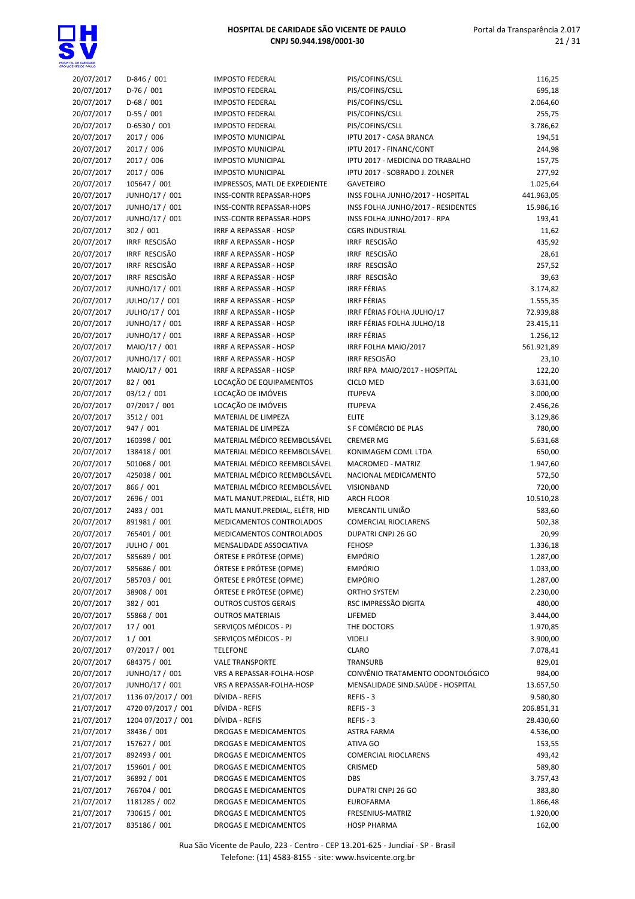

 Portal da Transparência 2.017 21 / 31

| 2017 | D-846 / 001        | <b>IMPOSTO FEDERAL</b>         |
|------|--------------------|--------------------------------|
| 2017 | $D-76/001$         | <b>IMPOSTO FEDERAL</b>         |
| 2017 | $D-68/001$         | <b>IMPOSTO FEDERAL</b>         |
| 2017 | $D-55/001$         | <b>IMPOSTO FEDERAL</b>         |
| 2017 | D-6530 / 001       | <b>IMPOSTO FEDERAL</b>         |
| 2017 | 2017 / 006         | <b>IMPOSTO MUNICIPAL</b>       |
| 2017 | 2017 / 006         | <b>IMPOSTO MUNICIPAL</b>       |
| 2017 | 2017 / 006         | <b>IMPOSTO MUNICIPAL</b>       |
| 2017 | 2017 / 006         | <b>IMPOSTO MUNICIPAL</b>       |
| 2017 | 105647 / 001       | IMPRESSOS, MATL DE EXPED       |
| 2017 | JUNHO/17 / 001     | <b>INSS-CONTR REPASSAR-HOP</b> |
| 2017 | JUNHO/17 / 001     | <b>INSS-CONTR REPASSAR-HOP</b> |
| 2017 | JUNHO/17 / 001     | <b>INSS-CONTR REPASSAR-HOP</b> |
| 2017 | 302 / 001          | IRRF A REPASSAR - HOSP         |
| 2017 | IRRF RESCISÃO      | IRRF A REPASSAR - HOSP         |
| 2017 | IRRF RESCISÃO      | IRRF A REPASSAR - HOSP         |
| 2017 | IRRF RESCISÃO      | IRRF A REPASSAR - HOSP         |
| 2017 | IRRF RESCISÃO      | IRRF A REPASSAR - HOSP         |
| 2017 | JUNHO/17 / 001     | IRRF A REPASSAR - HOSP         |
| 2017 | JULHO/17 / 001     | IRRF A REPASSAR - HOSP         |
| 2017 | JULHO/17 / 001     | IRRF A REPASSAR - HOSP         |
| 2017 | JUNHO/17 / 001     | IRRF A REPASSAR - HOSP         |
| 2017 | JUNHO/17 / 001     | IRRF A REPASSAR - HOSP         |
| 2017 | MAIO/17 / 001      | IRRF A REPASSAR - HOSP         |
| 2017 | JUNHO/17 / 001     | IRRF A REPASSAR - HOSP         |
| 2017 | MAIO/17 / 001      | IRRF A REPASSAR - HOSP         |
| 2017 | 82 / 001           | LOCAÇÃO DE EQUIPAMENTO         |
| 2017 | 03/12 / 001        | LOCAÇÃO DE IMÓVEIS             |
| 2017 | 07/2017 / 001      | LOCAÇÃO DE IMÓVEIS             |
| 2017 | 3512 / 001         | MATERIAL DE LIMPEZA            |
| 2017 | 947 / 001          | MATERIAL DE LIMPEZA            |
| 2017 | 160398 / 001       | MATERIAL MÉDICO REEMBO         |
| 2017 | 138418 / 001       | MATERIAL MÉDICO REEMBO         |
| 2017 | 501068 / 001       | MATERIAL MÉDICO REEMBO         |
| 2017 | 425038 / 001       | MATERIAL MÉDICO REEMBO         |
| 2017 | 866 / 001          | MATERIAL MÉDICO REEMBO         |
| 2017 | 2696 / 001         | MATL MANUT.PREDIAL, ELÉ        |
| 2017 | 2483 / 001         | MATL MANUT.PREDIAL, ELÉ        |
| 2017 | 891981 / 001       | MEDICAMENTOS CONTROLA          |
| 2017 | 765401 / 001       | MEDICAMENTOS CONTROLA          |
| 2017 | JULHO / 001        | MENSALIDADE ASSOCIATIVA        |
| 2017 | 585689 / 001       | ÓRTESE E PRÓTESE (OPME)        |
| 2017 | 585686 / 001       | ÓRTESE E PRÓTESE (OPME)        |
| 2017 | 585703 / 001       | ÓRTESE E PRÓTESE (OPME)        |
| 2017 | 38908 / 001        | ÓRTESE E PRÓTESE (OPME)        |
| 2017 | 382 / 001          | <b>OUTROS CUSTOS GERAIS</b>    |
| 2017 | 55868 / 001        | <b>OUTROS MATERIAIS</b>        |
| 2017 | 17 / 001           | SERVIÇOS MÉDICOS - PJ          |
| 2017 | 1/001              | SERVIÇOS MÉDICOS - PJ          |
| 2017 | 07/2017 / 001      | <b>TELEFONE</b>                |
| 2017 | 684375 / 001       | <b>VALE TRANSPORTE</b>         |
| 2017 | JUNHO/17 / 001     | VRS A REPASSAR-FOLHA-HO        |
| 2017 | JUNHO/17 / 001     | <b>VRS A REPASSAR-FOLHA-HO</b> |
| 2017 | 1136 07/2017 / 001 | DÍVIDA - REFIS                 |
| 2017 | 4720 07/2017 / 001 | DÍVIDA - REFIS                 |
| 2017 | 1204 07/2017 / 001 | DÍVIDA - REFIS                 |
| 2017 | 38436 / 001        | DROGAS E MEDICAMENTOS          |
| 2017 | 157627 / 001       | DROGAS E MEDICAMENTOS          |
| 2017 | 892493 / 001       | DROGAS E MEDICAMENTOS          |
| 2017 | 159601 / 001       | DROGAS E MEDICAMENTOS          |
| 2017 | 36892 / 001        | DROGAS E MEDICAMENTOS          |
| 2017 | 766704 / 001       | DROGAS E MEDICAMENTOS          |
| 2017 | 1181285 / 002      | DROGAS E MEDICAMENTOS          |
| 2017 | 730615 / 001       | <b>DROGAS E MEDICAMENTOS</b>   |
|      |                    |                                |

| 20/07/2017 | $D-846 / 001$      | <b>IMPOSTO FEDERAL</b>          | PIS/COFINS/CSLL                    | 116,25     |
|------------|--------------------|---------------------------------|------------------------------------|------------|
| 20/07/2017 | $D-76/001$         | <b>IMPOSTO FEDERAL</b>          | PIS/COFINS/CSLL                    | 695,18     |
| 20/07/2017 | $D-68/001$         | <b>IMPOSTO FEDERAL</b>          | PIS/COFINS/CSLL                    | 2.064,60   |
| 20/07/2017 | $D-55/001$         | <b>IMPOSTO FEDERAL</b>          | PIS/COFINS/CSLL                    | 255,75     |
| 20/07/2017 | D-6530 / 001       | <b>IMPOSTO FEDERAL</b>          | PIS/COFINS/CSLL                    | 3.786,62   |
| 20/07/2017 | 2017 / 006         | <b>IMPOSTO MUNICIPAL</b>        | IPTU 2017 - CASA BRANCA            | 194,51     |
| 20/07/2017 | 2017 / 006         | <b>IMPOSTO MUNICIPAL</b>        | IPTU 2017 - FINANC/CONT            | 244,98     |
| 20/07/2017 | 2017 / 006         | <b>IMPOSTO MUNICIPAL</b>        | IPTU 2017 - MEDICINA DO TRABALHO   | 157,75     |
| 20/07/2017 | 2017 / 006         | <b>IMPOSTO MUNICIPAL</b>        | IPTU 2017 - SOBRADO J. ZOLNER      | 277,92     |
| 20/07/2017 | 105647 / 001       | IMPRESSOS, MATL DE EXPEDIENTE   | <b>GAVETEIRO</b>                   | 1.025,64   |
| 20/07/2017 | JUNHO/17 / 001     | <b>INSS-CONTR REPASSAR-HOPS</b> | INSS FOLHA JUNHO/2017 - HOSPITAL   | 441.963,05 |
| 20/07/2017 | JUNHO/17 / 001     | <b>INSS-CONTR REPASSAR-HOPS</b> | INSS FOLHA JUNHO/2017 - RESIDENTES | 15.986,16  |
| 20/07/2017 | JUNHO/17 / 001     | INSS-CONTR REPASSAR-HOPS        | INSS FOLHA JUNHO/2017 - RPA        | 193,41     |
| 20/07/2017 | 302 / 001          | IRRF A REPASSAR - HOSP          | <b>CGRS INDUSTRIAL</b>             | 11,62      |
| 20/07/2017 | IRRF RESCISÃO      | IRRF A REPASSAR - HOSP          | IRRF RESCISÃO                      | 435,92     |
| 20/07/2017 | IRRF RESCISÃO      | IRRF A REPASSAR - HOSP          | IRRF RESCISÃO                      | 28,61      |
| 20/07/2017 | IRRF RESCISÃO      | IRRF A REPASSAR - HOSP          | IRRF RESCISÃO                      | 257,52     |
|            | IRRF RESCISÃO      | IRRF A REPASSAR - HOSP          | IRRF RESCISÃO                      | 39,63      |
| 20/07/2017 |                    |                                 |                                    |            |
| 20/07/2017 | JUNHO/17 / 001     | <b>IRRF A REPASSAR - HOSP</b>   | <b>IRRF FÉRIAS</b>                 | 3.174,82   |
| 20/07/2017 | JULHO/17 / 001     | <b>IRRF A REPASSAR - HOSP</b>   | <b>IRRF FÉRIAS</b>                 | 1.555,35   |
| 20/07/2017 | JULHO/17 / 001     | <b>IRRF A REPASSAR - HOSP</b>   | IRRF FÉRIAS FOLHA JULHO/17         | 72.939,88  |
| 20/07/2017 | JUNHO/17 / 001     | IRRF A REPASSAR - HOSP          | IRRF FÉRIAS FOLHA JULHO/18         | 23.415,11  |
| 20/07/2017 | JUNHO/17 / 001     | <b>IRRF A REPASSAR - HOSP</b>   | IRRF FÉRIAS                        | 1.256,12   |
| 20/07/2017 | MAIO/17 / 001      | IRRF A REPASSAR - HOSP          | IRRF FOLHA MAIO/2017               | 561.921,89 |
| 20/07/2017 | JUNHO/17 / 001     | IRRF A REPASSAR - HOSP          | <b>IRRF RESCISÃO</b>               | 23,10      |
| 20/07/2017 | MAIO/17 / 001      | <b>IRRF A REPASSAR - HOSP</b>   | IRRF RPA MAIO/2017 - HOSPITAL      | 122,20     |
| 20/07/2017 | 82 / 001           | LOCAÇÃO DE EQUIPAMENTOS         | <b>CICLO MED</b>                   | 3.631,00   |
| 20/07/2017 | 03/12 / 001        | LOCAÇÃO DE IMÓVEIS              | <b>ITUPEVA</b>                     | 3.000,00   |
| 20/07/2017 | 07/2017 / 001      | LOCAÇÃO DE IMÓVEIS              | <b>ITUPEVA</b>                     | 2.456,26   |
| 20/07/2017 | 3512 / 001         | MATERIAL DE LIMPEZA             | <b>ELITE</b>                       | 3.129,86   |
| 20/07/2017 | 947 / 001          | MATERIAL DE LIMPEZA             | S F COMÉRCIO DE PLAS               | 780,00     |
| 20/07/2017 | 160398 / 001       | MATERIAL MÉDICO REEMBOLSÁVEL    | <b>CREMER MG</b>                   | 5.631,68   |
| 20/07/2017 | 138418 / 001       | MATERIAL MÉDICO REEMBOLSÁVEL    | KONIMAGEM COML LTDA                | 650,00     |
| 20/07/2017 | 501068 / 001       | MATERIAL MÉDICO REEMBOLSÁVEL    | MACROMED - MATRIZ                  | 1.947,60   |
| 20/07/2017 | 425038 / 001       | MATERIAL MÉDICO REEMBOLSÁVEL    | NACIONAL MEDICAMENTO               | 572,50     |
| 20/07/2017 | 866 / 001          | MATERIAL MÉDICO REEMBOLSÁVEL    | VISIONBAND                         | 720,00     |
| 20/07/2017 | 2696 / 001         | MATL MANUT.PREDIAL, ELÉTR, HID  | <b>ARCH FLOOR</b>                  | 10.510,28  |
| 20/07/2017 | 2483 / 001         | MATL MANUT.PREDIAL, ELÉTR, HID  | MERCANTIL UNIÃO                    | 583,60     |
| 20/07/2017 | 891981 / 001       | MEDICAMENTOS CONTROLADOS        | <b>COMERCIAL RIOCLARENS</b>        | 502,38     |
| 20/07/2017 | 765401 / 001       | MEDICAMENTOS CONTROLADOS        | DUPATRI CNPJ 26 GO                 | 20,99      |
| 20/07/2017 | JULHO / 001        | MENSALIDADE ASSOCIATIVA         | <b>FEHOSP</b>                      | 1.336,18   |
| 20/07/2017 | 585689 / 001       | ÓRTESE E PRÓTESE (OPME)         | EMPÓRIO                            | 1.287,00   |
| 20/07/2017 | 585686 / 001       | ÓRTESE E PRÓTESE (OPME)         | <b>EMPÓRIO</b>                     | 1.033,00   |
| 20/07/2017 | 585703 / 001       | ÓRTESE E PRÓTESE (OPME)         | <b>EMPÓRIO</b>                     | 1.287,00   |
| 20/07/2017 | 38908 / 001        | ÓRTESE E PRÓTESE (OPME)         | <b>ORTHO SYSTEM</b>                | 2.230,00   |
| 20/07/2017 | 382 / 001          | <b>OUTROS CUSTOS GERAIS</b>     | RSC IMPRESSÃO DIGITA               | 480,00     |
| 20/07/2017 | 55868 / 001        | <b>OUTROS MATERIAIS</b>         | LIFEMED                            | 3.444,00   |
|            |                    | SERVIÇOS MÉDICOS - PJ           |                                    |            |
| 20/07/2017 | 17 / 001           |                                 | THE DOCTORS                        | 1.970,85   |
| 20/07/2017 | 1/001              | SERVIÇOS MÉDICOS - PJ           | <b>VIDELI</b>                      | 3.900,00   |
| 20/07/2017 | 07/2017 / 001      | <b>TELEFONE</b>                 | <b>CLARO</b>                       | 7.078,41   |
| 20/07/2017 | 684375 / 001       | <b>VALE TRANSPORTE</b>          | <b>TRANSURB</b>                    | 829,01     |
| 20/07/2017 | JUNHO/17 / 001     | VRS A REPASSAR-FOLHA-HOSP       | CONVÊNIO TRATAMENTO ODONTOLÓGICO   | 984,00     |
| 20/07/2017 | JUNHO/17 / 001     | VRS A REPASSAR-FOLHA-HOSP       | MENSALIDADE SIND.SAÚDE - HOSPITAL  | 13.657,50  |
| 21/07/2017 | 1136 07/2017 / 001 | DÍVIDA - REFIS                  | REFIS - 3                          | 9.580,80   |
| 21/07/2017 | 4720 07/2017 / 001 | DÍVIDA - REFIS                  | REFIS - 3                          | 206.851,31 |
| 21/07/2017 | 1204 07/2017 / 001 | DÍVIDA - REFIS                  | REFIS - 3                          | 28.430,60  |
| 21/07/2017 | 38436 / 001        | DROGAS E MEDICAMENTOS           | ASTRA FARMA                        | 4.536,00   |
| 21/07/2017 | 157627 / 001       | DROGAS E MEDICAMENTOS           | ATIVA GO                           | 153,55     |
| 21/07/2017 | 892493 / 001       | DROGAS E MEDICAMENTOS           | <b>COMERCIAL RIOCLARENS</b>        | 493,42     |
| 21/07/2017 | 159601 / 001       | DROGAS E MEDICAMENTOS           | CRISMED                            | 589,80     |
| 21/07/2017 | 36892 / 001        | DROGAS E MEDICAMENTOS           | DBS                                | 3.757,43   |
| 21/07/2017 | 766704 / 001       | DROGAS E MEDICAMENTOS           | DUPATRI CNPJ 26 GO                 | 383,80     |
| 21/07/2017 | 1181285 / 002      | DROGAS E MEDICAMENTOS           | EUROFARMA                          | 1.866,48   |
| 21/07/2017 | 730615 / 001       | DROGAS E MEDICAMENTOS           | FRESENIUS-MATRIZ                   | 1.920,00   |
| 21/07/2017 | 835186 / 001       | DROGAS E MEDICAMENTOS           | <b>HOSP PHARMA</b>                 | 162,00     |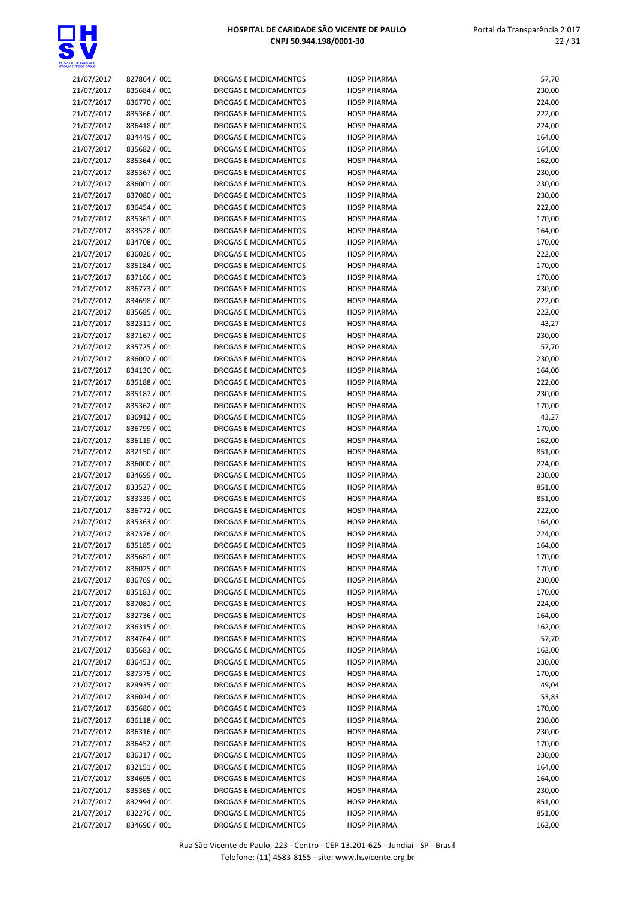

| 21/07/2017 | 827864 / 001 | DROGAS E MEDICAMENTOS        | <b>HOSP PHARMA</b> | 57,70  |
|------------|--------------|------------------------------|--------------------|--------|
| 21/07/2017 | 835684 / 001 | DROGAS E MEDICAMENTOS        | <b>HOSP PHARMA</b> | 230,00 |
| 21/07/2017 | 836770 / 001 | <b>DROGAS E MEDICAMENTOS</b> | <b>HOSP PHARMA</b> | 224,00 |
| 21/07/2017 | 835366 / 001 | DROGAS E MEDICAMENTOS        | <b>HOSP PHARMA</b> | 222,00 |
| 21/07/2017 | 836418 / 001 | DROGAS E MEDICAMENTOS        | <b>HOSP PHARMA</b> | 224,00 |
| 21/07/2017 | 834449 / 001 | <b>DROGAS E MEDICAMENTOS</b> | <b>HOSP PHARMA</b> | 164,00 |
| 21/07/2017 | 835682 / 001 | DROGAS E MEDICAMENTOS        | <b>HOSP PHARMA</b> | 164,00 |
| 21/07/2017 | 835364 / 001 | DROGAS E MEDICAMENTOS        | <b>HOSP PHARMA</b> | 162,00 |
| 21/07/2017 | 835367 / 001 | DROGAS E MEDICAMENTOS        | <b>HOSP PHARMA</b> | 230,00 |
| 21/07/2017 | 836001 / 001 | DROGAS E MEDICAMENTOS        | <b>HOSP PHARMA</b> | 230,00 |
|            |              |                              |                    |        |
| 21/07/2017 | 837080 / 001 | DROGAS E MEDICAMENTOS        | <b>HOSP PHARMA</b> | 230,00 |
| 21/07/2017 | 836454 / 001 | DROGAS E MEDICAMENTOS        | <b>HOSP PHARMA</b> | 222,00 |
| 21/07/2017 | 835361 / 001 | DROGAS E MEDICAMENTOS        | <b>HOSP PHARMA</b> | 170,00 |
| 21/07/2017 | 833528 / 001 | DROGAS E MEDICAMENTOS        | <b>HOSP PHARMA</b> | 164,00 |
| 21/07/2017 | 834708 / 001 | DROGAS E MEDICAMENTOS        | <b>HOSP PHARMA</b> | 170,00 |
| 21/07/2017 | 836026 / 001 | DROGAS E MEDICAMENTOS        | <b>HOSP PHARMA</b> | 222,00 |
| 21/07/2017 | 835184 / 001 | DROGAS E MEDICAMENTOS        | <b>HOSP PHARMA</b> | 170,00 |
| 21/07/2017 | 837166 / 001 | DROGAS E MEDICAMENTOS        | <b>HOSP PHARMA</b> | 170,00 |
| 21/07/2017 | 836773 / 001 | DROGAS E MEDICAMENTOS        | <b>HOSP PHARMA</b> | 230,00 |
| 21/07/2017 | 834698 / 001 | DROGAS E MEDICAMENTOS        | <b>HOSP PHARMA</b> | 222,00 |
| 21/07/2017 | 835685 / 001 | DROGAS E MEDICAMENTOS        | <b>HOSP PHARMA</b> | 222,00 |
| 21/07/2017 | 832311 / 001 | DROGAS E MEDICAMENTOS        | <b>HOSP PHARMA</b> | 43,27  |
| 21/07/2017 | 837167 / 001 | DROGAS E MEDICAMENTOS        | <b>HOSP PHARMA</b> | 230,00 |
| 21/07/2017 | 835725 / 001 | <b>DROGAS E MEDICAMENTOS</b> | <b>HOSP PHARMA</b> | 57,70  |
| 21/07/2017 | 836002 / 001 | DROGAS E MEDICAMENTOS        | <b>HOSP PHARMA</b> | 230,00 |
| 21/07/2017 | 834130 / 001 | DROGAS E MEDICAMENTOS        | <b>HOSP PHARMA</b> |        |
|            |              |                              |                    | 164,00 |
| 21/07/2017 | 835188 / 001 | <b>DROGAS E MEDICAMENTOS</b> | <b>HOSP PHARMA</b> | 222,00 |
| 21/07/2017 | 835187 / 001 | DROGAS E MEDICAMENTOS        | <b>HOSP PHARMA</b> | 230,00 |
| 21/07/2017 | 835362 / 001 | DROGAS E MEDICAMENTOS        | <b>HOSP PHARMA</b> | 170,00 |
| 21/07/2017 | 836912 / 001 | DROGAS E MEDICAMENTOS        | <b>HOSP PHARMA</b> | 43,27  |
| 21/07/2017 | 836799 / 001 | DROGAS E MEDICAMENTOS        | <b>HOSP PHARMA</b> | 170,00 |
| 21/07/2017 | 836119 / 001 | DROGAS E MEDICAMENTOS        | <b>HOSP PHARMA</b> | 162,00 |
| 21/07/2017 | 832150 / 001 | DROGAS E MEDICAMENTOS        | <b>HOSP PHARMA</b> | 851,00 |
| 21/07/2017 | 836000 / 001 | DROGAS E MEDICAMENTOS        | <b>HOSP PHARMA</b> | 224,00 |
| 21/07/2017 | 834699 / 001 | DROGAS E MEDICAMENTOS        | <b>HOSP PHARMA</b> | 230,00 |
| 21/07/2017 | 833527 / 001 | <b>DROGAS E MEDICAMENTOS</b> | <b>HOSP PHARMA</b> | 851,00 |
| 21/07/2017 | 833339 / 001 | DROGAS E MEDICAMENTOS        | <b>HOSP PHARMA</b> | 851,00 |
| 21/07/2017 | 836772 / 001 | DROGAS E MEDICAMENTOS        | <b>HOSP PHARMA</b> | 222,00 |
| 21/07/2017 | 835363 / 001 | DROGAS E MEDICAMENTOS        | <b>HOSP PHARMA</b> | 164,00 |
| 21/07/2017 | 837376 / 001 | DROGAS E MEDICAMENTOS        | <b>HOSP PHARMA</b> | 224,00 |
| 21/07/2017 | 835185 / 001 | <b>DROGAS E MEDICAMENTOS</b> | <b>HOSP PHARMA</b> | 164,00 |
| 21/07/2017 | 835681 / 001 | DROGAS E MEDICAMENTOS        | <b>HOSP PHARMA</b> | 170,00 |
| 21/07/2017 | 836025 / 001 | DROGAS E MEDICAMENTOS        | <b>HOSP PHARMA</b> | 170,00 |
| 21/07/2017 | 836769 / 001 | DROGAS E MEDICAMENTOS        | <b>HOSP PHARMA</b> | 230,00 |
|            |              |                              |                    |        |
| 21/07/2017 | 835183 / 001 | DROGAS E MEDICAMENTOS        | <b>HOSP PHARMA</b> | 170,00 |
| 21/07/2017 | 837081 / 001 | DROGAS E MEDICAMENTOS        | <b>HOSP PHARMA</b> | 224,00 |
| 21/07/2017 | 832736 / 001 | <b>DROGAS E MEDICAMENTOS</b> | <b>HOSP PHARMA</b> | 164,00 |
| 21/07/2017 | 836315 / 001 | DROGAS E MEDICAMENTOS        | <b>HOSP PHARMA</b> | 162,00 |
| 21/07/2017 | 834764 / 001 | DROGAS E MEDICAMENTOS        | <b>HOSP PHARMA</b> | 57,70  |
| 21/07/2017 | 835683 / 001 | DROGAS E MEDICAMENTOS        | <b>HOSP PHARMA</b> | 162,00 |
| 21/07/2017 | 836453 / 001 | DROGAS E MEDICAMENTOS        | <b>HOSP PHARMA</b> | 230,00 |
| 21/07/2017 | 837375 / 001 | DROGAS E MEDICAMENTOS        | <b>HOSP PHARMA</b> | 170,00 |
| 21/07/2017 | 829935 / 001 | DROGAS E MEDICAMENTOS        | <b>HOSP PHARMA</b> | 49,04  |
| 21/07/2017 | 836024 / 001 | DROGAS E MEDICAMENTOS        | <b>HOSP PHARMA</b> | 53,83  |
| 21/07/2017 | 835680 / 001 | DROGAS E MEDICAMENTOS        | <b>HOSP PHARMA</b> | 170,00 |
| 21/07/2017 | 836118 / 001 | DROGAS E MEDICAMENTOS        | <b>HOSP PHARMA</b> | 230,00 |
| 21/07/2017 | 836316 / 001 | DROGAS E MEDICAMENTOS        | <b>HOSP PHARMA</b> | 230,00 |
| 21/07/2017 | 836452 / 001 | DROGAS E MEDICAMENTOS        | <b>HOSP PHARMA</b> | 170,00 |
| 21/07/2017 | 836317 / 001 | DROGAS E MEDICAMENTOS        | <b>HOSP PHARMA</b> | 230,00 |
| 21/07/2017 | 832151 / 001 | DROGAS E MEDICAMENTOS        | <b>HOSP PHARMA</b> | 164,00 |
| 21/07/2017 | 834695 / 001 | DROGAS E MEDICAMENTOS        | <b>HOSP PHARMA</b> | 164,00 |
| 21/07/2017 | 835365 / 001 | DROGAS E MEDICAMENTOS        | <b>HOSP PHARMA</b> | 230,00 |
| 21/07/2017 | 832994 / 001 | DROGAS E MEDICAMENTOS        | <b>HOSP PHARMA</b> | 851,00 |
|            |              |                              |                    |        |
| 21/07/2017 | 832276 / 001 | DROGAS E MEDICAMENTOS        | <b>HOSP PHARMA</b> | 851,00 |
| 21/07/2017 | 834696 / 001 | DROGAS E MEDICAMENTOS        | <b>HOSP PHARMA</b> | 162,00 |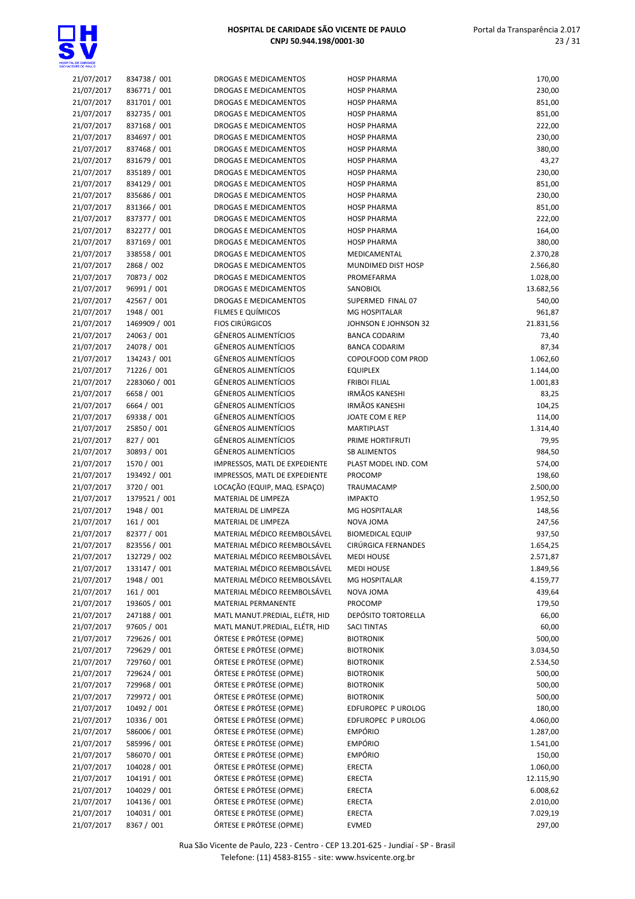

| 21/07/2017 | 834738 / 001  | DROGAS E MEDICAMENTOS          | <b>HOSP PHARMA</b>      | 170,00    |
|------------|---------------|--------------------------------|-------------------------|-----------|
| 21/07/2017 | 836771 / 001  | DROGAS E MEDICAMENTOS          | <b>HOSP PHARMA</b>      | 230,00    |
| 21/07/2017 | 831701 / 001  | DROGAS E MEDICAMENTOS          | <b>HOSP PHARMA</b>      | 851,00    |
| 21/07/2017 | 832735 / 001  | DROGAS E MEDICAMENTOS          | <b>HOSP PHARMA</b>      | 851,00    |
|            |               |                                |                         |           |
| 21/07/2017 | 837168 / 001  | <b>DROGAS E MEDICAMENTOS</b>   | <b>HOSP PHARMA</b>      | 222,00    |
| 21/07/2017 | 834697 / 001  | <b>DROGAS E MEDICAMENTOS</b>   | <b>HOSP PHARMA</b>      | 230,00    |
| 21/07/2017 | 837468 / 001  | DROGAS E MEDICAMENTOS          | <b>HOSP PHARMA</b>      | 380,00    |
| 21/07/2017 | 831679 / 001  | DROGAS E MEDICAMENTOS          | <b>HOSP PHARMA</b>      | 43,27     |
|            | 835189 / 001  | DROGAS E MEDICAMENTOS          | <b>HOSP PHARMA</b>      |           |
| 21/07/2017 |               |                                |                         | 230,00    |
| 21/07/2017 | 834129 / 001  | <b>DROGAS E MEDICAMENTOS</b>   | <b>HOSP PHARMA</b>      | 851,00    |
| 21/07/2017 | 835686 / 001  | DROGAS E MEDICAMENTOS          | <b>HOSP PHARMA</b>      | 230,00    |
| 21/07/2017 | 831366 / 001  | DROGAS E MEDICAMENTOS          | <b>HOSP PHARMA</b>      | 851,00    |
| 21/07/2017 | 837377 / 001  | DROGAS E MEDICAMENTOS          | <b>HOSP PHARMA</b>      | 222,00    |
|            |               |                                |                         |           |
| 21/07/2017 | 832277 / 001  | DROGAS E MEDICAMENTOS          | <b>HOSP PHARMA</b>      | 164,00    |
| 21/07/2017 | 837169 / 001  | DROGAS E MEDICAMENTOS          | <b>HOSP PHARMA</b>      | 380,00    |
| 21/07/2017 | 338558 / 001  | DROGAS E MEDICAMENTOS          | MEDICAMENTAL            | 2.370,28  |
| 21/07/2017 | 2868 / 002    | DROGAS E MEDICAMENTOS          | MUNDIMED DIST HOSP      | 2.566,80  |
|            |               |                                |                         |           |
| 21/07/2017 | 70873 / 002   | DROGAS E MEDICAMENTOS          | PROMEFARMA              | 1.028,00  |
| 21/07/2017 | 96991 / 001   | DROGAS E MEDICAMENTOS          | SANOBIOL                | 13.682,56 |
| 21/07/2017 | 42567 / 001   | DROGAS E MEDICAMENTOS          | SUPERMED FINAL 07       | 540,00    |
| 21/07/2017 | 1948 / 001    | FILMES E QUÍMICOS              | <b>MG HOSPITALAR</b>    | 961,87    |
|            |               | <b>FIOS CIRÚRGICOS</b>         | JOHNSON E JOHNSON 32    |           |
| 21/07/2017 | 1469909 / 001 |                                |                         | 21.831,56 |
| 21/07/2017 | 24063 / 001   | <b>GÊNEROS ALIMENTÍCIOS</b>    | <b>BANCA CODARIM</b>    | 73,40     |
| 21/07/2017 | 24078 / 001   | <b>GÊNEROS ALIMENTÍCIOS</b>    | <b>BANCA CODARIM</b>    | 87,34     |
| 21/07/2017 | 134243 / 001  | <b>GÊNEROS ALIMENTÍCIOS</b>    | COPOLFOOD COM PROD      | 1.062,60  |
| 21/07/2017 | 71226 / 001   | <b>GÊNEROS ALIMENTÍCIOS</b>    | <b>EQUIPLEX</b>         | 1.144,00  |
|            |               |                                |                         |           |
| 21/07/2017 | 2283060 / 001 | <b>GÊNEROS ALIMENTÍCIOS</b>    | <b>FRIBOI FILIAL</b>    | 1.001,83  |
| 21/07/2017 | 6658 / 001    | <b>GÊNEROS ALIMENTÍCIOS</b>    | <b>IRMÃOS KANESHI</b>   | 83,25     |
| 21/07/2017 | 6664 / 001    | <b>GÊNEROS ALIMENTÍCIOS</b>    | IRMÃOS KANESHI          | 104,25    |
| 21/07/2017 | 69338 / 001   | GÊNEROS ALIMENTÍCIOS           | JOATE COM E REP         | 114,00    |
|            |               |                                |                         |           |
| 21/07/2017 | 25850 / 001   | GÊNEROS ALIMENTÍCIOS           | MARTIPLAST              | 1.314,40  |
| 21/07/2017 | 827 / 001     | <b>GÊNEROS ALIMENTÍCIOS</b>    | PRIME HORTIFRUTI        | 79,95     |
| 21/07/2017 | 30893 / 001   | <b>GÊNEROS ALIMENTÍCIOS</b>    | <b>SB ALIMENTOS</b>     | 984,50    |
| 21/07/2017 | 1570 / 001    | IMPRESSOS, MATL DE EXPEDIENTE  | PLAST MODEL IND. COM    | 574,00    |
| 21/07/2017 | 193492 / 001  | IMPRESSOS, MATL DE EXPEDIENTE  | PROCOMP                 | 198,60    |
|            |               |                                |                         |           |
| 21/07/2017 | 3720 / 001    | LOCAÇÃO (EQUIP, MAQ. ESPAÇO)   | TRAUMACAMP              | 2.500,00  |
| 21/07/2017 | 1379521 / 001 | MATERIAL DE LIMPEZA            | <b>IMPAKTO</b>          | 1.952,50  |
| 21/07/2017 | 1948 / 001    | MATERIAL DE LIMPEZA            | MG HOSPITALAR           | 148,56    |
| 21/07/2017 | 161 / 001     | MATERIAL DE LIMPEZA            | NOVA JOMA               | 247,56    |
| 21/07/2017 | 82377 / 001   | MATERIAL MÉDICO REEMBOLSÁVEL   | <b>BIOMEDICAL EQUIP</b> | 937,50    |
|            |               |                                |                         |           |
| 21/07/2017 | 823556 / 001  | MATERIAL MÉDICO REEMBOLSÁVEL   | CIRÚRGICA FERNANDES     | 1.654,25  |
| 21/07/2017 | 132729 / 002  | MATERIAL MÉDICO REEMBOLSÁVEL   | <b>MEDI HOUSE</b>       | 2.571,87  |
| 21/07/2017 | 133147 / 001  | MATERIAL MÉDICO REEMBOLSÁVEL   | <b>MEDI HOUSE</b>       | 1.849,56  |
| 21/07/2017 | 1948 / 001    | MATERIAL MÉDICO REEMBOLSÁVEL   | MG HOSPITALAR           | 4.159,77  |
|            |               |                                |                         |           |
| 21/07/2017 | 161/001       | MATERIAL MÉDICO REEMBOLSÁVEL   | NOVA JOMA               | 439,64    |
| 21/07/2017 | 193605 / 001  | MATERIAL PERMANENTE            | PROCOMP                 | 179,50    |
| 21/07/2017 | 247188 / 001  | MATL MANUT.PREDIAL, ELÉTR, HID | DEPÓSITO TORTORELLA     | 66,00     |
| 21/07/2017 | 97605 / 001   | MATL MANUT.PREDIAL, ELÉTR, HID | <b>SACI TINTAS</b>      | 60,00     |
| 21/07/2017 | 729626 / 001  | ÓRTESE E PRÓTESE (OPME)        | <b>BIOTRONIK</b>        | 500,00    |
|            |               |                                |                         |           |
| 21/07/2017 | 729629 / 001  | ÓRTESE E PRÓTESE (OPME)        | <b>BIOTRONIK</b>        | 3.034,50  |
| 21/07/2017 | 729760 / 001  | ÓRTESE E PRÓTESE (OPME)        | <b>BIOTRONIK</b>        | 2.534,50  |
| 21/07/2017 | 729624 / 001  | ÓRTESE E PRÓTESE (OPME)        | <b>BIOTRONIK</b>        | 500,00    |
| 21/07/2017 | 729968 / 001  | ÓRTESE E PRÓTESE (OPME)        | <b>BIOTRONIK</b>        | 500,00    |
| 21/07/2017 | 729972 / 001  | ÓRTESE E PRÓTESE (OPME)        | <b>BIOTRONIK</b>        | 500,00    |
|            |               |                                |                         |           |
| 21/07/2017 | 10492 / 001   | ÓRTESE E PRÓTESE (OPME)        | EDFUROPEC P UROLOG      | 180,00    |
| 21/07/2017 | 10336 / 001   | ÓRTESE E PRÓTESE (OPME)        | EDFUROPEC P UROLOG      | 4.060,00  |
| 21/07/2017 | 586006 / 001  | ÓRTESE E PRÓTESE (OPME)        | <b>EMPÓRIO</b>          | 1.287,00  |
| 21/07/2017 | 585996 / 001  | ÓRTESE E PRÓTESE (OPME)        | EMPÓRIO                 | 1.541,00  |
| 21/07/2017 | 586070 / 001  | ÓRTESE E PRÓTESE (OPME)        | <b>EMPÓRIO</b>          | 150,00    |
|            |               |                                |                         |           |
| 21/07/2017 | 104028 / 001  | ÓRTESE E PRÓTESE (OPME)        | <b>ERECTA</b>           | 1.060,00  |
| 21/07/2017 | 104191 / 001  | ÓRTESE E PRÓTESE (OPME)        | ERECTA                  | 12.115,90 |
| 21/07/2017 | 104029 / 001  | ÓRTESE E PRÓTESE (OPME)        | ERECTA                  | 6.008,62  |
| 21/07/2017 | 104136 / 001  | ÓRTESE E PRÓTESE (OPME)        | ERECTA                  | 2.010,00  |
|            |               |                                |                         |           |
| 21/07/2017 | 104031 / 001  | ÓRTESE E PRÓTESE (OPME)        | ERECTA                  | 7.029,19  |
| 21/07/2017 | 8367 / 001    | ÓRTESE E PRÓTESE (OPME)        | EVMED                   | 297,00    |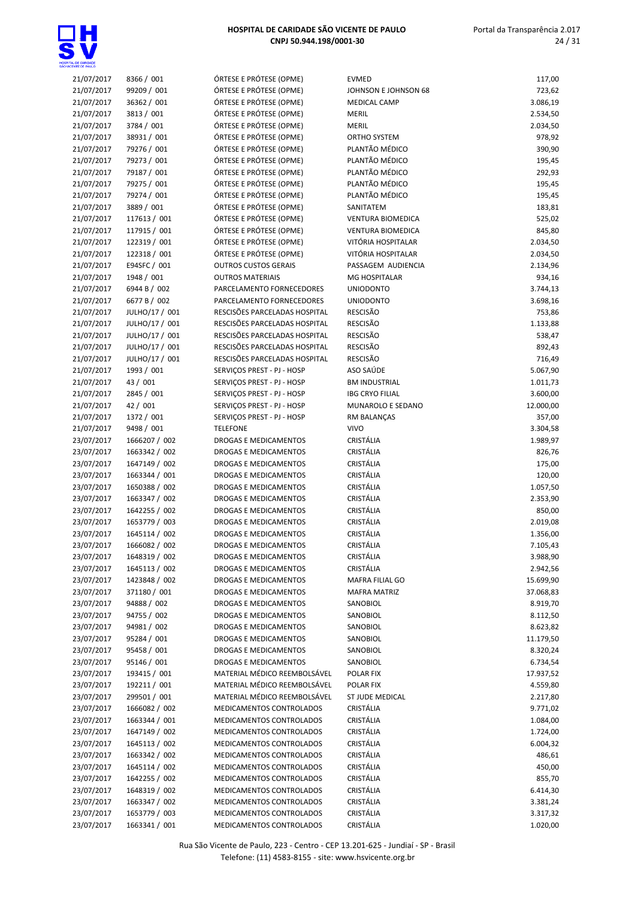

| 21/07/2017 | 8366 / 001     | ÓRTESE E PRÓTESE (OPME)       | <b>EVMED</b>             | 117,00    |
|------------|----------------|-------------------------------|--------------------------|-----------|
| 21/07/2017 | 99209 / 001    | ÓRTESE E PRÓTESE (OPME)       | JOHNSON E JOHNSON 68     | 723,62    |
|            |                |                               |                          |           |
| 21/07/2017 | 36362 / 001    | ÓRTESE E PRÓTESE (OPME)       | MEDICAL CAMP             | 3.086,19  |
| 21/07/2017 | 3813 / 001     | ÓRTESE E PRÓTESE (OPME)       | MERIL                    | 2.534,50  |
| 21/07/2017 | 3784 / 001     | ÓRTESE E PRÓTESE (OPME)       | MERIL                    | 2.034,50  |
| 21/07/2017 | 38931 / 001    | ÓRTESE E PRÓTESE (OPME)       | ORTHO SYSTEM             | 978,92    |
| 21/07/2017 | 79276 / 001    | ÓRTESE E PRÓTESE (OPME)       | PLANTÃO MÉDICO           | 390,90    |
| 21/07/2017 | 79273 / 001    | ÓRTESE E PRÓTESE (OPME)       | PLANTÃO MÉDICO           | 195,45    |
| 21/07/2017 | 79187 / 001    | ÓRTESE E PRÓTESE (OPME)       | PLANTÃO MÉDICO           | 292,93    |
| 21/07/2017 | 79275 / 001    | ÓRTESE E PRÓTESE (OPME)       | PLANTÃO MÉDICO           | 195,45    |
| 21/07/2017 | 79274 / 001    | ÓRTESE E PRÓTESE (OPME)       | PLANTÃO MÉDICO           | 195,45    |
| 21/07/2017 | 3889 / 001     | ÓRTESE E PRÓTESE (OPME)       | SANITATEM                | 183,81    |
| 21/07/2017 | 117613 / 001   | ÓRTESE E PRÓTESE (OPME)       | <b>VENTURA BIOMEDICA</b> | 525,02    |
| 21/07/2017 | 117915 / 001   | ÓRTESE E PRÓTESE (OPME)       | <b>VENTURA BIOMEDICA</b> | 845,80    |
| 21/07/2017 | 122319 / 001   | ÓRTESE E PRÓTESE (OPME)       | VITÓRIA HOSPITALAR       | 2.034,50  |
| 21/07/2017 | 122318 / 001   | ÓRTESE E PRÓTESE (OPME)       | VITÓRIA HOSPITALAR       | 2.034,50  |
|            |                |                               |                          |           |
| 21/07/2017 | E94SFC / 001   | <b>OUTROS CUSTOS GERAIS</b>   | PASSAGEM AUDIENCIA       | 2.134,96  |
| 21/07/2017 | 1948 / 001     | <b>OUTROS MATERIAIS</b>       | <b>MG HOSPITALAR</b>     | 934,16    |
| 21/07/2017 | 6944 B / 002   | PARCELAMENTO FORNECEDORES     | <b>UNIODONTO</b>         | 3.744,13  |
| 21/07/2017 | 6677 B / 002   | PARCELAMENTO FORNECEDORES     | <b>UNIODONTO</b>         | 3.698,16  |
| 21/07/2017 | JULHO/17 / 001 | RESCISÕES PARCELADAS HOSPITAL | RESCISÃO                 | 753,86    |
| 21/07/2017 | JULHO/17 / 001 | RESCISÕES PARCELADAS HOSPITAL | RESCISÃO                 | 1.133,88  |
| 21/07/2017 | JULHO/17 / 001 | RESCISÕES PARCELADAS HOSPITAL | RESCISÃO                 | 538,47    |
| 21/07/2017 | JULHO/17 / 001 | RESCISÕES PARCELADAS HOSPITAL | RESCISÃO                 | 892,43    |
| 21/07/2017 | JULHO/17 / 001 | RESCISÕES PARCELADAS HOSPITAL | RESCISÃO                 | 716,49    |
| 21/07/2017 | 1993 / 001     | SERVIÇOS PREST - PJ - HOSP    | ASO SAÚDE                | 5.067,90  |
| 21/07/2017 | 43 / 001       | SERVIÇOS PREST - PJ - HOSP    | <b>BM INDUSTRIAL</b>     | 1.011,73  |
| 21/07/2017 | 2845 / 001     | SERVIÇOS PREST - PJ - HOSP    | <b>IBG CRYO FILIAL</b>   | 3.600,00  |
| 21/07/2017 | 42 / 001       | SERVIÇOS PREST - PJ - HOSP    | MUNAROLO E SEDANO        | 12.000,00 |
| 21/07/2017 | 1372 / 001     | SERVIÇOS PREST - PJ - HOSP    | RM BALANÇAS              | 357,00    |
|            |                |                               | VIVO                     |           |
| 21/07/2017 | 9498 / 001     | <b>TELEFONE</b>               |                          | 3.304,58  |
| 23/07/2017 | 1666207 / 002  | DROGAS E MEDICAMENTOS         | CRISTÁLIA                | 1.989,97  |
| 23/07/2017 | 1663342 / 002  | DROGAS E MEDICAMENTOS         | CRISTÁLIA                | 826,76    |
| 23/07/2017 | 1647149 / 002  | DROGAS E MEDICAMENTOS         | CRISTÁLIA                | 175,00    |
| 23/07/2017 | 1663344 / 001  | DROGAS E MEDICAMENTOS         | CRISTÁLIA                | 120,00    |
| 23/07/2017 | 1650388 / 002  | DROGAS E MEDICAMENTOS         | CRISTÁLIA                | 1.057,50  |
| 23/07/2017 | 1663347 / 002  | DROGAS E MEDICAMENTOS         | CRISTÁLIA                | 2.353,90  |
| 23/07/2017 | 1642255 / 002  | <b>DROGAS E MEDICAMENTOS</b>  | CRISTÁLIA                | 850,00    |
| 23/07/2017 | 1653779 / 003  | DROGAS E MEDICAMENTOS         | CRISTÁLIA                | 2.019,08  |
| 23/07/2017 | 1645114 / 002  | DROGAS E MEDICAMENTOS         | <b>CRISTÁLIA</b>         | 1.356,00  |
| 23/07/2017 | 1666082 / 002  | DROGAS E MEDICAMENTOS         | CRISTÁLIA                | 7.105,43  |
| 23/07/2017 | 1648319 / 002  | DROGAS E MEDICAMENTOS         | CRISTÁLIA                | 3.988,90  |
| 23/07/2017 | 1645113 / 002  | DROGAS E MEDICAMENTOS         | CRISTÁLIA                | 2.942,56  |
| 23/07/2017 | 1423848 / 002  | DROGAS E MEDICAMENTOS         | MAFRA FILIAL GO          | 15.699,90 |
| 23/07/2017 | 371180 / 001   | DROGAS E MEDICAMENTOS         | <b>MAFRA MATRIZ</b>      | 37.068,83 |
| 23/07/2017 | 94888 / 002    | DROGAS E MEDICAMENTOS         | SANOBIOL                 | 8.919,70  |
|            |                |                               |                          |           |
| 23/07/2017 | 94755 / 002    | DROGAS E MEDICAMENTOS         | SANOBIOL                 | 8.112,50  |
| 23/07/2017 | 94981 / 002    | DROGAS E MEDICAMENTOS         | SANOBIOL                 | 8.623,82  |
| 23/07/2017 | 95284 / 001    | DROGAS E MEDICAMENTOS         | SANOBIOL                 | 11.179,50 |
| 23/07/2017 | 95458 / 001    | DROGAS E MEDICAMENTOS         | SANOBIOL                 | 8.320,24  |
| 23/07/2017 | 95146 / 001    | DROGAS E MEDICAMENTOS         | SANOBIOL                 | 6.734,54  |
| 23/07/2017 | 193415 / 001   | MATERIAL MÉDICO REEMBOLSÁVEL  | POLAR FIX                | 17.937,52 |
| 23/07/2017 | 192211 / 001   | MATERIAL MÉDICO REEMBOLSÁVEL  | POLAR FIX                | 4.559,80  |
| 23/07/2017 | 299501 / 001   | MATERIAL MÉDICO REEMBOLSÁVEL  | ST JUDE MEDICAL          | 2.217,80  |
| 23/07/2017 | 1666082 / 002  | MEDICAMENTOS CONTROLADOS      | CRISTÁLIA                | 9.771,02  |
| 23/07/2017 | 1663344 / 001  | MEDICAMENTOS CONTROLADOS      | CRISTÁLIA                | 1.084,00  |
| 23/07/2017 | 1647149 / 002  | MEDICAMENTOS CONTROLADOS      | CRISTÁLIA                | 1.724,00  |
| 23/07/2017 | 1645113 / 002  | MEDICAMENTOS CONTROLADOS      | CRISTÁLIA                | 6.004,32  |
| 23/07/2017 | 1663342 / 002  | MEDICAMENTOS CONTROLADOS      | CRISTÁLIA                | 486,61    |
| 23/07/2017 | 1645114 / 002  | MEDICAMENTOS CONTROLADOS      | CRISTÁLIA                | 450,00    |
| 23/07/2017 | 1642255 / 002  | MEDICAMENTOS CONTROLADOS      | CRISTÁLIA                | 855,70    |
| 23/07/2017 | 1648319 / 002  | MEDICAMENTOS CONTROLADOS      | CRISTÁLIA                | 6.414,30  |
| 23/07/2017 | 1663347 / 002  | MEDICAMENTOS CONTROLADOS      | CRISTÁLIA                | 3.381,24  |
|            | 1653779 / 003  |                               | CRISTÁLIA                |           |
| 23/07/2017 |                | MEDICAMENTOS CONTROLADOS      |                          | 3.317,32  |
| 23/07/2017 | 1663341 / 001  | MEDICAMENTOS CONTROLADOS      | CRISTÁLIA                | 1.020,00  |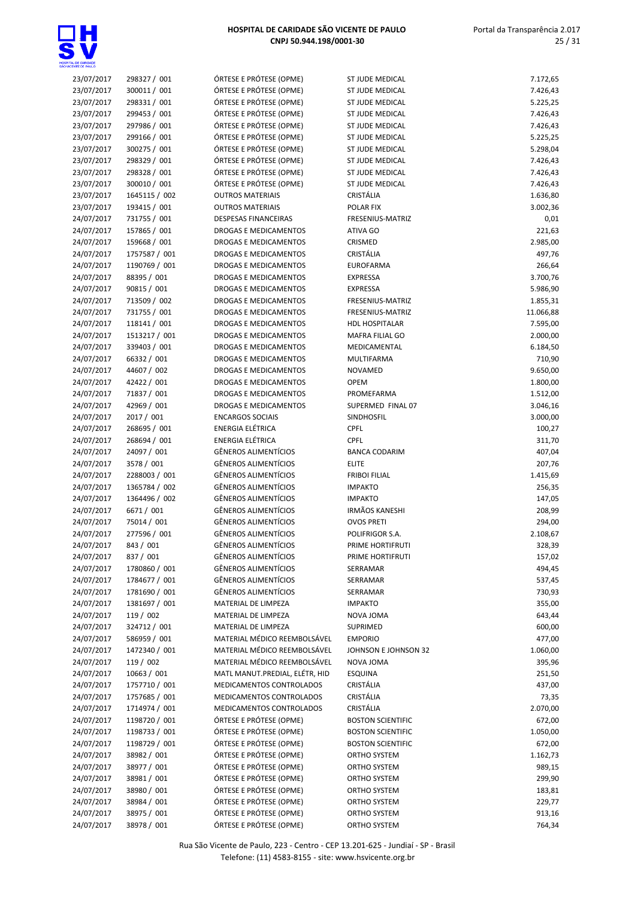

| 23/07/2017               | 298327 / 001                   | ÓRTESE E PRÓTESE (OPME)                            | ST JUDE MEDICAL               | 7.172,65         |
|--------------------------|--------------------------------|----------------------------------------------------|-------------------------------|------------------|
| 23/07/2017               | 300011/001                     | ÓRTESE E PRÓTESE (OPME)                            | ST JUDE MEDICAL               | 7.426,43         |
| 23/07/2017               | 298331 / 001                   | ÓRTESE E PRÓTESE (OPME)                            | <b>ST JUDE MEDICAL</b>        | 5.225,25         |
| 23/07/2017               | 299453 / 001                   | ÓRTESE E PRÓTESE (OPME)                            | ST JUDE MEDICAL               | 7.426,43         |
| 23/07/2017               | 297986 / 001                   | ÓRTESE E PRÓTESE (OPME)                            | ST JUDE MEDICAL               | 7.426,43         |
| 23/07/2017               | 299166 / 001                   | ÓRTESE E PRÓTESE (OPME)                            | <b>ST JUDE MEDICAL</b>        | 5.225,25         |
| 23/07/2017               | 300275 / 001                   | ÓRTESE E PRÓTESE (OPME)                            | ST JUDE MEDICAL               | 5.298,04         |
| 23/07/2017               | 298329 / 001                   | ÓRTESE E PRÓTESE (OPME)                            | <b>ST JUDE MEDICAL</b>        | 7.426,43         |
| 23/07/2017               | 298328 / 001                   | ÓRTESE E PRÓTESE (OPME)                            | ST JUDE MEDICAL               | 7.426,43         |
| 23/07/2017               | 300010 / 001                   | ÓRTESE E PRÓTESE (OPME)                            | ST JUDE MEDICAL               | 7.426,43         |
| 23/07/2017               | 1645115 / 002                  | <b>OUTROS MATERIAIS</b>                            | CRISTÁLIA                     | 1.636,80         |
| 23/07/2017               | 193415 / 001                   | <b>OUTROS MATERIAIS</b>                            | POLAR FIX                     | 3.002,36         |
| 24/07/2017               | 731755 / 001                   | <b>DESPESAS FINANCEIRAS</b>                        | FRESENIUS-MATRIZ              | 0,01             |
| 24/07/2017               | 157865 / 001                   | DROGAS E MEDICAMENTOS                              | ATIVA GO                      | 221,63           |
| 24/07/2017               | 159668 / 001                   | DROGAS E MEDICAMENTOS                              | CRISMED                       | 2.985,00         |
| 24/07/2017               | 1757587 / 001<br>1190769 / 001 | DROGAS E MEDICAMENTOS<br>DROGAS E MEDICAMENTOS     | CRISTÁLIA<br><b>EUROFARMA</b> | 497,76<br>266,64 |
| 24/07/2017<br>24/07/2017 | 88395 / 001                    | DROGAS E MEDICAMENTOS                              | <b>EXPRESSA</b>               | 3.700,76         |
| 24/07/2017               | 90815 / 001                    | DROGAS E MEDICAMENTOS                              | <b>EXPRESSA</b>               | 5.986,90         |
| 24/07/2017               | 713509 / 002                   | DROGAS E MEDICAMENTOS                              | FRESENIUS-MATRIZ              | 1.855,31         |
| 24/07/2017               | 731755 / 001                   | DROGAS E MEDICAMENTOS                              | FRESENIUS-MATRIZ              | 11.066,88        |
| 24/07/2017               | 118141 / 001                   | DROGAS E MEDICAMENTOS                              | <b>HDL HOSPITALAR</b>         | 7.595,00         |
| 24/07/2017               | 1513217 / 001                  | DROGAS E MEDICAMENTOS                              | MAFRA FILIAL GO               | 2.000,00         |
| 24/07/2017               | 339403 / 001                   | DROGAS E MEDICAMENTOS                              | MEDICAMENTAL                  | 6.184,50         |
| 24/07/2017               | 66332 / 001                    | DROGAS E MEDICAMENTOS                              | <b>MULTIFARMA</b>             | 710,90           |
| 24/07/2017               | 44607 / 002                    | DROGAS E MEDICAMENTOS                              | NOVAMED                       | 9.650,00         |
| 24/07/2017               | 42422 / 001                    | DROGAS E MEDICAMENTOS                              | <b>OPEM</b>                   | 1.800,00         |
| 24/07/2017               | 71837 / 001                    | DROGAS E MEDICAMENTOS                              | PROMEFARMA                    | 1.512,00         |
| 24/07/2017               | 42969 / 001                    | DROGAS E MEDICAMENTOS                              | SUPERMED FINAL 07             | 3.046,16         |
| 24/07/2017               | 2017 / 001                     | <b>ENCARGOS SOCIAIS</b>                            | SINDHOSFIL                    | 3.000,00         |
| 24/07/2017               | 268695 / 001                   | ENERGIA ELÉTRICA                                   | <b>CPFL</b>                   | 100,27           |
| 24/07/2017               | 268694 / 001                   | ENERGIA ELÉTRICA                                   | <b>CPFL</b>                   | 311,70           |
| 24/07/2017               | 24097 / 001                    | <b>GÊNEROS ALIMENTÍCIOS</b>                        | <b>BANCA CODARIM</b>          | 407,04           |
| 24/07/2017               | 3578 / 001                     | GÊNEROS ALIMENTÍCIOS                               | <b>ELITE</b>                  | 207,76           |
| 24/07/2017               | 2288003 / 001                  | GÊNEROS ALIMENTÍCIOS                               | <b>FRIBOI FILIAL</b>          | 1.415,69         |
| 24/07/2017               | 1365784 / 002                  | GÊNEROS ALIMENTÍCIOS                               | <b>IMPAKTO</b>                | 256,35           |
| 24/07/2017               | 1364496 / 002                  | GÊNEROS ALIMENTÍCIOS                               | <b>IMPAKTO</b>                | 147,05           |
| 24/07/2017               | 6671 / 001                     | <b>GÊNEROS ALIMENTÍCIOS</b>                        | <b>IRMÃOS KANESHI</b>         | 208,99           |
| 24/07/2017               | 75014 / 001                    | <b>GÊNEROS ALIMENTÍCIOS</b>                        | <b>OVOS PRETI</b>             | 294,00           |
| 24/07/2017               | 277596 / 001                   | <b>GÊNEROS ALIMENTÍCIOS</b>                        | POLIFRIGOR S.A.               | 2.108,67         |
| 24/07/2017               | 843 / 001                      | <b>GÊNEROS ALIMENTÍCIOS</b>                        | PRIME HORTIFRUTI              | 328,39           |
| 24/07/2017               | 837 / 001                      | <b>GÊNEROS ALIMENTÍCIOS</b>                        | PRIME HORTIFRUTI              | 157,02           |
| 24/07/2017               | 1780860 / 001                  | GÊNEROS ALIMENTÍCIOS                               | SERRAMAR                      | 494,45           |
| 24/07/2017               | 1784677 / 001                  | <b>GÊNEROS ALIMENTÍCIOS</b>                        | SERRAMAR                      | 537,45           |
| 24/07/2017               | 1781690 / 001                  | GÊNEROS ALIMENTÍCIOS                               | SERRAMAR                      | 730,93           |
| 24/07/2017               | 1381697 / 001                  | MATERIAL DE LIMPEZA                                | <b>IMPAKTO</b>                | 355,00           |
| 24/07/2017               | 119 / 002                      | MATERIAL DE LIMPEZA                                | NOVA JOMA                     | 643,44           |
| 24/07/2017               | 324712 / 001                   | MATERIAL DE LIMPEZA                                | SUPRIMED                      | 600,00           |
| 24/07/2017               | 586959 / 001                   | MATERIAL MÉDICO REEMBOLSÁVEL                       | <b>EMPORIO</b>                | 477,00           |
| 24/07/2017               | 1472340 / 001                  | MATERIAL MÉDICO REEMBOLSÁVEL                       | JOHNSON E JOHNSON 32          | 1.060,00         |
| 24/07/2017               | 119 / 002                      | MATERIAL MÉDICO REEMBOLSÁVEL                       | NOVA JOMA                     | 395,96           |
| 24/07/2017               | 10663 / 001                    | MATL MANUT.PREDIAL, ELÉTR, HID                     | <b>ESQUINA</b>                | 251,50           |
| 24/07/2017               | 1757710 / 001                  | MEDICAMENTOS CONTROLADOS                           | CRISTÁLIA                     | 437,00           |
| 24/07/2017               | 1757685 / 001                  | MEDICAMENTOS CONTROLADOS                           | CRISTÁLIA                     | 73,35            |
| 24/07/2017               | 1714974 / 001                  | MEDICAMENTOS CONTROLADOS                           | CRISTÁLIA                     | 2.070,00         |
| 24/07/2017               | 1198720 / 001                  | ÓRTESE E PRÓTESE (OPME)                            | <b>BOSTON SCIENTIFIC</b>      | 672,00           |
| 24/07/2017               | 1198733 / 001                  | ÓRTESE E PRÓTESE (OPME)                            | <b>BOSTON SCIENTIFIC</b>      | 1.050,00         |
| 24/07/2017               | 1198729 / 001                  | ÓRTESE E PRÓTESE (OPME)                            | <b>BOSTON SCIENTIFIC</b>      | 672,00           |
| 24/07/2017               | 38982 / 001                    | ÓRTESE E PRÓTESE (OPME)                            | ORTHO SYSTEM                  | 1.162,73         |
| 24/07/2017<br>24/07/2017 | 38977 / 001                    | ÓRTESE E PRÓTESE (OPME)<br>ÓRTESE E PRÓTESE (OPME) | ORTHO SYSTEM<br>ORTHO SYSTEM  | 989,15           |
| 24/07/2017               | 38981 / 001<br>38980 / 001     | ÓRTESE E PRÓTESE (OPME)                            | ORTHO SYSTEM                  | 299,90<br>183,81 |
| 24/07/2017               | 38984 / 001                    | ÓRTESE E PRÓTESE (OPME)                            | ORTHO SYSTEM                  | 229,77           |
| 24/07/2017               | 38975 / 001                    | ÓRTESE E PRÓTESE (OPME)                            | ORTHO SYSTEM                  | 913,16           |
| 24/07/2017               | 38978 / 001                    | ÓRTESE E PRÓTESE (OPME)                            | ORTHO SYSTEM                  | 764,34           |
|                          |                                |                                                    |                               |                  |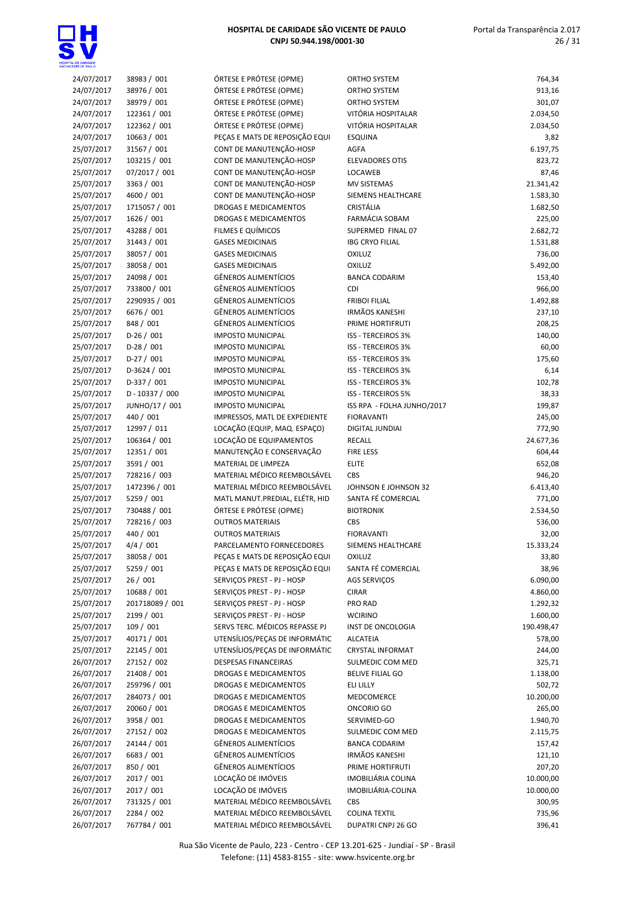

| 24/07/2017 | 38983 / 001       | ÓRTESE E PRÓTESE (OPME)        | <b>ORTHO SYSTEM</b>        | 764,34               |
|------------|-------------------|--------------------------------|----------------------------|----------------------|
| 24/07/2017 | 38976 / 001       | ÓRTESE E PRÓTESE (OPME)        | <b>ORTHO SYSTEM</b>        | 913,16               |
| 24/07/2017 | 38979 / 001       | ÓRTESE E PRÓTESE (OPME)        | <b>ORTHO SYSTEM</b>        | 301,07               |
| 24/07/2017 | 122361 / 001      | ÓRTESE E PRÓTESE (OPME)        | VITÓRIA HOSPITALAR         | 2.034,50             |
| 24/07/2017 | 122362 / 001      | ÓRTESE E PRÓTESE (OPME)        | VITÓRIA HOSPITALAR         | 2.034,50             |
| 24/07/2017 | 10663 / 001       | PEÇAS E MATS DE REPOSIÇÃO EQUI | <b>ESQUINA</b>             | 3,82                 |
| 25/07/2017 | 31567 / 001       | CONT DE MANUTENÇÃO-HOSP        | AGFA                       | 6.197,75             |
| 25/07/2017 | 103215 / 001      | CONT DE MANUTENÇÃO-HOSP        | <b>ELEVADORES OTIS</b>     | 823,72               |
| 25/07/2017 | 07/2017 / 001     | CONT DE MANUTENÇÃO-HOSP        | LOCAWEB                    | 87,46                |
| 25/07/2017 | 3363 / 001        | CONT DE MANUTENÇÃO-HOSP        | MV SISTEMAS                | 21.341,42            |
| 25/07/2017 | 4600 / 001        | CONT DE MANUTENÇÃO-HOSP        | SIEMENS HEALTHCARE         | 1.583,30             |
| 25/07/2017 | 1715057 / 001     | <b>DROGAS E MEDICAMENTOS</b>   | CRISTÁLIA                  | 1.682,50             |
| 25/07/2017 | 1626 / 001        | <b>DROGAS E MEDICAMENTOS</b>   | FARMÁCIA SOBAM             | 225,00               |
| 25/07/2017 | 43288 / 001       | FILMES E QUÍMICOS              | SUPERMED FINAL 07          | 2.682,72             |
| 25/07/2017 | 31443 / 001       | <b>GASES MEDICINAIS</b>        | <b>IBG CRYO FILIAL</b>     | 1.531,88             |
| 25/07/2017 | 38057 / 001       | <b>GASES MEDICINAIS</b>        | <b>OXILUZ</b>              | 736,00               |
| 25/07/2017 | 38058 / 001       | <b>GASES MEDICINAIS</b>        | <b>OXILUZ</b>              | 5.492,00             |
| 25/07/2017 | 24098 / 001       | <b>GÊNEROS ALIMENTÍCIOS</b>    | <b>BANCA CODARIM</b>       | 153,40               |
|            |                   | GÊNEROS ALIMENTÍCIOS           | <b>CDI</b>                 | 966,00               |
| 25/07/2017 | 733800 / 001      | GÊNEROS ALIMENTÍCIOS           | <b>FRIBOI FILIAL</b>       |                      |
| 25/07/2017 | 2290935 / 001     |                                |                            | 1.492,88             |
| 25/07/2017 | 6676 / 001        | <b>GÊNEROS ALIMENTÍCIOS</b>    | <b>IRMÃOS KANESHI</b>      | 237,10               |
| 25/07/2017 | 848 / 001         | <b>GÊNEROS ALIMENTÍCIOS</b>    | PRIME HORTIFRUTI           | 208,25               |
| 25/07/2017 | $D-26/001$        | <b>IMPOSTO MUNICIPAL</b>       | <b>ISS - TERCEIROS 3%</b>  | 140,00               |
| 25/07/2017 | $D-28/001$        | <b>IMPOSTO MUNICIPAL</b>       | <b>ISS - TERCEIROS 3%</b>  | 60,00                |
| 25/07/2017 | $D-27/001$        | <b>IMPOSTO MUNICIPAL</b>       | <b>ISS - TERCEIROS 3%</b>  | 175,60               |
| 25/07/2017 | D-3624 / 001      | <b>IMPOSTO MUNICIPAL</b>       | <b>ISS - TERCEIROS 3%</b>  | 6,14                 |
| 25/07/2017 | $D-337/001$       | <b>IMPOSTO MUNICIPAL</b>       | <b>ISS - TERCEIROS 3%</b>  | 102,78               |
| 25/07/2017 | $D - 10337 / 000$ | <b>IMPOSTO MUNICIPAL</b>       | <b>ISS - TERCEIROS 5%</b>  | 38,33                |
| 25/07/2017 | JUNHO/17 / 001    | <b>IMPOSTO MUNICIPAL</b>       | ISS RPA - FOLHA JUNHO/2017 | 199,87               |
| 25/07/2017 | 440 / 001         | IMPRESSOS, MATL DE EXPEDIENTE  | <b>FIORAVANTI</b>          | 245,00               |
| 25/07/2017 | 12997 / 011       | LOCAÇÃO (EQUIP, MAQ. ESPAÇO)   | DIGITAL JUNDIAI            | 772,90               |
| 25/07/2017 | 106364 / 001      | LOCAÇÃO DE EQUIPAMENTOS        | <b>RECALL</b>              | 24.677,36            |
| 25/07/2017 | 12351 / 001       | MANUTENÇÃO E CONSERVAÇÃO       | <b>FIRE LESS</b>           | 604,44               |
| 25/07/2017 | 3591 / 001        | MATERIAL DE LIMPEZA            | <b>ELITE</b>               | 652,08               |
| 25/07/2017 | 728216 / 003      | MATERIAL MÉDICO REEMBOLSÁVEL   | CBS                        | 946,20               |
| 25/07/2017 | 1472396 / 001     | MATERIAL MÉDICO REEMBOLSÁVEL   | JOHNSON E JOHNSON 32       | 6.413,40             |
| 25/07/2017 | 5259 / 001        | MATL MANUT.PREDIAL, ELÉTR, HID | SANTA FÉ COMERCIAL         | 771,00               |
| 25/07/2017 | 730488 / 001      | ÓRTESE E PRÓTESE (OPME)        | <b>BIOTRONIK</b>           | 2.534,50             |
| 25/07/2017 | 728216 / 003      | <b>OUTROS MATERIAIS</b>        | CBS                        | 536,00               |
| 25/07/2017 | 440 / 001         | <b>OUTROS MATERIAIS</b>        | <b>FIORAVANTI</b>          | 32,00                |
| 25/07/2017 | 4/4 / 001         | PARCELAMENTO FORNECEDORES      | SIEMENS HEALTHCARE         | 15.333,24            |
| 25/07/2017 | 38058 / 001       | PEÇAS E MATS DE REPOSIÇÃO EQUI | <b>OXILUZ</b>              | 33,80                |
| 25/07/2017 | 5259 / 001        | PEÇAS E MATS DE REPOSIÇÃO EQUI | SANTA FÉ COMERCIAL         | 38,96                |
| 25/07/2017 | 26/001            | SERVIÇOS PREST - PJ - HOSP     | AGS SERVIÇOS               | 6.090,00             |
| 25/07/2017 | 10688 / 001       | SERVIÇOS PREST - PJ - HOSP     | <b>CIRAR</b>               | 4.860,00             |
| 25/07/2017 | 201718089 / 001   | SERVIÇOS PREST - PJ - HOSP     | PRO RAD                    | 1.292,32             |
| 25/07/2017 | 2199 / 001        | SERVIÇOS PREST - PJ - HOSP     | <b>WCIRINO</b>             | 1.600,00             |
| 25/07/2017 | 109 / 001         | SERVS TERC. MÉDICOS REPASSE PJ | INST DE ONCOLOGIA          | 190.498,47           |
| 25/07/2017 | 40171 / 001       | UTENSÍLIOS/PEÇAS DE INFORMÁTIC | <b>ALCATEIA</b>            | 578,00               |
| 25/07/2017 | 22145 / 001       | UTENSÍLIOS/PECAS DE INFORMÁTIC | <b>CRYSTAL INFORMAT</b>    | 244,00               |
| 26/07/2017 | 27152 / 002       | <b>DESPESAS FINANCEIRAS</b>    | SULMEDIC COM MED           | 325,71               |
| 26/07/2017 | 21408 / 001       | DROGAS E MEDICAMENTOS          | <b>BELIVE FILIAL GO</b>    | 1.138,00             |
| 26/07/2017 | 259796 / 001      | DROGAS E MEDICAMENTOS          | ELI LILLY                  | 502,72               |
| 26/07/2017 | 284073 / 001      | DROGAS E MEDICAMENTOS          | MEDCOMERCE                 | 10.200,00            |
| 26/07/2017 | 20060 / 001       | DROGAS E MEDICAMENTOS          | ONCORIO GO                 | 265,00               |
|            |                   |                                |                            |                      |
| 26/07/2017 | 3958 / 001        | DROGAS E MEDICAMENTOS          | SERVIMED-GO                | 1.940,70<br>2.115,75 |
| 26/07/2017 | 27152 / 002       | DROGAS E MEDICAMENTOS          | SULMEDIC COM MED           |                      |
| 26/07/2017 | 24144 / 001       | GÊNEROS ALIMENTÍCIOS           | <b>BANCA CODARIM</b>       | 157,42               |
| 26/07/2017 | 6683 / 001        | GÊNEROS ALIMENTÍCIOS           | <b>IRMÃOS KANESHI</b>      | 121,10               |
| 26/07/2017 | 850 / 001         | <b>GÊNEROS ALIMENTÍCIOS</b>    | PRIME HORTIFRUTI           | 207,20               |
| 26/07/2017 | 2017 / 001        | LOCAÇÃO DE IMÓVEIS             | IMOBILIÁRIA COLINA         | 10.000,00            |
| 26/07/2017 | 2017 / 001        | LOCAÇÃO DE IMÓVEIS             | IMOBILIÁRIA-COLINA         | 10.000,00            |
| 26/07/2017 | 731325 / 001      | MATERIAL MÉDICO REEMBOLSÁVEL   | CBS                        | 300,95               |
| 26/07/2017 | 2284 / 002        | MATERIAL MÉDICO REEMBOLSÁVEL   | <b>COLINA TEXTIL</b>       | 735,96               |
| 26/07/2017 | 767784 / 001      | MATERIAL MÉDICO REEMBOLSÁVEL   | DUPATRI CNPJ 26 GO         | 396,41               |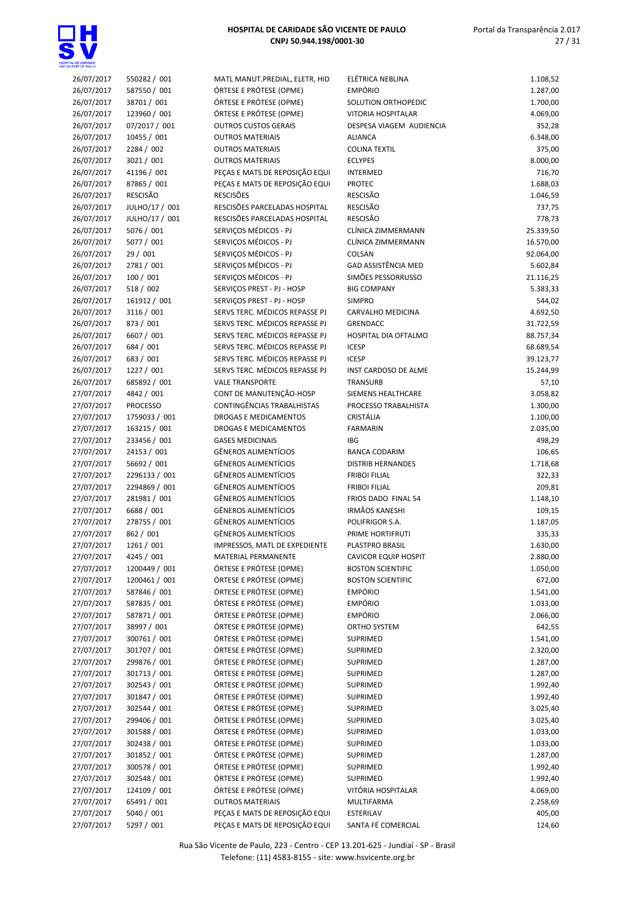| 26/07/2017 | 550282 / 001    | MATL MANUT.PREDIAL, ELETR, HID | ELÉTRICA NEBLINA            | 1.108,52  |
|------------|-----------------|--------------------------------|-----------------------------|-----------|
| 26/07/2017 | 587550 / 001    | ÓRTESE E PRÓTESE (OPME)        | <b>EMPÓRIO</b>              | 1.287,00  |
|            |                 |                                |                             |           |
| 26/07/2017 | 38701 / 001     | ÓRTESE E PRÓTESE (OPME)        | SOLUTION ORTHOPEDIC         | 1.700,00  |
| 26/07/2017 | 123960 / 001    | ÓRTESE E PRÓTESE (OPME)        | <b>VITORIA HOSPITALAR</b>   | 4.069,00  |
| 26/07/2017 | 07/2017 / 001   | <b>OUTROS CUSTOS GERAIS</b>    | DESPESA VIAGEM AUDIENCIA    | 352,28    |
| 26/07/2017 | 10455 / 001     | <b>OUTROS MATERIAIS</b>        | <b>ALIANCA</b>              | 6.348,00  |
|            |                 |                                |                             |           |
| 26/07/2017 | 2284 / 002      | <b>OUTROS MATERIAIS</b>        | <b>COLINA TEXTIL</b>        | 375,00    |
| 26/07/2017 | 3021 / 001      | <b>OUTROS MATERIAIS</b>        | <b>ECLYPES</b>              | 8.000,00  |
| 26/07/2017 | 41196 / 001     | PEÇAS E MATS DE REPOSIÇÃO EQUI | <b>INTERMED</b>             | 716,70    |
|            | 87865 / 001     |                                | <b>PROTEC</b>               | 1.688,03  |
| 26/07/2017 |                 | PEÇAS E MATS DE REPOSIÇÃO EQUI |                             |           |
| 26/07/2017 | <b>RESCISÃO</b> | <b>RESCISÕES</b>               | <b>RESCISÃO</b>             | 1.046,59  |
| 26/07/2017 | JULHO/17 / 001  | RESCISÕES PARCELADAS HOSPITAL  | <b>RESCISÃO</b>             | 737,75    |
| 26/07/2017 | JULHO/17 / 001  | RESCISÕES PARCELADAS HOSPITAL  | <b>RESCISÃO</b>             | 778,73    |
|            |                 |                                |                             |           |
| 26/07/2017 | 5076 / 001      | SERVIÇOS MÉDICOS - PJ          | CLÍNICA ZIMMERMANN          | 25.339,50 |
| 26/07/2017 | 5077 / 001      | SERVIÇOS MÉDICOS - PJ          | CLÍNICA ZIMMERMANN          | 16.570,00 |
| 26/07/2017 | 29 / 001        | SERVIÇOS MÉDICOS - PJ          | COLSAN                      | 92.064,00 |
| 26/07/2017 | 2781 / 001      | SERVIÇOS MÉDICOS - PJ          | <b>GAD ASSISTÊNCIA MED</b>  | 5.602,84  |
|            |                 |                                |                             |           |
| 26/07/2017 | 100/001         | SERVIÇOS MÉDICOS - PJ          | SIMÕES PESSORRUSSO          | 21.116,25 |
| 26/07/2017 | 518 / 002       | SERVICOS PREST - PJ - HOSP     | <b>BIG COMPANY</b>          | 5.383,33  |
| 26/07/2017 | 161912 / 001    | SERVICOS PREST - PJ - HOSP     | <b>SIMPRO</b>               | 544,02    |
|            |                 | SERVS TERC. MÉDICOS REPASSE PJ | <b>CARVALHO MEDICINA</b>    |           |
| 26/07/2017 | 3116 / 001      |                                |                             | 4.692,50  |
| 26/07/2017 | 873 / 001       | SERVS TERC. MÉDICOS REPASSE PJ | <b>GRENDACC</b>             | 31.722,59 |
| 26/07/2017 | 6607 / 001      | SERVS TERC. MÉDICOS REPASSE PJ | HOSPITAL DIA OFTALMO        | 88.757,34 |
| 26/07/2017 | 684 / 001       | SERVS TERC. MÉDICOS REPASSE PJ | <b>ICESP</b>                | 68.689,54 |
|            |                 |                                |                             |           |
| 26/07/2017 | 683 / 001       | SERVS TERC. MÉDICOS REPASSE PJ | <b>ICESP</b>                | 39.123,77 |
| 26/07/2017 | 1227 / 001      | SERVS TERC. MÉDICOS REPASSE PJ | INST CARDOSO DE ALME        | 15.244,99 |
| 26/07/2017 | 685892 / 001    | <b>VALE TRANSPORTE</b>         | <b>TRANSURB</b>             | 57,10     |
| 27/07/2017 | 4842 / 001      | CONT DE MANUTENÇÃO-HOSP        | SIEMENS HEALTHCARE          | 3.058,82  |
|            |                 |                                |                             |           |
| 27/07/2017 | <b>PROCESSO</b> | CONTINGÊNCIAS TRABALHISTAS     | PROCESSO TRABALHISTA        | 1.300,00  |
| 27/07/2017 | 1759033 / 001   | DROGAS E MEDICAMENTOS          | CRISTÁLIA                   | 1.100,00  |
| 27/07/2017 | 163215 / 001    | DROGAS E MEDICAMENTOS          | <b>FARMARIN</b>             | 2.035,00  |
| 27/07/2017 | 233456 / 001    | <b>GASES MEDICINAIS</b>        | <b>IBG</b>                  | 498,29    |
|            |                 |                                |                             |           |
| 27/07/2017 | 24153 / 001     | <b>GÊNEROS ALIMENTÍCIOS</b>    | <b>BANCA CODARIM</b>        | 106,65    |
| 27/07/2017 | 56692 / 001     | <b>GÊNEROS ALIMENTÍCIOS</b>    | <b>DISTRIB HERNANDES</b>    | 1.718,68  |
| 27/07/2017 | 2296133 / 001   | <b>GÊNEROS ALIMENTÍCIOS</b>    | <b>FRIBOI FILIAL</b>        | 322,33    |
| 27/07/2017 | 2294869 / 001   | <b>GÊNEROS ALIMENTÍCIOS</b>    | <b>FRIBOI FILIAL</b>        |           |
|            |                 |                                |                             | 209,81    |
| 27/07/2017 | 281981 / 001    | <b>GÊNEROS ALIMENTÍCIOS</b>    | FRIOS DADO FINAL 54         | 1.148,10  |
| 27/07/2017 | 6688 / 001      | <b>GÊNEROS ALIMENTÍCIOS</b>    | <b>IRMÃOS KANESHI</b>       | 109,15    |
| 27/07/2017 | 278755 / 001    | <b>GÊNEROS ALIMENTÍCIOS</b>    | POLIFRIGOR S.A.             | 1.187,05  |
| 27/07/2017 | 862 / 001       | <b>GÊNEROS ALIMENTÍCIOS</b>    | PRIME HORTIFRUTI            | 335,33    |
|            |                 |                                |                             |           |
| 27/07/2017 | 1261 / 001      | IMPRESSOS, MATL DE EXPEDIENTE  | PLASTPRO BRASIL             | 1.630,00  |
| 27/07/2017 | 4245 / 001      | MATERIAL PERMANENTE            | <b>CAVICOR EQUIP HOSPIT</b> | 2.880,00  |
| 27/07/2017 | 1200449 / 001   | ÓRTESE E PRÓTESE (OPME)        | <b>BOSTON SCIENTIFIC</b>    | 1.050,00  |
|            | 1200461 / 001   | ÓRTESE E PRÓTESE (OPME)        |                             |           |
| 27/07/2017 |                 |                                | <b>BOSTON SCIENTIFIC</b>    | 672,00    |
| 27/07/2017 | 587846 / 001    | ÓRTESE E PRÓTESE (OPME)        | <b>EMPÓRIO</b>              | 1.541,00  |
| 27/07/2017 | 587835 / 001    | ÓRTESE E PRÓTESE (OPME)        | <b>EMPÓRIO</b>              | 1.033,00  |
| 27/07/2017 | 587871 / 001    | ÓRTESE E PRÓTESE (OPME)        | <b>EMPÓRIO</b>              | 2.066,00  |
|            |                 | ÓRTESE E PRÓTESE (OPME)        | ORTHO SYSTEM                |           |
| 27/07/2017 | 38997 / 001     |                                |                             | 642,55    |
| 27/07/2017 | 300761 / 001    | ÓRTESE E PRÓTESE (OPME)        | SUPRIMED                    | 1.541,00  |
| 27/07/2017 | 301707 / 001    | ÓRTESE E PRÓTESE (OPME)        | SUPRIMED                    | 2.320,00  |
| 27/07/2017 | 299876 / 001    | ÓRTESE E PRÓTESE (OPME)        | SUPRIMED                    | 1.287,00  |
|            | 301713 / 001    | ÓRTESE E PRÓTESE (OPME)        |                             |           |
| 27/07/2017 |                 |                                | SUPRIMED                    | 1.287,00  |
| 27/07/2017 | 302543 / 001    | ÓRTESE E PRÓTESE (OPME)        | SUPRIMED                    | 1.992,40  |
| 27/07/2017 | 301847 / 001    | ÓRTESE E PRÓTESE (OPME)        | SUPRIMED                    | 1.992,40  |
| 27/07/2017 | 302544 / 001    | ÓRTESE E PRÓTESE (OPME)        | SUPRIMED                    | 3.025,40  |
|            |                 |                                |                             |           |
| 27/07/2017 | 299406 / 001    | ÓRTESE E PRÓTESE (OPME)        | SUPRIMED                    | 3.025,40  |
| 27/07/2017 | 301588 / 001    | ÓRTESE E PRÓTESE (OPME)        | SUPRIMED                    | 1.033,00  |
| 27/07/2017 | 302438 / 001    | ÓRTESE E PRÓTESE (OPME)        | SUPRIMED                    | 1.033,00  |
| 27/07/2017 | 301852 / 001    | ÓRTESE E PRÓTESE (OPME)        | SUPRIMED                    | 1.287,00  |
|            |                 |                                |                             |           |
| 27/07/2017 | 300578 / 001    | ÓRTESE E PRÓTESE (OPME)        | SUPRIMED                    | 1.992,40  |
| 27/07/2017 | 302548 / 001    | ÓRTESE E PRÓTESE (OPME)        | SUPRIMED                    | 1.992,40  |
| 27/07/2017 | 124109 / 001    | ÓRTESE E PRÓTESE (OPME)        | VITÓRIA HOSPITALAR          | 4.069,00  |
| 27/07/2017 | 65491 / 001     | <b>OUTROS MATERIAIS</b>        | MULTIFARMA                  | 2.258,69  |
|            |                 |                                |                             |           |
| 27/07/2017 | 5040 / 001      | PEÇAS E MATS DE REPOSIÇÃO EQUI | ESTERILAV                   | 405,00    |
| 27/07/2017 | 5297 / 001      | PEÇAS E MATS DE REPOSIÇÃO EQUI | SANTA FÉ COMERCIAL          | 124,60    |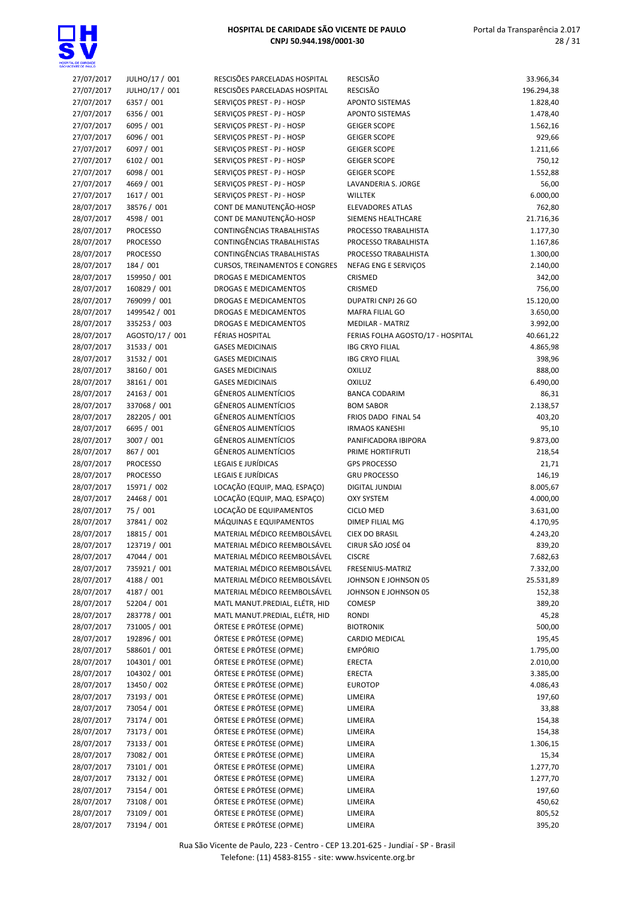

| 27/07/2017               | JULHO/17 / 001              | RESCISÕES PARCELADAS HOSPITAL                                | RESCISÃO                                   | 33.966,34             |
|--------------------------|-----------------------------|--------------------------------------------------------------|--------------------------------------------|-----------------------|
| 27/07/2017               | JULHO/17 / 001              | RESCISÕES PARCELADAS HOSPITAL                                | RESCISÃO                                   | 196.294,38            |
| 27/07/2017               | 6357 / 001                  | SERVIÇOS PREST - PJ - HOSP                                   | <b>APONTO SISTEMAS</b>                     | 1.828,40              |
| 27/07/2017               | 6356 / 001                  | SERVIÇOS PREST - PJ - HOSP                                   | <b>APONTO SISTEMAS</b>                     | 1.478,40              |
| 27/07/2017               | 6095 / 001                  | SERVIÇOS PREST - PJ - HOSP                                   | <b>GEIGER SCOPE</b>                        | 1.562,16              |
| 27/07/2017               | 6096 / 001                  | SERVIÇOS PREST - PJ - HOSP                                   | <b>GEIGER SCOPE</b>                        | 929,66                |
| 27/07/2017               | 6097 / 001                  | SERVIÇOS PREST - PJ - HOSP                                   | <b>GEIGER SCOPE</b>                        | 1.211,66              |
| 27/07/2017               | 6102 / 001                  | SERVIÇOS PREST - PJ - HOSP                                   | <b>GEIGER SCOPE</b>                        | 750,12                |
| 27/07/2017               | 6098 / 001                  | SERVIÇOS PREST - PJ - HOSP                                   | <b>GEIGER SCOPE</b>                        | 1.552,88              |
| 27/07/2017               | 4669 / 001                  | SERVIÇOS PREST - PJ - HOSP                                   | LAVANDERIA S. JORGE                        | 56,00                 |
| 27/07/2017               | 1617 / 001                  | SERVICOS PREST - PJ - HOSP                                   | <b>WILLTEK</b>                             | 6.000,00              |
| 28/07/2017               | 38576 / 001                 | CONT DE MANUTENÇÃO-HOSP                                      | <b>ELEVADORES ATLAS</b>                    | 762,80                |
| 28/07/2017               | 4598 / 001                  | CONT DE MANUTENÇÃO-HOSP                                      | SIEMENS HEALTHCARE                         | 21.716,36             |
| 28/07/2017               | <b>PROCESSO</b>             | CONTINGÊNCIAS TRABALHISTAS                                   | PROCESSO TRABALHISTA                       | 1.177,30              |
| 28/07/2017               | <b>PROCESSO</b>             | CONTINGÊNCIAS TRABALHISTAS                                   | PROCESSO TRABALHISTA                       | 1.167,86              |
| 28/07/2017               | <b>PROCESSO</b>             | CONTINGÊNCIAS TRABALHISTAS                                   | PROCESSO TRABALHISTA                       | 1.300,00              |
| 28/07/2017               | 184 / 001                   | <b>CURSOS, TREINAMENTOS E CONGRES</b>                        | NEFAG ENG E SERVIÇOS                       | 2.140,00              |
| 28/07/2017               | 159950 / 001                | DROGAS E MEDICAMENTOS                                        | CRISMED                                    | 342,00                |
| 28/07/2017               | 160829 / 001                | <b>DROGAS E MEDICAMENTOS</b>                                 | CRISMED                                    | 756,00                |
| 28/07/2017               | 769099 / 001                | DROGAS E MEDICAMENTOS                                        | DUPATRI CNPJ 26 GO                         | 15.120,00             |
| 28/07/2017               | 1499542 / 001               | <b>DROGAS E MEDICAMENTOS</b>                                 | MAFRA FILIAL GO                            | 3.650,00              |
| 28/07/2017               | 335253 / 003                | DROGAS E MEDICAMENTOS                                        | <b>MEDILAR - MATRIZ</b>                    | 3.992,00              |
| 28/07/2017               | AGOSTO/17 / 001             | FÉRIAS HOSPITAL                                              | FERIAS FOLHA AGOSTO/17 - HOSPITAL          | 40.661,22             |
| 28/07/2017               | 31533 / 001                 | <b>GASES MEDICINAIS</b>                                      | <b>IBG CRYO FILIAL</b>                     | 4.865,98              |
| 28/07/2017               | 31532 / 001                 | <b>GASES MEDICINAIS</b>                                      | <b>IBG CRYO FILIAL</b>                     | 398,96                |
| 28/07/2017               | 38160 / 001                 | <b>GASES MEDICINAIS</b>                                      | <b>OXILUZ</b>                              | 888,00                |
| 28/07/2017               | 38161 / 001                 | <b>GASES MEDICINAIS</b>                                      | <b>OXILUZ</b>                              | 6.490,00              |
| 28/07/2017               | 24163 / 001                 | <b>GÊNEROS ALIMENTÍCIOS</b>                                  | <b>BANCA CODARIM</b>                       | 86,31                 |
| 28/07/2017               | 337068 / 001                | GÊNEROS ALIMENTÍCIOS                                         | <b>BOM SABOR</b>                           | 2.138,57              |
| 28/07/2017               | 282205 / 001                | GÊNEROS ALIMENTÍCIOS                                         | FRIOS DADO FINAL 54                        | 403,20                |
| 28/07/2017               | 6695 / 001                  | GÊNEROS ALIMENTÍCIOS                                         | <b>IRMAOS KANESHI</b>                      | 95,10                 |
| 28/07/2017               | 3007 / 001                  | GÊNEROS ALIMENTÍCIOS                                         | PANIFICADORA IBIPORA                       | 9.873,00              |
| 28/07/2017               | 867 / 001                   | <b>GÊNEROS ALIMENTÍCIOS</b>                                  | PRIME HORTIFRUTI                           | 218,54                |
| 28/07/2017               | <b>PROCESSO</b>             | LEGAIS E JURÍDICAS                                           | <b>GPS PROCESSO</b>                        | 21,71                 |
| 28/07/2017               | <b>PROCESSO</b>             | LEGAIS E JURÍDICAS                                           | <b>GRU PROCESSO</b>                        | 146,19                |
| 28/07/2017               | 15971 / 002                 | LOCAÇÃO (EQUIP, MAQ. ESPAÇO)                                 | DIGITAL JUNDIAI                            | 8.005,67              |
| 28/07/2017               | 24468 / 001                 | LOCAÇÃO (EQUIP, MAQ. ESPAÇO)                                 | <b>OXY SYSTEM</b>                          | 4.000,00              |
| 28/07/2017               | 75 / 001                    | LOCAÇÃO DE EQUIPAMENTOS                                      | <b>CICLO MED</b>                           | 3.631,00              |
| 28/07/2017               | 37841 / 002                 | MÁQUINAS E EQUIPAMENTOS<br>MATERIAL MÉDICO REEMBOLSÁVEL      | <b>DIMEP FILIAL MG</b>                     | 4.170,95              |
| 28/07/2017               | 18815 / 001                 |                                                              | <b>CIEX DO BRASIL</b><br>CIRUR SÃO JOSÉ 04 | 4.243,20              |
| 28/07/2017<br>28/07/2017 | 123719 / 001                | MATERIAL MÉDICO REEMBOLSÁVEL<br>MATERIAL MÉDICO REEMBOLSÁVEL | <b>CISCRE</b>                              | 839,20                |
| 28/07/2017               | 47044 / 001<br>735921 / 001 | MATERIAL MÉDICO REEMBOLSÁVEL                                 |                                            | 7.682,63              |
| 28/07/2017               | 4188 / 001                  | MATERIAL MÉDICO REEMBOLSÁVEL                                 | FRESENIUS-MATRIZ<br>JOHNSON E JOHNSON 05   | 7.332,00<br>25.531,89 |
| 28/07/2017               | 4187 / 001                  | MATERIAL MÉDICO REEMBOLSÁVEL                                 | JOHNSON E JOHNSON 05                       | 152,38                |
| 28/07/2017               | 52204 / 001                 | MATL MANUT.PREDIAL, ELÉTR, HID                               | COMESP                                     | 389,20                |
| 28/07/2017               | 283778 / 001                | MATL MANUT.PREDIAL, ELÉTR, HID                               | RONDI                                      | 45,28                 |
| 28/07/2017               | 731005 / 001                | ÓRTESE E PRÓTESE (OPME)                                      | <b>BIOTRONIK</b>                           | 500,00                |
| 28/07/2017               | 192896 / 001                | ÓRTESE E PRÓTESE (OPME)                                      | <b>CARDIO MEDICAL</b>                      | 195,45                |
| 28/07/2017               | 588601 / 001                | ÓRTESE E PRÓTESE (OPME)                                      | EMPÓRIO                                    | 1.795,00              |
| 28/07/2017               | 104301 / 001                | ÓRTESE E PRÓTESE (OPME)                                      | ERECTA                                     | 2.010,00              |
| 28/07/2017               | 104302 / 001                | ÓRTESE E PRÓTESE (OPME)                                      | ERECTA                                     | 3.385,00              |
| 28/07/2017               | 13450 / 002                 | ÓRTESE E PRÓTESE (OPME)                                      | <b>EUROTOP</b>                             | 4.086,43              |
| 28/07/2017               | 73193 / 001                 | ÓRTESE E PRÓTESE (OPME)                                      | LIMEIRA                                    | 197,60                |
| 28/07/2017               | 73054 / 001                 | ÓRTESE E PRÓTESE (OPME)                                      | LIMEIRA                                    | 33,88                 |
| 28/07/2017               | 73174 / 001                 | ÓRTESE E PRÓTESE (OPME)                                      | LIMEIRA                                    | 154,38                |
| 28/07/2017               | 73173 / 001                 | ÓRTESE E PRÓTESE (OPME)                                      | LIMEIRA                                    | 154,38                |
| 28/07/2017               | 73133 / 001                 | ÓRTESE E PRÓTESE (OPME)                                      | LIMEIRA                                    | 1.306,15              |
| 28/07/2017               | 73082 / 001                 | ÓRTESE E PRÓTESE (OPME)                                      | LIMEIRA                                    | 15,34                 |
| 28/07/2017               | 73101 / 001                 | ÓRTESE E PRÓTESE (OPME)                                      | LIMEIRA                                    | 1.277,70              |
| 28/07/2017               | 73132 / 001                 | ÓRTESE E PRÓTESE (OPME)                                      | LIMEIRA                                    | 1.277,70              |
| 28/07/2017               | 73154 / 001                 | ÓRTESE E PRÓTESE (OPME)                                      | LIMEIRA                                    | 197,60                |
| 28/07/2017               | 73108 / 001                 | ÓRTESE E PRÓTESE (OPME)                                      | LIMEIRA                                    | 450,62                |
| 28/07/2017               | 73109 / 001                 | ÓRTESE E PRÓTESE (OPME)                                      | LIMEIRA                                    | 805,52                |
| 28/07/2017               | 73194 / 001                 | ÓRTESE E PRÓTESE (OPME)                                      | LIMEIRA                                    | 395,20                |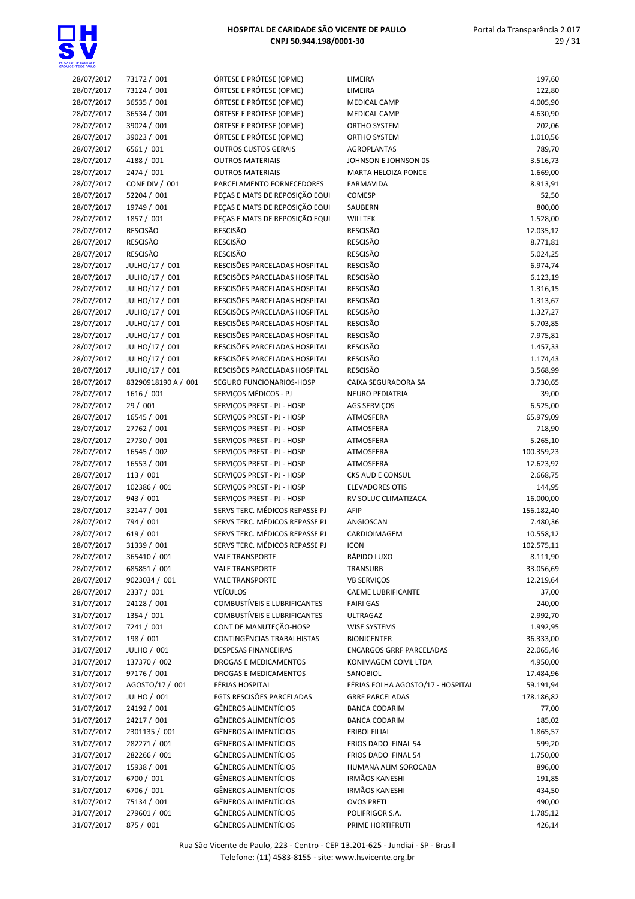

| <b>DENTE DE PAULO</b> |                     |                                                        |                                   |            |
|-----------------------|---------------------|--------------------------------------------------------|-----------------------------------|------------|
| 28/07/2017            | 73172 / 001         | ÓRTESE E PRÓTESE (OPME)                                | LIMEIRA                           | 197,60     |
| 28/07/2017            | 73124 / 001         | ÓRTESE E PRÓTESE (OPME)                                | LIMEIRA                           | 122,80     |
| 28/07/2017            | 36535 / 001         | ÓRTESE E PRÓTESE (OPME)                                | <b>MEDICAL CAMP</b>               | 4.005,90   |
| 28/07/2017            | 36534 / 001         | ÓRTESE E PRÓTESE (OPME)                                | MEDICAL CAMP                      | 4.630,90   |
| 28/07/2017            | 39024 / 001         | ÓRTESE E PRÓTESE (OPME)                                | ORTHO SYSTEM                      | 202,06     |
| 28/07/2017            | 39023 / 001         | ÓRTESE E PRÓTESE (OPME)                                | ORTHO SYSTEM                      | 1.010,56   |
| 28/07/2017            | 6561 / 001          | <b>OUTROS CUSTOS GERAIS</b>                            | <b>AGROPLANTAS</b>                | 789,70     |
| 28/07/2017            | 4188 / 001          | <b>OUTROS MATERIAIS</b>                                | JOHNSON E JOHNSON 05              | 3.516,73   |
| 28/07/2017            | 2474 / 001          | <b>OUTROS MATERIAIS</b>                                | <b>MARTA HELOIZA PONCE</b>        | 1.669,00   |
| 28/07/2017            | CONF DIV / 001      | PARCELAMENTO FORNECEDORES                              | <b>FARMAVIDA</b>                  | 8.913,91   |
| 28/07/2017            | 52204 / 001         | PEÇAS E MATS DE REPOSIÇÃO EQUI                         | <b>COMESP</b>                     | 52,50      |
| 28/07/2017            | 19749 / 001         | PECAS E MATS DE REPOSIÇÃO EQUI                         | SAUBERN                           | 800,00     |
| 28/07/2017            | 1857 / 001          | PEÇAS E MATS DE REPOSIÇÃO EQUI                         | <b>WILLTEK</b>                    | 1.528,00   |
| 28/07/2017            | RESCISÃO            | <b>RESCISÃO</b>                                        | <b>RESCISÃO</b>                   | 12.035,12  |
| 28/07/2017            | <b>RESCISÃO</b>     | <b>RESCISÃO</b>                                        | <b>RESCISÃO</b>                   | 8.771,81   |
| 28/07/2017            | <b>RESCISÃO</b>     | <b>RESCISÃO</b>                                        | <b>RESCISÃO</b>                   | 5.024,25   |
| 28/07/2017            | JULHO/17 / 001      | RESCISÕES PARCELADAS HOSPITAL                          | <b>RESCISÃO</b>                   | 6.974,74   |
| 28/07/2017            | JULHO/17 / 001      | RESCISÕES PARCELADAS HOSPITAL                          | <b>RESCISÃO</b>                   | 6.123,19   |
| 28/07/2017            | JULHO/17 / 001      | RESCISÕES PARCELADAS HOSPITAL                          | <b>RESCISÃO</b>                   | 1.316,15   |
| 28/07/2017            | JULHO/17 / 001      | RESCISÕES PARCELADAS HOSPITAL                          | <b>RESCISÃO</b>                   | 1.313,67   |
| 28/07/2017            | JULHO/17 / 001      | RESCISÕES PARCELADAS HOSPITAL                          | <b>RESCISÃO</b>                   | 1.327,27   |
| 28/07/2017            | JULHO/17 / 001      | RESCISÕES PARCELADAS HOSPITAL                          | <b>RESCISÃO</b>                   | 5.703,85   |
| 28/07/2017            | JULHO/17 / 001      | RESCISÕES PARCELADAS HOSPITAL                          | <b>RESCISÃO</b>                   | 7.975,81   |
| 28/07/2017            | JULHO/17 / 001      | RESCISÕES PARCELADAS HOSPITAL                          | <b>RESCISÃO</b>                   | 1.457,33   |
| 28/07/2017            | JULHO/17 / 001      | RESCISÕES PARCELADAS HOSPITAL                          | <b>RESCISÃO</b>                   | 1.174,43   |
| 28/07/2017            | JULHO/17 / 001      | RESCISÕES PARCELADAS HOSPITAL                          | <b>RESCISÃO</b>                   | 3.568,99   |
| 28/07/2017            | 83290918190 A / 001 | SEGURO FUNCIONARIOS-HOSP                               | CAIXA SEGURADORA SA               | 3.730,65   |
| 28/07/2017            | 1616 / 001          | SERVIÇOS MÉDICOS - PJ                                  | NEURO PEDIATRIA                   | 39,00      |
| 28/07/2017            | 29 / 001            | SERVIÇOS PREST - PJ - HOSP                             | <b>AGS SERVIÇOS</b>               | 6.525,00   |
| 28/07/2017            | 16545 / 001         | SERVIÇOS PREST - PJ - HOSP                             | ATMOSFERA                         | 65.979,09  |
| 28/07/2017            | 27762 / 001         | SERVIÇOS PREST - PJ - HOSP                             | ATMOSFERA                         | 718,90     |
| 28/07/2017            | 27730 / 001         | SERVIÇOS PREST - PJ - HOSP                             | ATMOSFERA                         | 5.265,10   |
| 28/07/2017            | 16545 / 002         | SERVIÇOS PREST - PJ - HOSP                             | ATMOSFERA                         | 100.359,23 |
| 28/07/2017            | 16553 / 001         | SERVIÇOS PREST - PJ - HOSP                             | ATMOSFERA                         | 12.623,92  |
| 28/07/2017            | 113/001             | SERVIÇOS PREST - PJ - HOSP                             | CKS AUD E CONSUL                  | 2.668,75   |
| 28/07/2017            | 102386 / 001        | SERVIÇOS PREST - PJ - HOSP                             | <b>ELEVADORES OTIS</b>            | 144,95     |
| 28/07/2017            | 943 / 001           | SERVIÇOS PREST - PJ - HOSP                             | RV SOLUC CLIMATIZACA              | 16.000,00  |
| 28/07/2017            | 32147 / 001         | SERVS TERC. MÉDICOS REPASSE PJ                         | AFIP                              | 156.182,40 |
| 28/07/2017            | 794 / 001           | SERVS TERC. MÉDICOS REPASSE PJ                         | ANGIOSCAN                         | 7.480,36   |
| 28/07/2017            | 619 / 001           | SERVS TERC. MÉDICOS REPASSE PJ                         | CARDIOIMAGEM                      | 10.558,12  |
| 28/07/2017            | 31339 / 001         | SERVS TERC. MÉDICOS REPASSE PJ                         | <b>ICON</b>                       | 102.575,11 |
| 28/07/2017            | 365410 / 001        |                                                        | RÁPIDO LUXO                       | 8.111,90   |
|                       |                     | <b>VALE TRANSPORTE</b>                                 |                                   |            |
| 28/07/2017            | 685851 / 001        | <b>VALE TRANSPORTE</b>                                 | TRANSURB                          | 33.056,69  |
| 28/07/2017            | 9023034 / 001       | <b>VALE TRANSPORTE</b>                                 | <b>VB SERVIÇOS</b>                | 12.219,64  |
| 28/07/2017            | 2337 / 001          | <b>VEÍCULOS</b><br><b>COMBUSTÍVEIS E LUBRIFICANTES</b> | <b>CAEME LUBRIFICANTE</b>         | 37,00      |
| 31/07/2017            | 24128 / 001         |                                                        | <b>FAIRI GAS</b>                  | 240,00     |
| 31/07/2017            | 1354 / 001          | <b>COMBUSTÍVEIS E LUBRIFICANTES</b>                    | <b>ULTRAGAZ</b>                   | 2.992,70   |
| 31/07/2017            | 7241 / 001          | CONT DE MANUTEÇÃO-HOSP                                 | WISE SYSTEMS                      | 1.992,95   |
| 31/07/2017            | 198 / 001           | CONTINGÊNCIAS TRABALHISTAS                             | <b>BIONICENTER</b>                | 36.333,00  |
| 31/07/2017            | JULHO / 001         | <b>DESPESAS FINANCEIRAS</b>                            | <b>ENCARGOS GRRF PARCELADAS</b>   | 22.065,46  |
| 31/07/2017            | 137370 / 002        | DROGAS E MEDICAMENTOS                                  | KONIMAGEM COML LTDA               | 4.950,00   |
| 31/07/2017            | 97176 / 001         | DROGAS E MEDICAMENTOS                                  | SANOBIOL                          | 17.484,96  |
| 31/07/2017            | AGOSTO/17 / 001     | FÉRIAS HOSPITAL                                        | FÉRIAS FOLHA AGOSTO/17 - HOSPITAL | 59.191,94  |
| 31/07/2017            | JULHO / 001         | FGTS RESCISÕES PARCELADAS                              | <b>GRRF PARCELADAS</b>            | 178.186,82 |
| 31/07/2017            | 24192 / 001         | <b>GÊNEROS ALIMENTÍCIOS</b>                            | <b>BANCA CODARIM</b>              | 77,00      |
| 31/07/2017            | 24217 / 001         | GÊNEROS ALIMENTÍCIOS                                   | <b>BANCA CODARIM</b>              | 185,02     |
| 31/07/2017            | 2301135 / 001       | GÊNEROS ALIMENTÍCIOS                                   | <b>FRIBOI FILIAL</b>              | 1.865,57   |
| 31/07/2017            | 282271 / 001        | GÊNEROS ALIMENTÍCIOS                                   | FRIOS DADO FINAL 54               | 599,20     |
| 31/07/2017            | 282266 / 001        | GÊNEROS ALIMENTÍCIOS                                   | FRIOS DADO FINAL 54               | 1.750,00   |
| 31/07/2017            | 15938 / 001         | GÊNEROS ALIMENTÍCIOS                                   | HUMANA ALIM SOROCABA              | 896,00     |
| 31/07/2017            | 6700 / 001          | GÊNEROS ALIMENTÍCIOS                                   | <b>IRMÃOS KANESHI</b>             | 191,85     |
| 31/07/2017            | 6706 / 001          | GÊNEROS ALIMENTÍCIOS                                   | <b>IRMÃOS KANESHI</b>             | 434,50     |
| 31/07/2017            | 75134 / 001         | GÊNEROS ALIMENTÍCIOS                                   | <b>OVOS PRETI</b>                 | 490,00     |
| 31/07/2017            | 279601 / 001        | GÊNEROS ALIMENTÍCIOS                                   | POLIFRIGOR S.A.                   | 1.785,12   |

31/07/2017 875 / 001 GÊNEROS ALIMENTÍCIOS PRIME HORTIFRUTI 426,14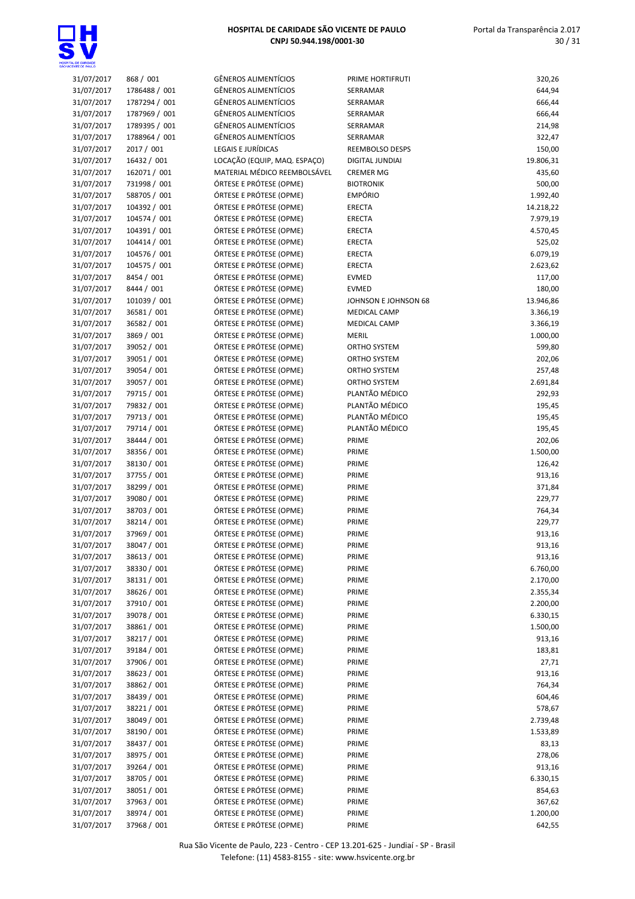

| 31/07/2017 | 868 / 001     | <b>GÊNEROS ALIMENTÍCIOS</b>  | PRIME HORTIFRUTI     | 320,26    |
|------------|---------------|------------------------------|----------------------|-----------|
| 31/07/2017 | 1786488 / 001 | GÊNEROS ALIMENTÍCIOS         | SERRAMAR             | 644,94    |
| 31/07/2017 | 1787294 / 001 | GÊNEROS ALIMENTÍCIOS         | SERRAMAR             | 666,44    |
| 31/07/2017 | 1787969 / 001 | GÊNEROS ALIMENTÍCIOS         | SERRAMAR             | 666,44    |
|            |               | GÊNEROS ALIMENTÍCIOS         |                      |           |
| 31/07/2017 | 1789395 / 001 |                              | SERRAMAR             | 214,98    |
| 31/07/2017 | 1788964 / 001 | GÊNEROS ALIMENTÍCIOS         | SERRAMAR             | 322,47    |
| 31/07/2017 | 2017 / 001    | <b>LEGAIS E JURÍDICAS</b>    | REEMBOLSO DESPS      | 150,00    |
| 31/07/2017 | 16432 / 001   | LOCAÇÃO (EQUIP, MAQ. ESPAÇO) | DIGITAL JUNDIAI      | 19.806,31 |
| 31/07/2017 | 162071 / 001  | MATERIAL MÉDICO REEMBOLSÁVEL | <b>CREMER MG</b>     | 435,60    |
|            |               |                              |                      |           |
| 31/07/2017 | 731998 / 001  | ÓRTESE E PRÓTESE (OPME)      | <b>BIOTRONIK</b>     | 500,00    |
| 31/07/2017 | 588705 / 001  | ÓRTESE E PRÓTESE (OPME)      | <b>EMPÓRIO</b>       | 1.992,40  |
| 31/07/2017 | 104392 / 001  | ÓRTESE E PRÓTESE (OPME)      | ERECTA               | 14.218,22 |
| 31/07/2017 | 104574 / 001  | ÓRTESE E PRÓTESE (OPME)      | ERECTA               | 7.979,19  |
| 31/07/2017 | 104391 / 001  | ÓRTESE E PRÓTESE (OPME)      | ERECTA               | 4.570,45  |
|            |               |                              |                      |           |
| 31/07/2017 | 104414 / 001  | ÓRTESE E PRÓTESE (OPME)      | ERECTA               | 525,02    |
| 31/07/2017 | 104576 / 001  | ÓRTESE E PRÓTESE (OPME)      | ERECTA               | 6.079,19  |
| 31/07/2017 | 104575 / 001  | ÓRTESE E PRÓTESE (OPME)      | ERECTA               | 2.623,62  |
| 31/07/2017 | 8454 / 001    | ÓRTESE E PRÓTESE (OPME)      | EVMED                | 117,00    |
| 31/07/2017 | 8444 / 001    | ÓRTESE E PRÓTESE (OPME)      | EVMED                | 180,00    |
|            |               |                              |                      |           |
| 31/07/2017 | 101039 / 001  | ÓRTESE E PRÓTESE (OPME)      | JOHNSON E JOHNSON 68 | 13.946,86 |
| 31/07/2017 | 36581 / 001   | ÓRTESE E PRÓTESE (OPME)      | <b>MEDICAL CAMP</b>  | 3.366,19  |
| 31/07/2017 | 36582 / 001   | ÓRTESE E PRÓTESE (OPME)      | MEDICAL CAMP         | 3.366,19  |
| 31/07/2017 | 3869 / 001    | ÓRTESE E PRÓTESE (OPME)      | MERIL                | 1.000,00  |
| 31/07/2017 | 39052 / 001   | ÓRTESE E PRÓTESE (OPME)      | ORTHO SYSTEM         | 599,80    |
|            |               |                              |                      |           |
| 31/07/2017 | 39051 / 001   | ÓRTESE E PRÓTESE (OPME)      | ORTHO SYSTEM         | 202,06    |
| 31/07/2017 | 39054 / 001   | ÓRTESE E PRÓTESE (OPME)      | ORTHO SYSTEM         | 257,48    |
| 31/07/2017 | 39057 / 001   | ÓRTESE E PRÓTESE (OPME)      | ORTHO SYSTEM         | 2.691,84  |
| 31/07/2017 | 79715 / 001   | ÓRTESE E PRÓTESE (OPME)      | PLANTÃO MÉDICO       | 292,93    |
| 31/07/2017 | 79832 / 001   | ÓRTESE E PRÓTESE (OPME)      | PLANTÃO MÉDICO       | 195,45    |
| 31/07/2017 | 79713 / 001   | ÓRTESE E PRÓTESE (OPME)      | PLANTÃO MÉDICO       | 195,45    |
|            |               |                              |                      |           |
| 31/07/2017 | 79714 / 001   | ÓRTESE E PRÓTESE (OPME)      | PLANTÃO MÉDICO       | 195,45    |
| 31/07/2017 | 38444 / 001   | ÓRTESE E PRÓTESE (OPME)      | PRIME                | 202,06    |
| 31/07/2017 | 38356 / 001   | ÓRTESE E PRÓTESE (OPME)      | PRIME                | 1.500,00  |
| 31/07/2017 | 38130 / 001   | ÓRTESE E PRÓTESE (OPME)      | PRIME                | 126,42    |
| 31/07/2017 | 37755 / 001   | ÓRTESE E PRÓTESE (OPME)      | PRIME                | 913,16    |
|            | 38299 / 001   |                              |                      |           |
| 31/07/2017 |               | ÓRTESE E PRÓTESE (OPME)      | PRIME                | 371,84    |
| 31/07/2017 | 39080 / 001   | ÓRTESE E PRÓTESE (OPME)      | PRIME                | 229,77    |
| 31/07/2017 | 38703 / 001   | ÓRTESE E PRÓTESE (OPME)      | PRIME                | 764,34    |
| 31/07/2017 | 38214 / 001   | ÓRTESE E PRÓTESE (OPME)      | PRIME                | 229,77    |
| 31/07/2017 | 37969 / 001   | ÓRTESE E PRÓTESE (OPME)      | PRIME                | 913,16    |
|            | 38047 / 001   | ÓRTESE E PRÓTESE (OPME)      | PRIME                | 913,16    |
| 31/07/2017 |               |                              |                      |           |
| 31/07/2017 | 38613 / 001   | ÓRTESE E PRÓTESE (OPME)      | PRIME                | 913,16    |
| 31/07/2017 | 38330 / 001   | ÓRTESE E PRÓTESE (OPME)      | PRIME                | 6.760,00  |
| 31/07/2017 | 38131 / 001   | ÓRTESE E PRÓTESE (OPME)      | PRIME                | 2.170,00  |
| 31/07/2017 | 38626 / 001   | ÓRTESE E PRÓTESE (OPME)      | PRIME                | 2.355,34  |
| 31/07/2017 | 37910 / 001   | ÓRTESE E PRÓTESE (OPME)      | PRIME                | 2.200,00  |
|            |               |                              |                      |           |
| 31/07/2017 | 39078 / 001   | ÓRTESE E PRÓTESE (OPME)      | PRIME                | 6.330,15  |
| 31/07/2017 | 38861 / 001   | ÓRTESE E PRÓTESE (OPME)      | PRIME                | 1.500,00  |
| 31/07/2017 | 38217 / 001   | ÓRTESE E PRÓTESE (OPME)      | PRIME                | 913,16    |
| 31/07/2017 | 39184 / 001   | ÓRTESE E PRÓTESE (OPME)      | PRIME                | 183,81    |
| 31/07/2017 | 37906 / 001   | ÓRTESE E PRÓTESE (OPME)      | PRIME                | 27,71     |
|            |               |                              |                      |           |
| 31/07/2017 | 38623 / 001   | ÓRTESE E PRÓTESE (OPME)      | PRIME                | 913,16    |
| 31/07/2017 | 38862 / 001   | ÓRTESE E PRÓTESE (OPME)      | PRIME                | 764,34    |
| 31/07/2017 | 38439 / 001   | ÓRTESE E PRÓTESE (OPME)      | PRIME                | 604,46    |
| 31/07/2017 | 38221 / 001   | ÓRTESE E PRÓTESE (OPME)      | PRIME                | 578,67    |
| 31/07/2017 | 38049 / 001   | ÓRTESE E PRÓTESE (OPME)      | PRIME                | 2.739,48  |
| 31/07/2017 | 38190 / 001   | ÓRTESE E PRÓTESE (OPME)      | PRIME                | 1.533,89  |
|            |               |                              |                      |           |
| 31/07/2017 | 38437 / 001   | ÓRTESE E PRÓTESE (OPME)      | PRIME                | 83,13     |
| 31/07/2017 | 38975 / 001   | ÓRTESE E PRÓTESE (OPME)      | PRIME                | 278,06    |
| 31/07/2017 | 39264 / 001   | ÓRTESE E PRÓTESE (OPME)      | PRIME                | 913,16    |
| 31/07/2017 | 38705 / 001   | ÓRTESE E PRÓTESE (OPME)      | PRIME                | 6.330,15  |
| 31/07/2017 | 38051 / 001   | ÓRTESE E PRÓTESE (OPME)      | PRIME                | 854,63    |
| 31/07/2017 | 37963 / 001   | ÓRTESE E PRÓTESE (OPME)      | PRIME                | 367,62    |
|            |               |                              |                      |           |
| 31/07/2017 | 38974 / 001   | ÓRTESE E PRÓTESE (OPME)      | PRIME                | 1.200,00  |
| 31/07/2017 | 37968 / 001   | ÓRTESE E PRÓTESE (OPME)      | PRIME                | 642,55    |